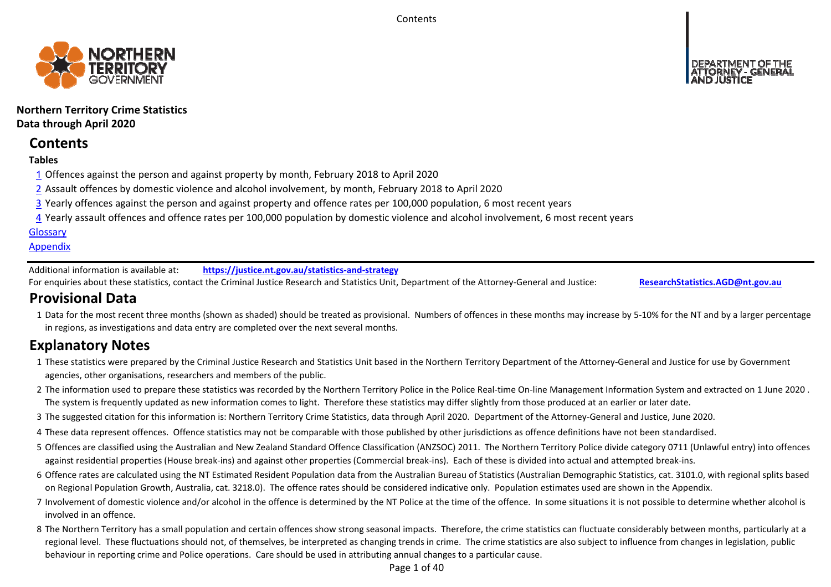**Contents** 



## **Northern Territory Crime Statistics Data through April 2020**

# **Contents**

## **Tables**

- 1 Offences against the person and against property by month, February 2018 to April 2020
- 2 Assault offences by domestic violence and alcohol involvement, by month, February 2018 to April 2020
- 3 Yearly offences against the person and against property and offence rates per 100,000 population, 6 most recent years
- 4 Yearly assault offences and offence rates per 100,000 population by domestic violence and alcohol involvement, 6 most recent years

## **Glossary**

## **Appendix**

Additional information is available at:**https://justice.nt.gov.au/statistics‐and‐strategy**

For enquiries about these statistics, contact the Criminal Justice Research and Statistics Unit, Department of the Attorney‐General and Justice: **ResearchStatistics.AGD@nt.gov.au**

# **Provisional Data**

1 Data for the most recent three months (shown as shaded) should be treated as provisional. Numbers of offences in these months may increase by 5‐10% for the NT and by a larger percentage in regions, as investigations and data entry are completed over the next several months.

# **Explanatory Notes**

- 1These statistics were prepared by the Criminal Justice Research and Statistics Unit based in the Northern Territory Department of the Attorney‐General and Justice for use by Government agencies, other organisations, researchers and members of the public.
- 2 The information used to prepare these statistics was recorded by the Northern Territory Police in the Police Real‐time On‐line Management Information System and extracted on 1 June 2020 . The system is frequently updated as new information comes to light. Therefore these statistics may differ slightly from those produced at an earlier or later date.
- 3 The suggested citation for this information is: Northern Territory Crime Statistics, data through April 2020. Department of the Attorney‐General and Justice, June 2020.
- 4These data represent offences. Offence statistics may not be comparable with those published by other jurisdictions as offence definitions have not been standardised.
- 5 Offences are classified using the Australian and New Zealand Standard Offence Classification (ANZSOC) 2011. The Northern Territory Police divide category 0711 (Unlawful entry) into offences against residential properties (House break‐ins) and against other properties (Commercial break‐ins). Each of these is divided into actual and attempted break‐ins.
- 6 Offence rates are calculated using the NT Estimated Resident Population data from the Australian Bureau of Statistics (Australian Demographic Statistics, cat. 3101.0, with regional splits based on Regional Population Growth, Australia, cat. 3218.0). The offence rates should be considered indicative only. Population estimates used are shown in the Appendix.
- 7 Involvement of domestic violence and/or alcohol in the offence is determined by the NT Police at the time of the offence. In some situations it is not possible to determine whether alcohol is involved in an offence.
- 8 The Northern Territory has a small population and certain offences show strong seasonal impacts. Therefore, the crime statistics can fluctuate considerably between months, particularly at a regional level. These fluctuations should not, of themselves, be interpreted as changing trends in crime. The crime statistics are also subject to influence from changes in legislation, public behaviour in reporting crime and Police operations. Care should be used in attributing annual changes to a particular cause.

Page 1 of 40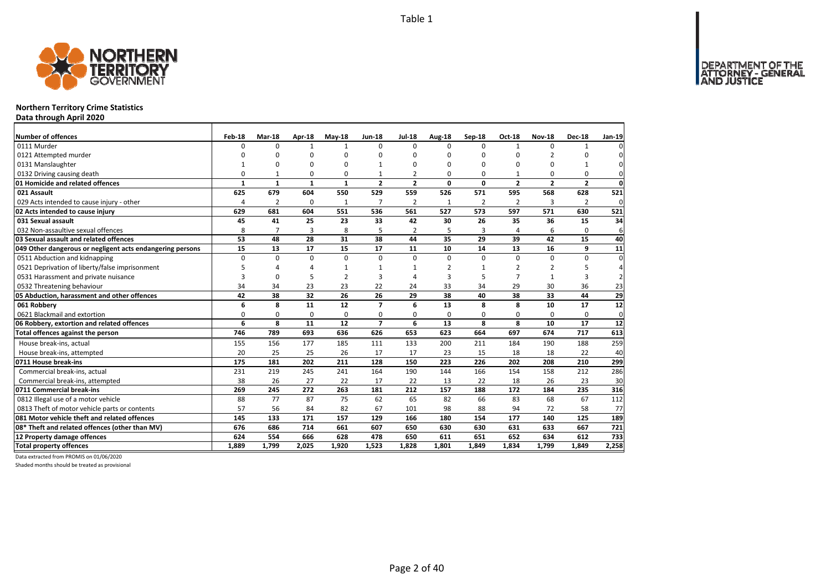

### **Northern Territory Crime Statistics**

**Data through April 2020**

| Number of offences                                        | Feb-18       | Mar-18         | Apr-18       | $May-18$       | <b>Jun-18</b>            | <b>Jul-18</b>  | Aug-18        | Sep-18   | Oct-18               | <b>Nov-18</b>  | <b>Dec-18</b>  | Jan-19         |
|-----------------------------------------------------------|--------------|----------------|--------------|----------------|--------------------------|----------------|---------------|----------|----------------------|----------------|----------------|----------------|
| 0111 Murder                                               | O            | $\Omega$       | $\mathbf{1}$ | 1              | $\Omega$                 | 0              | $\Omega$      | 0        | 1                    | $\Omega$       |                | $\Omega$       |
| 0121 Attempted murder                                     | O            | 0              | 0            | $\Omega$       |                          | O              | 0             | 0        | $\Omega$             |                |                | $\Omega$       |
| 0131 Manslaughter                                         |              | ŋ              | 0            | $\Omega$       |                          | 0              | ŋ             | 0        | $\Omega$             | $\Omega$       |                | $\mathbf{0}$   |
| 0132 Driving causing death                                | 0            | $\mathbf{1}$   | 0            | 0              |                          | $\overline{2}$ | 0             | 0        | $\mathbf{1}$         | $\Omega$       | 0              | $\mathbf{0}$   |
| 01 Homicide and related offences                          | $\mathbf{1}$ | 1              | $\mathbf{1}$ | $\mathbf{1}$   | $\mathbf{2}$             | $\overline{2}$ | 0             | $\Omega$ | $\overline{2}$       | $\overline{2}$ | $\overline{2}$ | $\mathbf{0}$   |
| 021 Assault                                               | 625          | 679            | 604          | 550            | 529                      | 559            | 526           | 571      | 595                  | 568            | 628            | 521            |
| 029 Acts intended to cause injury - other                 | 4            | 2              | 0            | 1              | 7                        | 2              | $\mathbf{1}$  | 2        | $\overline{2}$       | 3              | $\overline{2}$ | $\mathbf 0$    |
| 02 Acts intended to cause injury                          | 629          | 681            | 604          | 551            | 536                      | 561            | 527           | 573      | 597                  | 571            | 630            | 521            |
| 031 Sexual assault                                        | 45           | 41             | 25           | 23             | 33                       | 42             | 30            | 26       | 35                   | 36             | 15             | 34             |
| 032 Non-assaultive sexual offences                        | 8            | $\overline{7}$ | 3            | 8              | 5                        | 2              | 5             | 3        | $\overline{\Lambda}$ | 6              | 0              | 6              |
| 03 Sexual assault and related offences                    | 53           | 48             | 28           | 31             | 38                       | 44             | 35            | 29       | 39                   | 42             | 15             | 40             |
| 049 Other dangerous or negligent acts endangering persons | 15           | 13             | 17           | 15             | 17                       | 11             | 10            | 14       | 13                   | 16             | 9              | 11             |
| 0511 Abduction and kidnapping                             | $\Omega$     | $\Omega$       | $\mathbf 0$  | $\Omega$       | $\Omega$                 | 0              | $\Omega$      | $\Omega$ | $\Omega$             | $\Omega$       | 0              | $\overline{0}$ |
| 0521 Deprivation of liberty/false imprisonment            | 5            | Δ              | 4            | -1             |                          |                | $\mathfrak z$ |          | $\overline{2}$       | $\overline{2}$ | 5              | $\overline{4}$ |
| 0531 Harassment and private nuisance                      | 3            | 0              | 5            | $\overline{2}$ | з                        | $\Delta$       | 3             | 5        | $\overline{7}$       | $\mathbf{1}$   | 3              | 2              |
| 0532 Threatening behaviour                                | 34           | 34             | 23           | 23             | 22                       | 24             | 33            | 34       | 29                   | 30             | 36             | 23             |
| 05 Abduction, harassment and other offences               | 42           | 38             | 32           | 26             | 26                       | 29             | 38            | 40       | 38                   | 33             | 44             | 29             |
| 061 Robbery                                               | 6            | 8              | 11           | 12             | $\overline{\phantom{a}}$ | 6              | 13            | 8        | 8                    | 10             | 17             | 12             |
| 0621 Blackmail and extortion                              | 0            | 0              | $\mathbf 0$  | $\mathbf 0$    | $\Omega$                 | 0              | $\Omega$      | 0        | $\Omega$             | $\Omega$       | 0              | $\mathbf{0}$   |
| 06 Robbery, extortion and related offences                | 6            | 8              | 11           | 12             | $\overline{ }$           | 6              | 13            | 8        | 8                    | 10             | 17             | 12             |
| Total offences against the person                         | 746          | 789            | 693          | 636            | 626                      | 653            | 623           | 664      | 697                  | 674            | 717            | 613            |
| House break-ins, actual                                   | 155          | 156            | 177          | 185            | 111                      | 133            | 200           | 211      | 184                  | 190            | 188            | 259            |
| House break-ins, attempted                                | 20           | 25             | 25           | 26             | 17                       | 17             | 23            | 15       | 18                   | 18             | 22             | 40             |
| 0711 House break-ins                                      | 175          | 181            | 202          | 211            | 128                      | 150            | 223           | 226      | 202                  | 208            | 210            | 299            |
| Commercial break-ins, actual                              | 231          | 219            | 245          | 241            | 164                      | 190            | 144           | 166      | 154                  | 158            | 212            | 286            |
| Commercial break-ins, attempted                           | 38           | 26             | 27           | 22             | 17                       | 22             | 13            | 22       | 18                   | 26             | 23             | 30             |
| 0711 Commercial break-ins                                 | 269          | 245            | 272          | 263            | 181                      | 212            | 157           | 188      | 172                  | 184            | 235            | 316            |
| 0812 Illegal use of a motor vehicle                       | 88           | 77             | 87           | 75             | 62                       | 65             | 82            | 66       | 83                   | 68             | 67             | 112            |
| 0813 Theft of motor vehicle parts or contents             | 57           | 56             | 84           | 82             | 67                       | 101            | 98            | 88       | 94                   | 72             | 58             | 77             |
| 081 Motor vehicle theft and related offences              | 145          | 133            | 171          | 157            | 129                      | 166            | 180           | 154      | 177                  | 140            | 125            | 189            |
| 08* Theft and related offences (other than MV)            | 676          | 686            | 714          | 661            | 607                      | 650            | 630           | 630      | 631                  | 633            | 667            | 721            |
| 12 Property damage offences                               | 624          | 554            | 666          | 628            | 478                      | 650            | 611           | 651      | 652                  | 634            | 612            | 733            |
| <b>Total property offences</b>                            | 1.889        | 1.799          | 2.025        | 1.920          | 1,523                    | 1,828          | 1,801         | 1.849    | 1.834                | 1.799          | 1.849          | 2,258          |

Data extracted from PROMIS on 01/06/2020

Shaded months should be treated as provisional

DEPARTMENT OF THE<br>ATTORNEY - GENERAL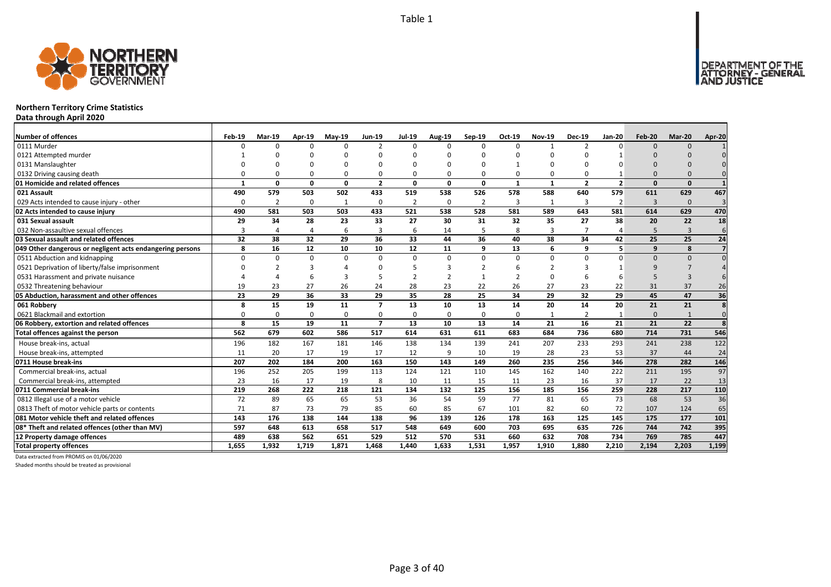

### **Northern Territory Crime Statistics**

**Data through April 2020**

| <b>Number of offences</b>                                 | Feb-19   | <b>Mar-19</b>  | Apr-19   | $May-19$     | Jun-19                   | <b>Jul-19</b>  | <b>Aug-19</b> | $Sep-19$       | Oct-19        | <b>Nov-19</b>  | <b>Dec-19</b>  | Jan-20         | Feb-20       | Mar-20         | Apr-20         |
|-----------------------------------------------------------|----------|----------------|----------|--------------|--------------------------|----------------|---------------|----------------|---------------|----------------|----------------|----------------|--------------|----------------|----------------|
| 0111 Murder                                               |          | $\Omega$       | $\Omega$ | $\Omega$     | $\overline{\phantom{a}}$ | $\Omega$       | U             | $\Omega$       | $\Omega$      | $\mathbf{1}$   | $\mathcal{P}$  |                | $\Omega$     | $\Omega$       |                |
| 0121 Attempted murder                                     |          |                |          |              | $\Omega$                 |                |               |                |               | ŋ              |                |                |              |                |                |
| 0131 Manslaughter                                         |          |                |          |              | O                        |                |               |                |               | $\Omega$       |                |                |              |                |                |
| 0132 Driving causing death                                |          |                |          | $\Omega$     | $\Omega$                 |                |               |                | $\Omega$      | $\Omega$       |                |                |              |                |                |
| 01 Homicide and related offences                          |          | 0              | $\Omega$ | $\mathbf{0}$ | $\overline{2}$           | $\mathbf{0}$   | 0             | 0              | $\mathbf{1}$  | $\mathbf{1}$   | $\overline{2}$ | $\overline{2}$ | $\Omega$     | $\mathbf{0}$   |                |
| 021 Assault                                               | 490      | 579            | 503      | 502          | 433                      | 519            | 538           | 526            | 578           | 588            | 640            | 579            | 611          | 629            | 467            |
| 029 Acts intended to cause injury - other                 | $\Omega$ | $\overline{2}$ | $\Omega$ | 1            | 0                        | $\overline{2}$ | $\Omega$      | $\overline{2}$ | 3             | $\mathbf{1}$   | 3              | $\overline{2}$ | $\mathbf{3}$ | $\mathbf{0}$   |                |
| 02 Acts intended to cause injury                          | 490      | 581            | 503      | 503          | 433                      | 521            | 538           | 528            | 581           | 589            | 643            | 581            | 614          | 629            | 470            |
| 031 Sexual assault                                        | 29       | 34             | 28       | 23           | 33                       | 27             | 30            | 31             | 32            | 35             | 27             | 38             | 20           | 22             | 18             |
| 032 Non-assaultive sexual offences                        | 3        | Δ              | Δ        | 6            | 3                        | 6              | 14            | 5              | 8             | 3              |                |                | 5            | $\overline{3}$ | 6              |
| 03 Sexual assault and related offences                    | 32       | 38             | 32       | 29           | 36                       | 33             | 44            | 36             | 40            | 38             | 34             | 42             | 25           | 25             | 24             |
| 049 Other dangerous or negligent acts endangering persons | 8        | 16             | 12       | 10           | 10                       | 12             | 11            | q              | 13            | 6              | q              | 5              | q            | 8              |                |
| 0511 Abduction and kidnapping                             | $\Omega$ | O              | $\Omega$ | $\Omega$     | $\Omega$                 | $\Omega$       | <sup>0</sup>  | $\Omega$       | $\mathbf 0$   | $\Omega$       | $\Omega$       |                | $\Omega$     | $\Omega$       |                |
| 0521 Deprivation of liberty/false imprisonment            |          |                |          |              | ŋ                        |                |               |                | 6             | $\overline{2}$ |                |                |              |                |                |
| 0531 Harassment and private nuisance                      |          |                |          | 3            |                          |                |               |                | $\mathcal{P}$ | $\Omega$       |                |                |              | 3              |                |
| 0532 Threatening behaviour                                | 19       | 23             | 27       | 26           | 24                       | 28             | 23            | 22             | 26            | 27             | 23             | 22             | 31           | 37             | 26             |
| 05 Abduction, harassment and other offences               | 23       | 29             | 36       | 33           | 29                       | 35             | 28            | 25             | 34            | 29             | 32             | 29             | 45           | 47             | 36             |
| 061 Robbery                                               | 8        | 15             | 19       | 11           | $\overline{7}$           | 13             | 10            | 13             | 14            | 20             | 14             | 20             | 21           | 21             | $\mathbf{g}$   |
| 0621 Blackmail and extortion                              | O        | O              | $\Omega$ | $\Omega$     | 0                        | $\Omega$       | <sup>0</sup>  | $\Omega$       | $\Omega$      | 1              | $\overline{2}$ |                | $\Omega$     | $\mathbf{1}$   | $\mathbf 0$    |
| 06 Robbery, extortion and related offences                | 8        | 15             | 19       | 11           | $\overline{7}$           | 13             | 10            | 13             | 14            | 21             | 16             | 21             | 21           | 22             | $\overline{8}$ |
| Total offences against the person                         | 562      | 679            | 602      | 586          | 517                      | 614            | 631           | 611            | 683           | 684            | 736            | 680            | 714          | 731            | 546            |
| House break-ins, actual                                   | 196      | 182            | 167      | 181          | 146                      | 138            | 134           | 139            | 241           | 207            | 233            | 293            | 241          | 238            | 122            |
| House break-ins, attempted                                | 11       | 20             | 17       | 19           | 17                       | 12             | 9             | 10             | 19            | 28             | 23             | 53             | 37           | 44             | 24             |
| 0711 House break-ins                                      | 207      | 202            | 184      | 200          | 163                      | 150            | 143           | 149            | 260           | 235            | 256            | 346            | 278          | 282            | 146            |
| Commercial break-ins, actual                              | 196      | 252            | 205      | 199          | 113                      | 124            | 121           | 110            | 145           | 162            | 140            | 222            | 211          | 195            | 97             |
| Commercial break-ins, attempted                           | 23       | 16             | 17       | 19           | 8                        | 10             | 11            | 15             | 11            | 23             | 16             | 37             | 17           | 22             | 13             |
| 0711 Commercial break-ins                                 | 219      | 268            | 222      | 218          | 121                      | 134            | 132           | 125            | 156           | 185            | 156            | 259            | 228          | 217            | 110            |
| 0812 Illegal use of a motor vehicle                       | 72       | 89             | 65       | 65           | 53                       | 36             | 54            | 59             | 77            | 81             | 65             | 73             | 68           | 53             | 36             |
| 0813 Theft of motor vehicle parts or contents             | 71       | 87             | 73       | 79           | 85                       | 60             | 85            | 67             | 101           | 82             | 60             | 72             | 107          | 124            | 65             |
| 081 Motor vehicle theft and related offences              | 143      | 176            | 138      | 144          | 138                      | 96             | 139           | 126            | 178           | 163            | 125            | 145            | 175          | 177            | 101            |
| 08* Theft and related offences (other than MV)            | 597      | 648            | 613      | 658          | 517                      | 548            | 649           | 600            | 703           | 695            | 635            | 726            | 744          | 742            | 395            |
| 12 Property damage offences                               | 489      | 638            | 562      | 651          | 529                      | 512            | 570           | 531            | 660           | 632            | 708            | 734            | 769          | 785            | 447            |
| <b>Total property offences</b>                            | 1.655    | 1.932          | 1.719    | 1,871        | 1.468                    | 1.440          | 1.633         | 1.531          | 1,957         | 1.910          | 1.880          | 2.210          | 2.194        | 2,203          | 1,199          |

Data extracted from PROMIS on 01/06/2020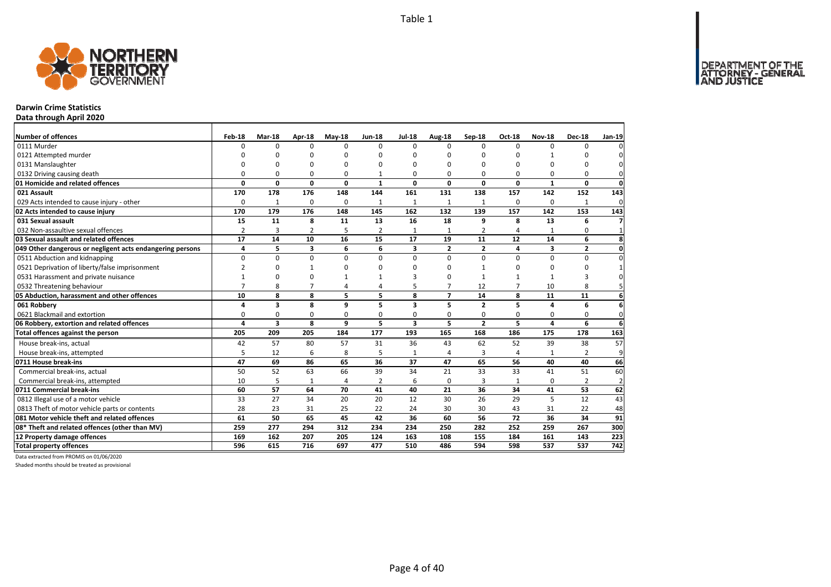

## **Darwin Crime Statistics**

**Data through April 2020**

| Number of offences                                        | Feb-18         | <b>Mar-18</b> | Apr-18         | $May-18$       | <b>Jun-18</b>  | <b>Jul-18</b> | Aug-18         | Sep-18         | <b>Oct-18</b>  | <b>Nov-18</b>           | <b>Dec-18</b>  | Jan-19          |
|-----------------------------------------------------------|----------------|---------------|----------------|----------------|----------------|---------------|----------------|----------------|----------------|-------------------------|----------------|-----------------|
| 0111 Murder                                               | 0              | 0             | $\Omega$       | $\Omega$       | $\Omega$       | $\Omega$      | <sup>0</sup>   | $\Omega$       | $\Omega$       | $\Omega$                | 0              | $\Omega$        |
| 0121 Attempted murder                                     | $\Omega$       | <sup>0</sup>  | ŋ              | $\Omega$       |                | $\Omega$      | U              | O              | $\Omega$       |                         | n              | $\Omega$        |
| 0131 Manslaughter                                         | 0              | 0             | $\Omega$       | $\Omega$       |                | $\Omega$      | 0              | 0              | $\Omega$       | $\Omega$                | $\Omega$       | $\mathbf{0}$    |
| 0132 Driving causing death                                | $\Omega$       | 0             | $\Omega$       | $\Omega$       |                | 0             | 0              | 0              | $\Omega$       | $\Omega$                | 0              | $\mathbf{0}$    |
| 01 Homicide and related offences                          | 0              | $\mathbf{0}$  | $\mathbf{0}$   | $\mathbf{0}$   | $\mathbf{1}$   | 0             | 0              | 0              | $\mathbf{0}$   | $\mathbf{1}$            | $\mathbf 0$    | $\mathbf{0}$    |
| 021 Assault                                               | 170            | 178           | 176            | 148            | 144            | 161           | 131            | 138            | 157            | 142                     | 152            | 143             |
| 029 Acts intended to cause injury - other                 | $\Omega$       | 1             | 0              | $\Omega$       | 1              | 1             | 1              | 1              | $\Omega$       | $\Omega$                | 1              | $\mathbf 0$     |
| 02 Acts intended to cause injury                          | 170            | 179           | 176            | 148            | 145            | 162           | 132            | 139            | 157            | 142                     | 153            | 143             |
| 031 Sexual assault                                        | 15             | 11            | 8              | 11             | 13             | 16            | 18             | 9              | 8              | 13                      | 6              | $\overline{7}$  |
| 032 Non-assaultive sexual offences                        | $\overline{2}$ | 3             | $\overline{2}$ | 5              | $\overline{2}$ | $\mathbf{1}$  | $\mathbf{1}$   | $\overline{2}$ | $\overline{4}$ |                         | 0              | $\mathbf{1}$    |
| 03 Sexual assault and related offences                    | 17             | 14            | 10             | 16             | 15             | 17            | 19             | 11             | 12             | 14                      | 6              | 8               |
| 049 Other dangerous or negligent acts endangering persons | 4              | 5             | 3              | 6              | 6              | 3             | $\overline{2}$ | $\overline{2}$ | 4              | $\overline{\mathbf{3}}$ | $\mathbf{2}$   | $\mathbf{0}$    |
| 0511 Abduction and kidnapping                             | $\Omega$       | $\Omega$      | 0              | $\Omega$       | $\Omega$       | $\Omega$      | 0              | $\Omega$       | $\Omega$       | $\Omega$                | 0              | $\mathbf 0$     |
| 0521 Deprivation of liberty/false imprisonment            | $\overline{2}$ | 0             |                | $\Omega$       |                | $\Omega$      | <sup>0</sup>   |                | $\Omega$       | $\Omega$                | 0              | $1\overline{ }$ |
| 0531 Harassment and private nuisance                      |                | 0             | 0              |                |                | 3             | U              | 1              | $\mathbf{1}$   |                         | 3              | $\mathbf{0}$    |
| 0532 Threatening behaviour                                | $\overline{7}$ | 8             | $\overline{7}$ | $\overline{4}$ | 4              | 5             | $\overline{7}$ | 12             | $\overline{7}$ | 10                      | 8              | 5 <sup>1</sup>  |
| 05 Abduction, harassment and other offences               | 10             | 8             | 8              | 5              | 5              | 8             | $\overline{7}$ | 14             | 8              | 11                      | 11             | $6 \mid$        |
| 061 Robbery                                               | 4              | 3             | 8              | 9              | 5              | 3             | 5.             | $\overline{2}$ | 5              | 4                       | 6              | $6 \mid$        |
| 0621 Blackmail and extortion                              | 0              | 0             | 0              | 0              | 0              | 0             | 0              | 0              | 0              | $\mathbf 0$             | 0              | $\mathbf{0}$    |
| 06 Robbery, extortion and related offences                | 4              | 3             | 8              | 9              | 5              | 3             | 5              | $\overline{2}$ | 5              | 4                       | 6              | $6 \mid$        |
| Total offences against the person                         | 205            | 209           | 205            | 184            | 177            | 193           | 165            | 168            | 186            | 175                     | 178            | 163             |
| House break-ins, actual                                   | 42             | 57            | 80             | 57             | 31             | 36            | 43             | 62             | 52             | 39                      | 38             | 57              |
| House break-ins, attempted                                | 5              | 12            | 6              | 8              | 5              | $\mathbf{1}$  | 4              | 3              | $\overline{4}$ |                         | $\overline{2}$ | 9               |
| 0711 House break-ins                                      | 47             | 69            | 86             | 65             | 36             | 37            | 47             | 65             | 56             | 40                      | 40             | 66              |
| Commercial break-ins, actual                              | 50             | 52            | 63             | 66             | 39             | 34            | 21             | 33             | 33             | 41                      | 51             | 60              |
| Commercial break-ins, attempted                           | 10             | 5             | $\mathbf{1}$   | $\overline{4}$ | $\overline{2}$ | 6             | 0              | 3              | 1              | $\mathbf 0$             | $\overline{2}$ | $\overline{2}$  |
| 0711 Commercial break-ins                                 | 60             | 57            | 64             | 70             | 41             | 40            | 21             | 36             | 34             | 41                      | 53             | 62              |
| 0812 Illegal use of a motor vehicle                       | 33             | 27            | 34             | 20             | 20             | 12            | 30             | 26             | 29             | 5                       | 12             | 43              |
| 0813 Theft of motor vehicle parts or contents             | 28             | 23            | 31             | 25             | 22             | 24            | 30             | 30             | 43             | 31                      | 22             | 48              |
| 081 Motor vehicle theft and related offences              | 61             | 50            | 65             | 45             | 42             | 36            | 60             | 56             | 72             | 36                      | 34             | 91              |
| 08* Theft and related offences (other than MV)            | 259            | 277           | 294            | 312            | 234            | 234           | 250            | 282            | 252            | 259                     | 267            | 300             |
| 12 Property damage offences                               | 169            | 162           | 207            | 205            | 124            | 163           | 108            | 155            | 184            | 161                     | 143            | 223             |
| <b>Total property offences</b>                            | 596            | 615           | 716            | 697            | 477            | 510           | 486            | 594            | 598            | 537                     | 537            | 742             |

Data extracted from PROMIS on 01/06/2020

Shaded months should be treated as provisional

DEPARTMENT OF THE<br>ATTORNEY - GENERAL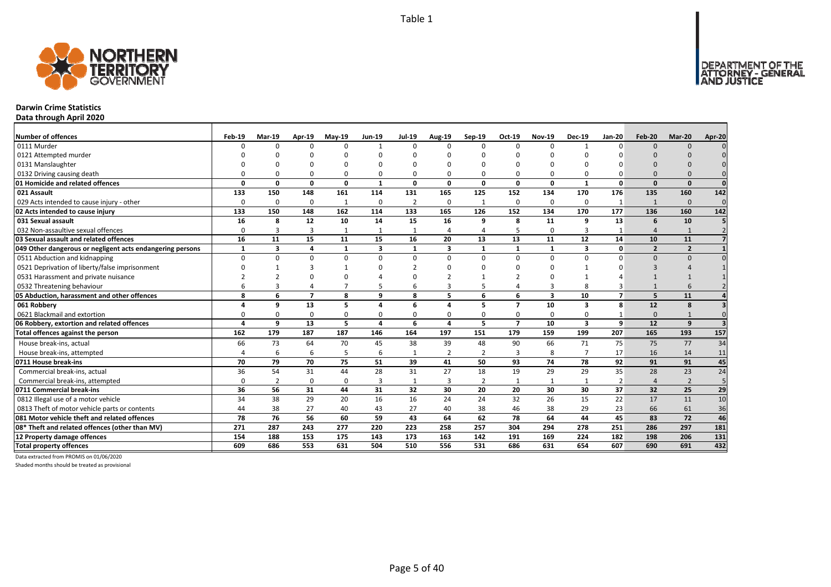

## **Darwin Crime Statistics**

**Data through April 2020**

| <b>Number of offences</b>                                 | Feb-19      | Mar-19   | Apr-19         | $May-19$     | <b>Jun-19</b> | <b>Jul-19</b>  | Aug-19         | Sep-19         | Oct-19         | <b>Nov-19</b> | <b>Dec-19</b>           | <b>Jan-20</b>  | Feb-20         | Mar-20         | Apr-20          |
|-----------------------------------------------------------|-------------|----------|----------------|--------------|---------------|----------------|----------------|----------------|----------------|---------------|-------------------------|----------------|----------------|----------------|-----------------|
| 0111 Murder                                               | n           | $\Omega$ |                | $\Omega$     | $\mathbf{1}$  | $\Omega$       | ŋ              | $\Omega$       | $\Omega$       | $\Omega$      |                         | ŋ              | $\Omega$       | $\Omega$       |                 |
| 0121 Attempted murder                                     |             |          |                |              |               |                |                |                |                |               |                         |                |                |                |                 |
| 0131 Manslaughter                                         |             |          |                |              | $\Omega$      |                |                |                |                | $\Omega$      |                         |                |                |                |                 |
| 0132 Driving causing death                                |             |          |                | O            | $\Omega$      |                |                |                | O              | $\Omega$      |                         |                |                |                |                 |
| 01 Homicide and related offences                          | O           | 0        | $\Omega$       | 0            | 1             | 0              | 0              | $\Omega$       | 0              | 0             | $\mathbf{1}$            | $\Omega$       | $\Omega$       | $\Omega$       | $\Omega$        |
| 021 Assault                                               | 133         | 150      | 148            | 161          | 114           | 131            | 165            | 125            | 152            | 134           | 170                     | 176            | 135            | 160            | 142             |
| 029 Acts intended to cause injury - other                 | $\Omega$    | $\Omega$ | $\Omega$       | $\mathbf{1}$ | $\mathbf 0$   | $\overline{2}$ | 0              | $\mathbf{1}$   | $\mathbf 0$    | $\mathbf 0$   | $\Omega$                | $\mathbf{1}$   |                | $\Omega$       | $\mathbf 0$     |
| 02 Acts intended to cause injury                          | 133         | 150      | 148            | 162          | 114           | 133            | 165            | 126            | 152            | 134           | 170                     | 177            | 136            | 160            | $\frac{142}{2}$ |
| 031 Sexual assault                                        | 16          | 8        | 12             | 10           | 14            | 15             | 16             | q              | 8              | 11            | 9                       | 13             | 6              | 10             |                 |
| 032 Non-assaultive sexual offences                        | $\Omega$    | 3        | 3              |              | 1             |                |                |                | 5              | 0             |                         |                | $\Delta$       |                |                 |
| 03 Sexual assault and related offences                    | 16          | 11       | 15             | 11           | 15            | 16             | 20             | 13             | 13             | 11            | 12                      | 14             | 10             | 11             |                 |
| 049 Other dangerous or negligent acts endangering persons | $\mathbf 1$ | 3        | 4              | $\mathbf{1}$ | 3             | $\mathbf{1}$   | 3              | $\mathbf{1}$   | $\mathbf{1}$   | $\mathbf{1}$  | 3                       | $\mathbf{0}$   | $\overline{2}$ | $\overline{2}$ |                 |
| 0511 Abduction and kidnapping                             | $\Omega$    | $\Omega$ | $\Omega$       | $\Omega$     | $\Omega$      | $\Omega$       | <sup>0</sup>   | $\Omega$       | $\Omega$       | $\Omega$      | $\Omega$                |                | $\Omega$       | $\Omega$       |                 |
| 0521 Deprivation of liberty/false imprisonment            |             |          |                |              | <sup>n</sup>  |                |                |                |                | ŋ             |                         |                |                |                |                 |
| 0531 Harassment and private nuisance                      |             |          |                |              |               |                |                |                |                |               |                         |                |                |                |                 |
| 0532 Threatening behaviour                                |             |          |                |              |               | 6              |                |                |                | 3             |                         |                |                |                |                 |
| 05 Abduction, harassment and other offences               | 8           | 6        | $\overline{7}$ | 8            | 9             | 8              | 5              | 6              | 6              | 3             | 10                      | $\overline{ }$ | 5              | 11             |                 |
| 061 Robbery                                               |             | 9        | 13             | 5            | 4             | 6              | Δ              | 5              | $\overline{7}$ | 10            | 3                       | 8              | 12             | 8              |                 |
| 0621 Blackmail and extortion                              |             | $\Omega$ | $\Omega$       | $\Omega$     | $\Omega$      | $\Omega$       |                |                | $\Omega$       | 0             | $\Omega$                |                | $\Omega$       |                |                 |
| 06 Robbery, extortion and related offences                |             | 9        | 13             | 5            | 4             | 6              | 4              | 5              | $\overline{7}$ | 10            | $\overline{\mathbf{3}}$ | 9              | 12             | 9              |                 |
| Total offences against the person                         | 162         | 179      | 187            | 187          | 146           | 164            | 197            | 151            | 179            | 159           | 199                     | 207            | 165            | 193            | 157             |
| House break-ins, actual                                   | 66          | 73       | 64             | 70           | 45            | 38             | 39             | 48             | 90             | 66            | 71                      | 75             | 75             | 77             | 34              |
| House break-ins, attempted                                |             | 6        | 6              | 5            | 6             |                | $\overline{2}$ | $\overline{2}$ | $\overline{3}$ | 8             |                         | 17             | 16             | 14             | 11              |
| 0711 House break-ins                                      | 70          | 79       | 70             | 75           | 51            | 39             | 41             | 50             | 93             | 74            | 78                      | 92             | 91             | 91             | 45              |
| Commercial break-ins, actual                              | 36          | 54       | 31             | 44           | 28            | 31             | 27             | 18             | 19             | 29            | 29                      | 35             | 28             | 23             | 24              |
| Commercial break-ins, attempted                           | $\Omega$    | 2        | $\Omega$       | 0            | 3             | 1              | 3              | $\overline{2}$ | $\mathbf{1}$   | 1             |                         | 2              | $\Delta$       | $\overline{2}$ | 5               |
| 0711 Commercial break-ins                                 | 36          | 56       | 31             | 44           | 31            | 32             | 30             | 20             | 20             | 30            | 30                      | 37             | 32             | 25             | 29              |
| 0812 Illegal use of a motor vehicle                       | 34          | 38       | 29             | 20           | 16            | 16             | 24             | 24             | 32             | 26            | 15                      | 22             | 17             | 11             | 10              |
| 0813 Theft of motor vehicle parts or contents             | 44          | 38       | 27             | 40           | 43            | 27             | 40             | 38             | 46             | 38            | 29                      | 23             | 66             | 61             | 36              |
| 081 Motor vehicle theft and related offences              | 78          | 76       | 56             | 60           | 59            | 43             | 64             | 62             | 78             | 64            | 44                      | 45             | 83             | 72             | 46              |
| 08* Theft and related offences (other than MV)            | 271         | 287      | 243            | 277          | 220           | 223            | 258            | 257            | 304            | 294           | 278                     | 251            | 286            | 297            | 181             |
| 12 Property damage offences                               | 154         | 188      | 153            | 175          | 143           | 173            | 163            | 142            | 191            | 169           | 224                     | 182            | 198            | 206            | 131             |
| <b>Total property offences</b>                            | 609         | 686      | 553            | 631          | 504           | 510            | 556            | 531            | 686            | 631           | 654                     | 607            | 690            | 691            | 432             |

Data extracted from PROMIS on 01/06/2020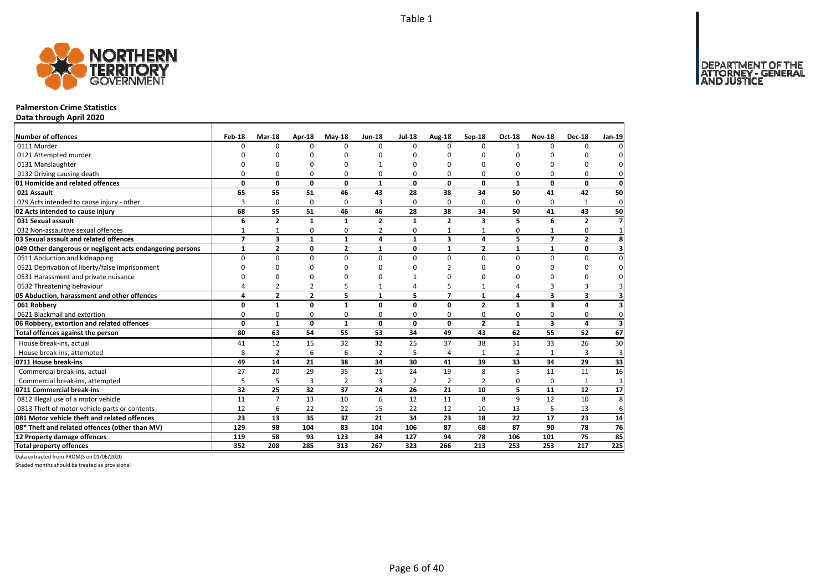DEPARTMENT OF THE<br>ATTORNEY - GENERAL



#### **Palmerston Crime Statistics**

**Data through April 2020**

| Number of offences                                        | Feb-18         | Mar-18         | Apr-18         | $May-18$       | <b>Jun-18</b>  | <b>Jul-18</b> | Aug-18         | Sep-18                  | Oct-18         | <b>Nov-18</b>           | <b>Dec-18</b>           | Jan-19                  |
|-----------------------------------------------------------|----------------|----------------|----------------|----------------|----------------|---------------|----------------|-------------------------|----------------|-------------------------|-------------------------|-------------------------|
| 0111 Murder                                               | $\Omega$       | $\Omega$       | $\Omega$       | $\Omega$       | $\Omega$       | $\Omega$      | $\Omega$       | $\Omega$                | $\mathbf{1}$   | $\Omega$                | O                       |                         |
| 0121 Attempted murder                                     |                | O              | O              | $\Omega$       |                | O             | ŋ              | ŋ                       | O              |                         | ŋ                       |                         |
| 0131 Manslaughter                                         | $\Omega$       | O              | 0              | $\Omega$       |                | O             | 0              | 0                       | $\Omega$       |                         | 0                       | 0                       |
| 0132 Driving causing death                                | $\Omega$       | 0              | 0              | 0              | $\Omega$       | O             | 0              | 0                       | 0              | 0                       | 0                       | 0                       |
| 01 Homicide and related offences                          | 0              | 0              | $\mathbf 0$    | $\mathbf{0}$   | $\mathbf{1}$   | 0             | 0              | 0                       | $\mathbf{1}$   | $\mathbf{0}$            | $\mathbf{0}$            | $\mathbf 0$             |
| 021 Assault                                               | 65             | 55             | 51             | 46             | 43             | 28            | 38             | 34                      | 50             | 41                      | 42                      | 50                      |
| 029 Acts intended to cause injury - other                 | 3              | 0              | 0              | 0              | 3              | 0             | 0              | 0                       | 0              | 0                       | $\mathbf{1}$            | $\overline{0}$          |
| 02 Acts intended to cause injury                          | 68             | 55             | 51             | 46             | 46             | 28            | 38             | 34                      | 50             | 41                      | 43                      | 50                      |
| 031 Sexual assault                                        | 6              | $\overline{2}$ | $\mathbf{1}$   | $\mathbf{1}$   | $\overline{2}$ | 1             | $\overline{2}$ | $\overline{\mathbf{3}}$ | 5              | 6                       | $\overline{2}$          | $\overline{7}$          |
| 032 Non-assaultive sexual offences                        | $\mathbf{1}$   | $\mathbf{1}$   | 0              | $\Omega$       | $\overline{2}$ | 0             | 1              | 1                       | $\Omega$       |                         | 0                       |                         |
| 03 Sexual assault and related offences                    | $\overline{z}$ | 3              | $\mathbf{1}$   | $\mathbf{1}$   | 4              | 1             | 3              | 4                       | 5              | $\overline{7}$          | $\overline{2}$          | 8                       |
| 049 Other dangerous or negligent acts endangering persons | $\mathbf{1}$   | $\mathbf{2}$   | 0              | $\overline{2}$ | 1              | 0             | $\mathbf{1}$   | $\overline{2}$          | $\mathbf{1}$   | 1                       | 0                       | 3                       |
| 0511 Abduction and kidnapping                             | 0              | 0              | 0              | 0              | $\Omega$       | $\Omega$      | 0              | $\Omega$                | 0              | $\Omega$                | 0                       | $\mathbf{0}$            |
| 0521 Deprivation of liberty/false imprisonment            | $\Omega$       | $\Omega$       | 0              | $\Omega$       |                | ŋ             | 2              | ŋ                       | O              | O                       | 0                       | <sup>0</sup>            |
| 0531 Harassment and private nuisance                      | $\Omega$       | 0              | 0              | $\Omega$       |                |               | n              | 0                       | 0              | n                       | 0                       |                         |
| 0532 Threatening behaviour                                | $\overline{4}$ | $\overline{2}$ | $\overline{2}$ | 5              |                | Δ             | 5              |                         | 4              | 3                       | 3                       | 3                       |
| 05 Abduction, harassment and other offences               | 4              | $\overline{2}$ | $\overline{2}$ | 5              | $\mathbf{1}$   | 5             | $\overline{7}$ | $\mathbf{1}$            | 4              | 3                       | 3                       | 3                       |
| 061 Robbery                                               | 0              | $\mathbf{1}$   | $\mathbf 0$    | $\mathbf{1}$   | $\Omega$       | O             | $\Omega$       | $\overline{2}$          | $\mathbf{1}$   | $\overline{\mathbf{3}}$ | 4                       |                         |
| 0621 Blackmail and extortion                              | $\Omega$       | 0              | 0              | $\mathbf 0$    | n              | 0             | 0              | 0                       | $\mathbf 0$    | 0                       | $\mathbf 0$             | $\Omega$                |
| 06 Robbery, extortion and related offences                | $\mathbf{0}$   | $\mathbf{1}$   | $\mathbf 0$    | 1              | 0              | $\mathbf{0}$  | 0              | $\overline{2}$          | $\mathbf{1}$   | 3                       | $\overline{\mathbf{4}}$ | $\overline{\mathbf{3}}$ |
| Total offences against the person                         | 80             | 63             | 54             | 55             | 53             | 34            | 49             | 43                      | 62             | 55                      | $\overline{52}$         | 67                      |
| House break-ins, actual                                   | 41             | 12             | 15             | 32             | 32             | 25            | 37             | 38                      | 31             | 33                      | 26                      | 30                      |
| House break-ins, attempted                                | 8              | $\overline{2}$ | 6              | 6              | $\overline{2}$ | 5             | 4              | 1                       | $\overline{2}$ |                         | 3                       | 3                       |
| 0711 House break-ins                                      | 49             | 14             | 21             | 38             | 34             | 30            | 41             | 39                      | 33             | 34                      | 29                      | 33                      |
| Commercial break-ins, actual                              | 27             | 20             | 29             | 35             | 21             | 24            | 19             | 8                       | 5              | 11                      | 11                      | 16                      |
| Commercial break-ins, attempted                           | 5              | 5              | 3              | $\overline{2}$ | 3              | 2             | 2              | 2                       | 0              | 0                       | 1                       | $\mathbf{1}$            |
| 0711 Commercial break-ins                                 | 32             | 25             | 32             | 37             | 24             | 26            | 21             | 10                      | 5              | 11                      | 12                      | 17                      |
| 0812 Illegal use of a motor vehicle                       | 11             | $\overline{7}$ | 13             | 10             | 6              | 12            | 11             | 8                       | $\mathsf{q}$   | 12                      | 10                      | $\overline{8}$          |
| 0813 Theft of motor vehicle parts or contents             | 12             | 6              | 22             | 22             | 15             | 22            | 12             | 10                      | 13             | 5                       | 13                      | 6                       |
| 081 Motor vehicle theft and related offences              | 23             | 13             | 35             | 32             | 21             | 34            | 23             | 18                      | 22             | 17                      | 23                      | 14                      |
| 08* Theft and related offences (other than MV)            | 129            | 98             | 104            | 83             | 104            | 106           | 87             | 68                      | 87             | 90                      | 78                      | 76                      |
| 12 Property damage offences                               | 119            | 58             | 93             | 123            | 84             | 127           | 94             | 78                      | 106            | 101                     | 75                      | 85                      |
| <b>Total property offences</b>                            | 352            | 208            | 285            | 313            | 267            | 323           | 266            | 213                     | 253            | 253                     | 217                     | 225                     |

Data extracted from PROMIS on 01/06/2020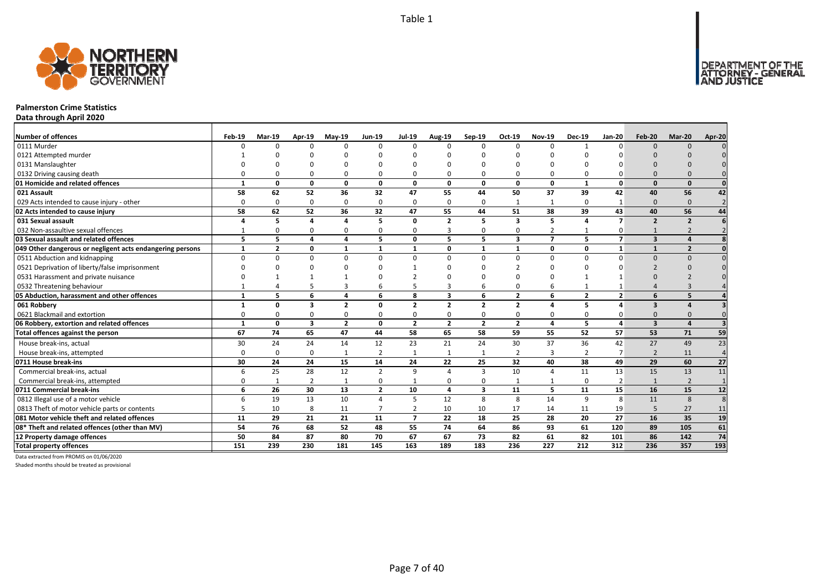

#### **Palmerston Crime Statistics**

**Data through April 2020**

| <b>Number of offences</b>                                 | Feb-19       | <b>Mar-19</b>  | Apr-19         | $May-19$       | Jun-19         | <b>Jul-19</b>  | <b>Aug-19</b>  | $Sep-19$       | Oct-19                  | <b>Nov-19</b>  | <b>Dec-19</b>  | <b>Jan-20</b>  | <b>Feb-20</b>           | Mar-20         | Apr-20         |
|-----------------------------------------------------------|--------------|----------------|----------------|----------------|----------------|----------------|----------------|----------------|-------------------------|----------------|----------------|----------------|-------------------------|----------------|----------------|
| 0111 Murder                                               |              | $\Omega$       | n              | $\Omega$       | $\Omega$       | $\Omega$       | $\Omega$       | $\Omega$       | $\Omega$                | $\Omega$       |                | $\Omega$       | $\Omega$                | $\Omega$       |                |
| 0121 Attempted murder                                     |              |                |                |                |                |                |                |                |                         |                |                |                |                         |                |                |
| 0131 Manslaughter                                         |              |                |                |                | O              |                |                |                |                         |                |                |                |                         |                |                |
| 0132 Driving causing death                                |              |                |                | O              | $\Omega$       |                |                |                | $\Omega$                | O              |                |                |                         |                |                |
| 01 Homicide and related offences                          |              | 0              | 0              | $\mathbf{0}$   | 0              | $\mathbf{0}$   | 0              | 0              | $\mathbf{0}$            | $\mathbf 0$    | $\mathbf{1}$   | $\Omega$       | $\Omega$                | $\Omega$       |                |
| 021 Assault                                               | 58           | 62             | 52             | 36             | 32             | 47             | 55             | 44             | 50                      | 37             | 39             | 42             | 40                      | 56             | 42             |
| 029 Acts intended to cause injury - other                 | $\Omega$     | $\Omega$       | $\Omega$       | $\Omega$       | $\mathbf 0$    | $\Omega$       | $\Omega$       | $\Omega$       | $\mathbf{1}$            | $\mathbf{1}$   | $\Omega$       |                | $\Omega$                | $\Omega$       | $\overline{2}$ |
| 02 Acts intended to cause injury                          | 58           | 62             | 52             | 36             | 32             | 47             | 55             | 44             | 51                      | 38             | 39             | 43             | 40                      | 56             | 44             |
| 031 Sexual assault                                        |              | 5              | $\Delta$       | $\overline{a}$ | 5              | $\Omega$       | $\overline{2}$ | 5              | $\overline{\mathbf{3}}$ | 5              | $\Delta$       | $\overline{ }$ | $\overline{2}$          | $\overline{2}$ |                |
| 032 Non-assaultive sexual offences                        |              | O              | $\Omega$       | 0              | 0              | $\Omega$       | 3              | $\Omega$       | $\Omega$                | 2              |                | 0              |                         |                |                |
| 03 Sexual assault and related offences                    | 5            | 5.             | 4              | 4              | 5              | $\Omega$       | 5              | 5              | $\overline{\mathbf{3}}$ | $\overline{7}$ | 5.             | $\overline{7}$ | $\overline{\mathbf{3}}$ |                |                |
| 049 Other dangerous or negligent acts endangering persons | $\mathbf{1}$ | $\overline{2}$ | 0              | $\mathbf{1}$   | $\mathbf{1}$   | $\mathbf{1}$   | O              | $\mathbf{1}$   | $\mathbf{1}$            | 0              | 0              | 1              | $\mathbf{1}$            | $\overline{2}$ |                |
| 0511 Abduction and kidnapping                             | $\Omega$     | $\Omega$       | $\Omega$       | $\Omega$       | $\Omega$       | $\Omega$       | $\Omega$       | $\Omega$       | $\Omega$                | $\Omega$       | $\Omega$       | $\Omega$       | $\Omega$                | $\Omega$       |                |
| 0521 Deprivation of liberty/false imprisonment            |              |                |                |                | n              |                |                |                |                         | U              |                |                |                         |                |                |
| 0531 Harassment and private nuisance                      |              |                |                |                | O              |                |                |                |                         |                |                |                |                         |                |                |
| 0532 Threatening behaviour                                |              |                |                | 3              | 6              |                |                |                | $\Omega$                | 6              |                |                |                         |                |                |
| 05 Abduction, harassment and other offences               | 1            | 5              | 6              | 4              | 6              | 8              | 3              | 6              | $\overline{2}$          | 6              | $\overline{2}$ | $\overline{2}$ | 6                       |                |                |
| 061 Robbery                                               |              | 0              | 3              | $\overline{2}$ | 0              | $\overline{2}$ | $\overline{2}$ | $\overline{2}$ | $\overline{2}$          | 4              | 5              | 4              | $\overline{\mathbf{3}}$ |                |                |
| 0621 Blackmail and extortion                              |              | 0              | $\Omega$       | 0              | 0              | 0              | 0              | $\Omega$       | 0                       | 0              | 0              |                | $\Omega$                |                |                |
| 06 Robbery, extortion and related offences                | $\mathbf{1}$ | 0              | 3              | $\overline{2}$ | 0              | $\overline{2}$ | $\overline{2}$ | $\overline{2}$ | $\overline{2}$          | 4              | 5              |                | $\overline{\mathbf{3}}$ |                |                |
| Total offences against the person                         | 67           | 74             | 65             | 47             | 44             | 58             | 65             | 58             | 59                      | 55             | 52             | 57             | 53                      | 71             | 59             |
| House break-ins, actual                                   | 30           | 24             | 24             | 14             | 12             | 23             | 21             | 24             | 30                      | 37             | 36             | 42             | 27                      | 49             | 23             |
| House break-ins, attempted                                | $\Omega$     | $\Omega$       | $\Omega$       | 1              | $\overline{2}$ |                | $\mathbf{1}$   |                | $\overline{2}$          | 3              | $\overline{2}$ |                | $\overline{2}$          | 11             | $\overline{4}$ |
| 0711 House break-ins                                      | 30           | 24             | 24             | 15             | 14             | 24             | 22             | 25             | 32                      | 40             | 38             | 49             | 29                      | 60             | 27             |
| Commercial break-ins, actual                              |              | 25             | 28             | 12             | $\overline{2}$ | q              | Δ              | 3              | 10                      | $\overline{4}$ | 11             | 13             | 15                      | 13             | 11             |
| Commercial break-ins, attempted                           |              |                | $\overline{2}$ | $\mathbf{1}$   | 0              |                | ი              | $\Omega$       | 1                       | 1              | $\Omega$       | 2              | $\mathbf{1}$            | $\overline{2}$ |                |
| 0711 Commercial break-ins                                 | 6            | 26             | 30             | 13             | $\overline{2}$ | 10             | 4              | 3              | 11                      | 5              | 11             | 15             | 16                      | 15             | 12             |
| 0812 Illegal use of a motor vehicle                       |              | 19             | 13             | 10             | 4              | 5              | 12             | 8              | 8                       | 14             | 9              | 8              | 11                      | 8              | 8              |
| 0813 Theft of motor vehicle parts or contents             |              | 10             | 8              | 11             | $\overline{7}$ | $\overline{2}$ | 10             | 10             | 17                      | 14             | 11             | 19             | 5                       | 27             | 11             |
| 081 Motor vehicle theft and related offences              | 11           | 29             | 21             | 21             | 11             | $\overline{ }$ | 22             | 18             | 25                      | 28             | 20             | 27             | 16                      | 35             | 19             |
| 08* Theft and related offences (other than MV)            | 54           | 76             | 68             | 52             | 48             | 55             | 74             | 64             | 86                      | 93             | 61             | 120            | 89                      | 105            | 61             |
| 12 Property damage offences                               | 50           | 84             | 87             | 80             | 70             | 67             | 67             | 73             | 82                      | 61             | 82             | 101            | 86                      | 142            | 74             |
| <b>Total property offences</b>                            | 151          | 239            | 230            | 181            | 145            | 163            | 189            | 183            | 236                     | 227            | 212            | 312            | 236                     | 357            | 193            |

Data extracted from PROMIS on 01/06/2020

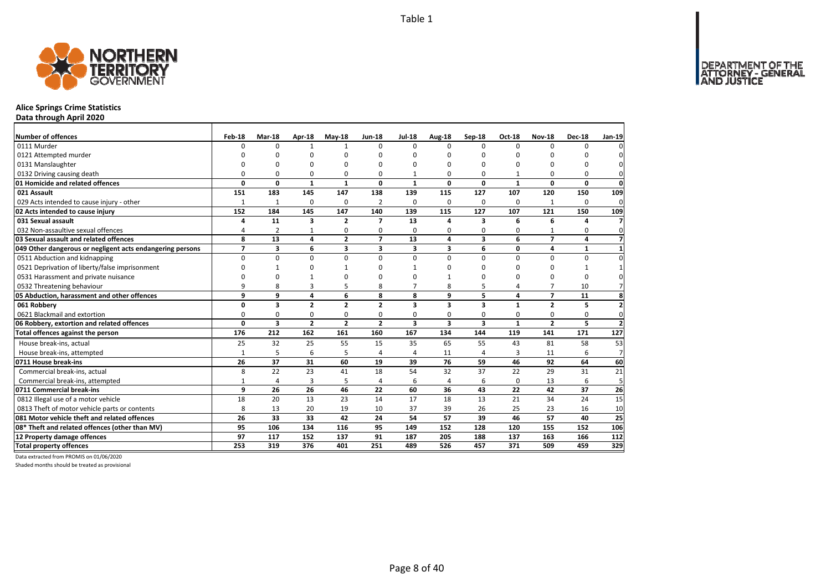DEPARTMENT OF THE<br>ATTORNEY - GENERAL<br>AND JUSTICE



### **Alice Springs Crime Statistics**

**Data through April 2020**

| Number of offences                                        | Feb-18         | Mar-18         | Apr-18         | $May-18$       | <b>Jun-18</b>           | <b>Jul-18</b>           | Aug-18       | Sep-18                  | Oct-18         | <b>Nov-18</b>  | <b>Dec-18</b> | Jan-19           |
|-----------------------------------------------------------|----------------|----------------|----------------|----------------|-------------------------|-------------------------|--------------|-------------------------|----------------|----------------|---------------|------------------|
| 0111 Murder                                               | $\Omega$       | $\Omega$       | 1              | $\mathbf{1}$   | $\Omega$                | $\Omega$                | <sup>0</sup> | $\Omega$                | $\Omega$       | $\Omega$       | O             |                  |
| 0121 Attempted murder                                     |                | O              | O              | $\Omega$       |                         | O                       | ŋ            | ŋ                       | O              |                | ŋ             |                  |
| 0131 Manslaughter                                         | $\Omega$       | O              | 0              | $\Omega$       |                         | O                       | 0            | 0                       | O              |                | 0             | $\Omega$         |
| 0132 Driving causing death                                | 0              | 0              | 0              | 0              | $\Omega$                |                         | 0            | 0                       | 1              | 0              | 0             | 0                |
| 01 Homicide and related offences                          | 0              | 0              | $\mathbf{1}$   | $\mathbf{1}$   | $\mathbf{0}$            | $\mathbf{1}$            | 0            | 0                       | $\mathbf{1}$   | 0              | 0             | $\mathbf{0}$     |
| 021 Assault                                               | 151            | 183            | 145            | 147            | 138                     | 139                     | 115          | 127                     | 107            | 120            | 150           | 109              |
| 029 Acts intended to cause injury - other                 | $\mathbf{1}$   | $\mathbf{1}$   | 0              | 0              | 2                       | 0                       | 0            | 0                       | 0              | $\mathbf{1}$   | 0             | 0                |
| 02 Acts intended to cause injury                          | 152            | 184            | 145            | 147            | 140                     | 139                     | 115          | 127                     | 107            | 121            | 150           | 109              |
| 031 Sexual assault                                        | 4              | 11             | 3              | $\overline{2}$ | $\overline{\mathbf{z}}$ | 13                      | 4            | 3                       | 6              | 6              | Δ             | $\overline{7}$   |
| 032 Non-assaultive sexual offences                        | 4              | $\overline{2}$ | $\mathbf{1}$   | $\Omega$       | $\Omega$                | 0                       | 0            | 0                       | $\Omega$       |                | 0             | $\mathbf{0}$     |
| 03 Sexual assault and related offences                    | 8              | 13             | 4              | $\overline{2}$ | $\overline{7}$          | 13                      | 4            | 3                       | 6              | $\overline{7}$ | 4             | $\overline{7}$   |
| 049 Other dangerous or negligent acts endangering persons | $\overline{ }$ | 3              | 6              | 3              | 3                       | 3                       | 3            | 6                       | $\mathbf 0$    | 4              | 1             |                  |
| 0511 Abduction and kidnapping                             | 0              | 0              | 0              | 0              | $\Omega$                | 0                       | $\Omega$     | $\Omega$                | 0              | $\Omega$       | 0             | 0                |
| 0521 Deprivation of liberty/false imprisonment            | $\Omega$       | 1              | 0              |                |                         |                         | ŋ            | ŋ                       | O              | O              | 1             |                  |
| 0531 Harassment and private nuisance                      | n              | 0              | 1              | $\Omega$       |                         | ŋ                       |              | 0                       | 0              | O              | $\Omega$      |                  |
| 0532 Threatening behaviour                                | 9              | 8              | 3              | 5              | 8                       | $\overline{7}$          | 8            | 5                       | 4              | $\overline{7}$ | 10            |                  |
| 05 Abduction, harassment and other offences               | 9              | 9              | 4              | 6              | 8                       | 8                       | 9            | 5                       | 4              | $\overline{ }$ | 11            | 8                |
| 061 Robbery                                               | 0              | 3              | $\overline{2}$ | $\overline{2}$ | $\overline{2}$          | $\overline{\mathbf{3}}$ | 3            | $\overline{\mathbf{3}}$ | $\mathbf{1}$   | $\overline{2}$ | 5             | $\overline{2}$   |
| 0621 Blackmail and extortion                              | $\Omega$       | 0              | 0              | $\mathbf 0$    | $\Omega$                | 0                       | 0            | 0                       | 0              | 0              | 0             | $\mathbf 0$      |
| 06 Robbery, extortion and related offences                | $\mathbf{0}$   | 3              | $\overline{2}$ | $\overline{2}$ | $\overline{2}$          | 3                       | 3            | $\overline{\mathbf{3}}$ | $\mathbf{1}$   | $\overline{2}$ | 5             | $\overline{2}$   |
| Total offences against the person                         | 176            | 212            | 162            | 161            | 160                     | 167                     | 134          | 144                     | 119            | 141            | 171           | $\overline{127}$ |
| House break-ins, actual                                   | 25             | 32             | 25             | 55             | 15                      | 35                      | 65           | 55                      | 43             | 81             | 58            | 53               |
| House break-ins, attempted                                | $\mathbf{1}$   | 5              | 6              | 5              |                         | $\Delta$                | 11           | 4                       | $\overline{3}$ | 11             | 6             | $\overline{7}$   |
| 0711 House break-ins                                      | 26             | 37             | 31             | 60             | 19                      | 39                      | 76           | 59                      | 46             | 92             | 64            | 60               |
| Commercial break-ins, actual                              | 8              | 22             | 23             | 41             | 18                      | 54                      | 32           | 37                      | 22             | 29             | 31            | 21               |
| Commercial break-ins, attempted                           | $\mathbf{1}$   | 4              | 3              | 5              | $\overline{4}$          | 6                       | 4            | 6                       | 0              | 13             | 6             | 5                |
| 0711 Commercial break-ins                                 | 9              | 26             | 26             | 46             | 22                      | 60                      | 36           | 43                      | 22             | 42             | 37            | 26               |
| 0812 Illegal use of a motor vehicle                       | 18             | 20             | 13             | 23             | 14                      | 17                      | 18           | 13                      | 21             | 34             | 24            | $\overline{15}$  |
| 0813 Theft of motor vehicle parts or contents             | 8              | 13             | 20             | 19             | 10                      | 37                      | 39           | 26                      | 25             | 23             | 16            | 10               |
| 081 Motor vehicle theft and related offences              | 26             | 33             | 33             | 42             | 24                      | 54                      | 57           | 39                      | 46             | 57             | 40            | 25               |
| 08* Theft and related offences (other than MV)            | 95             | 106            | 134            | 116            | 95                      | 149                     | 152          | 128                     | 120            | 155            | 152           | 106              |
| 12 Property damage offences                               | 97             | 117            | 152            | 137            | 91                      | 187                     | 205          | 188                     | 137            | 163            | 166           | 112              |
| <b>Total property offences</b>                            | 253            | 319            | 376            | 401            | 251                     | 489                     | 526          | 457                     | 371            | 509            | 459           | 329              |

Data extracted from PROMIS on 01/06/2020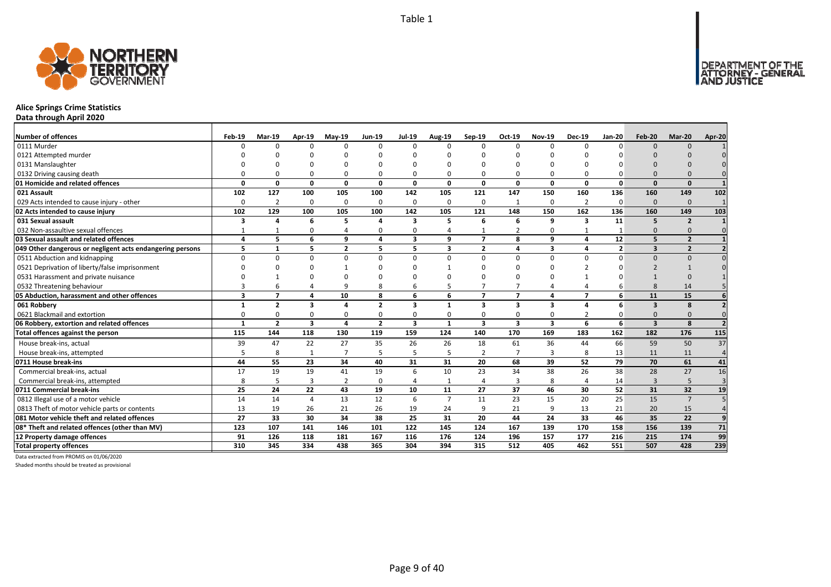

## **Alice Springs Crime Statistics**

**Data through April 2020**

| <b>Number of offences</b>                                 | Feb-19                  | <b>Mar-19</b>  | Apr-19                  | $May-19$       | <b>Jun-19</b>  | <b>Jul-19</b>           | <b>Aug-19</b>  | Sep-19                  | Oct-19                  | <b>Nov-19</b> | <b>Dec-19</b>            | <b>Jan-20</b>  | Feb-20                  | Mar-20         | Apr-20                  |
|-----------------------------------------------------------|-------------------------|----------------|-------------------------|----------------|----------------|-------------------------|----------------|-------------------------|-------------------------|---------------|--------------------------|----------------|-------------------------|----------------|-------------------------|
| 0111 Murder                                               | ŋ                       | $\Omega$       |                         | n              | $\Omega$       | $\Omega$                | U              | $\Omega$                | $\Omega$                | $\Omega$      |                          | $\Omega$       | $\Omega$                | $\Omega$       |                         |
| 0121 Attempted murder                                     |                         |                |                         |                |                |                         |                |                         |                         |               |                          |                |                         |                |                         |
| 0131 Manslaughter                                         |                         |                |                         |                | $\Omega$       |                         |                |                         |                         | O             |                          |                |                         |                |                         |
| 0132 Driving causing death                                |                         |                |                         | 0              | $\Omega$       |                         |                |                         | $\Omega$                | $\Omega$      |                          |                |                         |                |                         |
| 01 Homicide and related offences                          | $\Omega$                | 0              | $\Omega$                | $\mathbf{0}$   | 0              | $\mathbf{0}$            | 0              | 0                       | $\mathbf{0}$            | $\mathbf 0$   | 0                        | $\Omega$       | $\Omega$                | $\Omega$       |                         |
| 021 Assault                                               | 102                     | 127            | 100                     | 105            | 100            | 142                     | 105            | 121                     | 147                     | 150           | 160                      | 136            | 160                     | 149            | 102                     |
| 029 Acts intended to cause injury - other                 | $\Omega$                | $\overline{2}$ | $\Omega$                | 0              | 0              | 0                       | 0              | $\Omega$                | $\mathbf{1}$            | 0             | $\overline{2}$           | $\Omega$       | $\Omega$                | $\Omega$       |                         |
| 02 Acts intended to cause injury                          | 102                     | 129            | 100                     | 105            | 100            | 142                     | 105            | 121                     | 148                     | 150           | 162                      | 136            | 160                     | 149            | 103                     |
| 031 Sexual assault                                        | 3                       | Δ              | 6                       | 5              | 4              | $\mathbf{3}$            | 5              | 6                       | 6                       | 9             | 3                        | 11             | 5                       | $\overline{2}$ |                         |
| 032 Non-assaultive sexual offences                        |                         |                | O                       | Δ              | $\Omega$       | $\Omega$                |                |                         | $\overline{2}$          | 0             |                          |                | $\Omega$                | $\Omega$       |                         |
| 03 Sexual assault and related offences                    | 4                       | 5              | 6                       | 9              | 4              | $\overline{\mathbf{3}}$ | 9              | $\overline{7}$          | 8                       | 9             | 4                        | 12             | 5                       | $\overline{2}$ |                         |
| 049 Other dangerous or negligent acts endangering persons | 5                       | $\mathbf{1}$   | 5.                      | $\overline{2}$ | 5              | 5                       | 3              | $\overline{2}$          | $\overline{\mathbf{A}}$ | 3             | 4                        | $\overline{2}$ | $\overline{\mathbf{3}}$ | $\overline{2}$ |                         |
| 0511 Abduction and kidnapping                             | <sup>0</sup>            | $\Omega$       | n                       | $\Omega$       | $\Omega$       | $\Omega$                | U              | $\Omega$                | $\Omega$                | $\Omega$      | <sup>n</sup>             | n              | $\Omega$                | $\Omega$       |                         |
| 0521 Deprivation of liberty/false imprisonment            |                         |                |                         |                | <sup>n</sup>   |                         |                |                         |                         | ŋ             |                          |                |                         |                |                         |
| 0531 Harassment and private nuisance                      |                         |                |                         |                | n              |                         |                |                         |                         |               |                          |                |                         |                |                         |
| 0532 Threatening behaviour                                |                         |                |                         | q              | 8              | 6                       |                |                         |                         | 4             |                          |                | $\mathsf{R}$            | 14             |                         |
| 05 Abduction, harassment and other offences               | $\overline{\mathbf{3}}$ | $\overline{7}$ | $\Delta$                | 10             | 8              | 6                       | 6              | $\overline{7}$          | $\overline{7}$          | 4             | $\overline{\phantom{a}}$ | 6              | 11                      | 15             |                         |
| 061 Robbery                                               |                         | $\overline{2}$ | 3                       | Δ              | $\mathbf{2}$   | 3                       |                | 3                       | $\overline{\mathbf{3}}$ | 3             |                          | 6              | $\overline{\mathbf{3}}$ | 8              |                         |
| 0621 Blackmail and extortion                              |                         | n              |                         | 0              | $\Omega$       | $\Omega$                |                |                         | 0                       | 0             |                          |                | $\Omega$                |                |                         |
| 06 Robbery, extortion and related offences                | $\mathbf{1}$            | $\overline{2}$ | $\overline{\mathbf{3}}$ | $\overline{a}$ | $\overline{2}$ | $\overline{\mathbf{3}}$ | $\mathbf{1}$   | $\overline{\mathbf{3}}$ | $\overline{\mathbf{3}}$ | 3             | 6                        | 6              | $\overline{\mathbf{3}}$ | $\mathbf{8}$   | $\overline{\mathbf{z}}$ |
| Total offences against the person                         | 115                     | 144            | 118                     | 130            | 119            | 159                     | 124            | 140                     | 170                     | 169           | 183                      | 162            | 182                     | 176            | $\overline{115}$        |
| House break-ins, actual                                   | 39                      | 47             | 22                      | 27             | 35             | 26                      | 26             | 18                      | 61                      | 36            | 44                       | 66             | 59                      | 50             | $\overline{37}$         |
| House break-ins, attempted                                |                         | 8              | $\mathbf{1}$            | $\overline{7}$ | 5              |                         | 5              | 2                       | $\overline{7}$          | 3             | 8                        | 13             | 11                      | 11             | $\overline{4}$          |
| 0711 House break-ins                                      | 44                      | 55             | 23                      | 34             | 40             | 31                      | 31             | 20                      | 68                      | 39            | 52                       | 79             | 70                      | 61             | 41                      |
| Commercial break-ins, actual                              | 17                      | 19             | 19                      | 41             | 19             | 6                       | 10             | 23                      | 34                      | 38            | 26                       | 38             | 28                      | 27             | 16                      |
| Commercial break-ins, attempted                           | 8                       | 5              | $\overline{3}$          | $\overline{2}$ | $\mathbf 0$    |                         | -1             | $\overline{a}$          | $\overline{3}$          | 8             | 4                        | 14             | $\overline{3}$          | 5              | $\overline{3}$          |
| 0711 Commercial break-ins                                 | 25                      | 24             | 22                      | 43             | 19             | 10                      | 11             | 27                      | 37                      | 46            | 30                       | 52             | 31                      | 32             | 19                      |
| 0812 Illegal use of a motor vehicle                       | 14                      | 14             | 4                       | 13             | 12             | 6                       | $\overline{7}$ | 11                      | 23                      | 15            | 20                       | 25             | 15                      | $\overline{7}$ |                         |
| 0813 Theft of motor vehicle parts or contents             | 13                      | 19             | 26                      | 21             | 26             | 19                      | 24             | $\mathbf{q}$            | 21                      | 9             | 13                       | 21             | 20                      | 15             |                         |
| 081 Motor vehicle theft and related offences              | 27                      | 33             | 30                      | 34             | 38             | 25                      | 31             | 20                      | 44                      | 24            | 33                       | 46             | 35                      | 22             | 9                       |
| 08* Theft and related offences (other than MV)            | 123                     | 107            | 141                     | 146            | 101            | 122                     | 145            | 124                     | 167                     | 139           | 170                      | 158            | 156                     | 139            | 71                      |
| 12 Property damage offences                               | 91                      | 126            | 118                     | 181            | 167            | 116                     | 176            | 124                     | 196                     | 157           | 177                      | 216            | 215                     | 174            | 99                      |
| <b>Total property offences</b>                            | 310                     | 345            | 334                     | 438            | 365            | 304                     | 394            | 315                     | 512                     | 405           | 462                      | 551            | 507                     | 428            | 239                     |

Data extracted from PROMIS on 01/06/2020

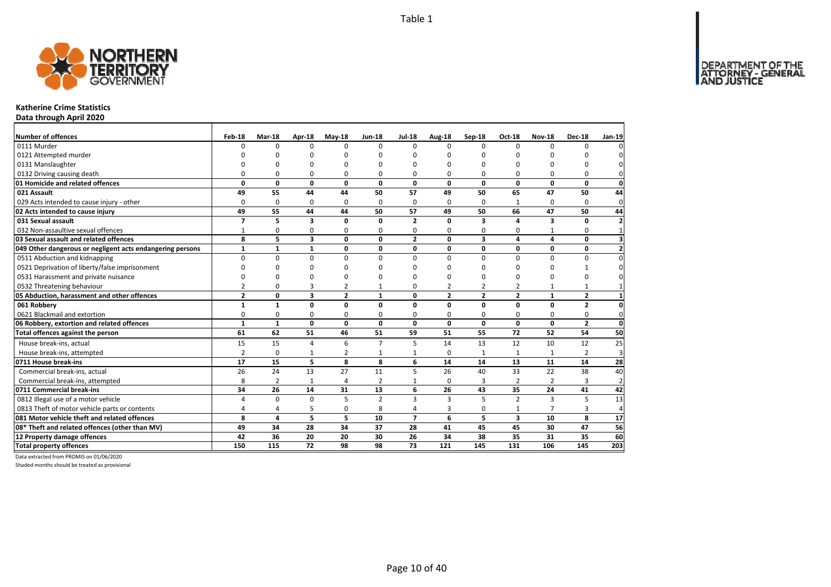

#### **Katherine Crime Statistics**

**Data through April 2020**

| <b>Number of offences</b>                                 | Feb-18         | Mar-18       | Apr-18                  | $Mav-18$       | <b>Jun-18</b>  | <b>Jul-18</b>           | Aug-18         | $Sep-18$                | <b>Oct-18</b>           | <b>Nov-18</b>  | <b>Dec-18</b>  | Jan-19         |
|-----------------------------------------------------------|----------------|--------------|-------------------------|----------------|----------------|-------------------------|----------------|-------------------------|-------------------------|----------------|----------------|----------------|
| 0111 Murder                                               | $\Omega$       | 0            | $\Omega$                | $\Omega$       | $\Omega$       | $\Omega$                | $\Omega$       | $\Omega$                | $\Omega$                | $\Omega$       | $\Omega$       |                |
| 0121 Attempted murder                                     |                | n            | n                       | n              |                | ŋ                       | n              | n                       | n                       |                | n              |                |
| 0131 Manslaughter                                         |                | <sup>0</sup> | O                       | $\Omega$       |                | ŋ                       | n              | ŋ                       | $\Omega$                |                | 0              |                |
| 0132 Driving causing death                                | $\Omega$       | 0            | $\Omega$                | 0              | 0              | $\Omega$                | 0              | ŋ                       | $\Omega$                | 0              | 0              | 0              |
| 01 Homicide and related offences                          | 0              | $\mathbf 0$  | $\mathbf{0}$            | $\mathbf 0$    | $\Omega$       | $\mathbf{0}$            | $\Omega$       | $\Omega$                | $\mathbf{0}$            | 0              | $\mathbf{0}$   | $\mathbf 0$    |
| 021 Assault                                               | 49             | 55           | 44                      | 44             | 50             | 57                      | 49             | 50                      | 65                      | 47             | 50             | 44             |
| 029 Acts intended to cause injury - other                 | $\Omega$       | 0            | 0                       | 0              | $\Omega$       | $\Omega$                | 0              | $\Omega$                | 1                       | 0              | 0              | $\mathbf{0}$   |
| 02 Acts intended to cause injury                          | 49             | 55           | 44                      | 44             | 50             | 57                      | 49             | 50                      | 66                      | 47             | 50             | 44             |
| 031 Sexual assault                                        | $\overline{7}$ | 5            | 3                       | $\mathbf{0}$   | <sup>0</sup>   | $\overline{2}$          | $\Omega$       | 3                       | 4                       | 3              | 0              | $\overline{2}$ |
| 032 Non-assaultive sexual offences                        | $\mathbf{1}$   | 0            | 0                       | 0              | $\Omega$       | 0                       | 0              | 0                       | 0                       |                | 0              | $\mathbf{1}$   |
| 03 Sexual assault and related offences                    | 8              | 5            | $\overline{\mathbf{3}}$ | $\mathbf 0$    | $\Omega$       | $\overline{2}$          | 0              | $\overline{\mathbf{3}}$ | 4                       | 4              | 0              | 3              |
| 049 Other dangerous or negligent acts endangering persons | $\mathbf{1}$   | $\mathbf{1}$ | $\mathbf{1}$            | $\mathbf{0}$   | 0              | 0                       | 0              | 0                       | 0                       | 0              | $\mathbf{0}$   | $\overline{2}$ |
| 0511 Abduction and kidnapping                             | $\Omega$       | 0            | $\Omega$                | $\Omega$       | $\Omega$       | $\Omega$                | 0              | $\Omega$                | $\Omega$                | $\Omega$       | $\Omega$       | $\Omega$       |
| 0521 Deprivation of liberty/false imprisonment            | $\Omega$       | 0            | $\Omega$                | $\Omega$       |                | ŋ                       | ŋ              | ŋ                       | $\Omega$                | n              | 1              |                |
| 0531 Harassment and private nuisance                      | $\Omega$       | 0            | $\Omega$                | $\Omega$       |                | $\Omega$                | O              | O                       | $\Omega$                | $\Omega$       | 0              |                |
| 0532 Threatening behaviour                                | $\overline{2}$ | 0            | 3                       | $\overline{2}$ | -1             | 0                       | $\overline{2}$ | 2                       | $\overline{2}$          | 1              | $\mathbf{1}$   |                |
| 05 Abduction, harassment and other offences               | $\overline{2}$ | 0            | 3                       | $\overline{2}$ | $\mathbf{1}$   | 0                       | $\overline{2}$ | $\overline{2}$          | $\overline{2}$          | $\mathbf{1}$   | $\mathbf{2}$   | 1              |
| 061 Robbery                                               | $\mathbf{1}$   | $\mathbf{1}$ | $\mathbf 0$             | $\mathbf{0}$   | $\Omega$       | 0                       | $\Omega$       | 0                       | $\mathbf 0$             | $\Omega$       | $\overline{2}$ | 0              |
| 0621 Blackmail and extortion                              | 0              | 0            | 0                       | 0              | 0              | 0                       | 0              | 0                       | 0                       | 0              | 0              | 0              |
| 06 Robbery, extortion and related offences                | 1              | $\mathbf{1}$ | $\mathbf{0}$            | $\mathbf 0$    | $\Omega$       | $\mathbf{0}$            | $\mathbf{0}$   | $\mathbf 0$             | $\mathbf 0$             | $\mathbf 0$    | $\mathbf{2}$   | $\mathbf 0$    |
| Total offences against the person                         | 61             | 62           | 51                      | 46             | 51             | 59                      | 51             | 55                      | 72                      | 52             | 54             | 50             |
| House break-ins, actual                                   | 15             | 15           | $\overline{4}$          | 6              | $\overline{7}$ | 5                       | 14             | 13                      | 12                      | 10             | 12             | 25             |
| House break-ins, attempted                                | $\overline{2}$ | $\mathbf 0$  | 1                       | $\overline{2}$ | $\mathbf{1}$   | 1                       | 0              | $\mathbf{1}$            | $\mathbf{1}$            | $\mathbf{1}$   | $\overline{2}$ | 3              |
| 0711 House break-ins                                      | 17             | 15           | 5                       | 8              | 8              | 6                       | 14             | 14                      | 13                      | 11             | 14             | 28             |
| Commercial break-ins, actual                              | 26             | 24           | 13                      | 27             | 11             | 5                       | 26             | 40                      | 33                      | 22             | 38             | 40             |
| Commercial break-ins, attempted                           | 8              | 2            | 1                       | 4              | 2              | $\mathbf{1}$            | 0              | 3                       | 2                       | 2              | 3              | $\overline{2}$ |
| 0711 Commercial break-ins                                 | 34             | 26           | 14                      | 31             | 13             | 6                       | 26             | 43                      | 35                      | 24             | 41             | 42             |
| 0812 Illegal use of a motor vehicle                       | 4              | 0            | $\Omega$                | 5              | $\overline{2}$ | $\overline{\mathbf{3}}$ | 3              | $\overline{5}$          | $\overline{2}$          | $\overline{3}$ | 5              | 13             |
| 0813 Theft of motor vehicle parts or contents             | 4              | 4            | 5                       | $\mathbf 0$    | 8              | $\overline{a}$          | 3              | 0                       | $\mathbf{1}$            | $\overline{7}$ | 3              | $\overline{4}$ |
| 081 Motor vehicle theft and related offences              | 8              | 4            | 5                       | 5              | 10             | $\overline{ }$          | 6              | 5                       | $\overline{\mathbf{3}}$ | 10             | 8              | 17             |
| 08* Theft and related offences (other than MV)            | 49             | 34           | 28                      | 34             | 37             | 28                      | 41             | 45                      | 45                      | 30             | 47             | 56             |
| 12 Property damage offences                               | 42             | 36           | 20                      | 20             | 30             | 26                      | 34             | 38                      | 35                      | 31             | 35             | 60             |
| <b>Total property offences</b>                            | 150            | 115          | $\overline{72}$         | 98             | 98             | 73                      | 121            | 145                     | 131                     | 106            | 145            | 203            |

Data extracted from PROMIS on 01/06/2020

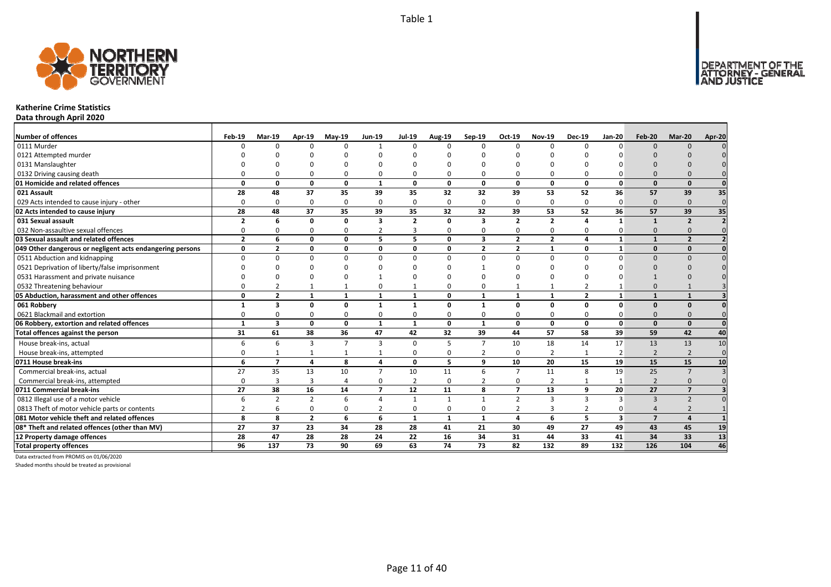

#### **Katherine Crime Statistics**

**Data through April 2020**

| Number of offences                                        | Feb-19         | Mar-19                   | Apr-19         | $May-19$     | <b>Jun-19</b>  | <b>Jul-19</b>  | <b>Aug-19</b> | Sep-19                  | Oct-19         | <b>Nov-19</b>  | <b>Dec-19</b>  | <b>Jan-20</b>           | Feb-20                   | Mar-20                   | Apr-20       |
|-----------------------------------------------------------|----------------|--------------------------|----------------|--------------|----------------|----------------|---------------|-------------------------|----------------|----------------|----------------|-------------------------|--------------------------|--------------------------|--------------|
| 0111 Murder                                               | $\Omega$       | $\Omega$                 | $\Omega$       | U            | -1             | $\Omega$       | $\Omega$      | n                       | $\Omega$       | $\Omega$       | $\Omega$       | <sup>n</sup>            | $\Omega$                 | $\cap$                   |              |
| 0121 Attempted murder                                     |                |                          |                |              |                |                |               |                         |                |                |                |                         |                          |                          |              |
| 0131 Manslaughter                                         |                |                          |                |              |                |                |               |                         |                |                |                |                         |                          |                          |              |
| 0132 Driving causing death                                |                |                          |                | 0            | 0              | 0              |               |                         | 0              | 0              |                |                         |                          |                          |              |
| 01 Homicide and related offences                          | 0              | 0                        | $\mathbf{0}$   | $\mathbf{0}$ | $\mathbf{1}$   | 0              | 0             | $\Omega$                | $\mathbf{0}$   | 0              | $\mathbf{0}$   | $\mathbf{0}$            | $\Omega$                 | $\mathbf{0}$             |              |
| 021 Assault                                               | 28             | 48                       | 37             | 35           | 39             | 35             | 32            | 32                      | 39             | 53             | 52             | 36                      | 57                       | 39                       | 35           |
| 029 Acts intended to cause injury - other                 | 0              | $\Omega$                 | $\Omega$       | $\Omega$     | 0              | $\Omega$       | $\Omega$      | $\Omega$                | 0              | 0              | 0              | $\Omega$                | $\Omega$                 | $\Omega$                 | $\mathbf{0}$ |
| 02 Acts intended to cause injury                          | 28             | 48                       | 37             | 35           | 39             | 35             | 32            | 32                      | 39             | 53             | 52             | 36                      | 57                       | 39                       | 35           |
| 031 Sexual assault                                        | 2              | 6                        | $\Omega$       | 0            | 3              | $\overline{2}$ | 0             | 3                       | $\overline{2}$ | $\mathbf{2}$   |                |                         |                          | $\overline{\phantom{a}}$ |              |
| 032 Non-assaultive sexual offences                        | $\Omega$       | <sup>n</sup>             | $\Omega$       | $\Omega$     | 2              | 3              | O             | n                       | $\Omega$       | $\Omega$       | $\Omega$       |                         | $\Omega$                 |                          |              |
| 03 Sexual assault and related offences                    | $\overline{2}$ | 6                        | $\Omega$       | $\Omega$     | 5              | 5.             | $\Omega$      | $\overline{\mathbf{3}}$ | $\overline{2}$ | $\overline{2}$ | 4              | $\mathbf{1}$            |                          | $\overline{\phantom{a}}$ |              |
| 049 Other dangerous or negligent acts endangering persons | 0              | $\overline{2}$           | $\Omega$       | 0            | 0              | 0              | 0             | $\overline{2}$          | $\overline{2}$ | $\mathbf{1}$   | $\Omega$       | $\mathbf{1}$            | $\Omega$                 | $\Omega$                 |              |
| 0511 Abduction and kidnapping                             | <sup>n</sup>   | $\Omega$                 | $\Omega$       | U            | $\Omega$       | 0              | $\Omega$      | n                       | $\Omega$       | $\Omega$       | $\Omega$       |                         | $\Omega$                 | n                        |              |
| 0521 Deprivation of liberty/false imprisonment            |                |                          |                |              |                | ŋ              |               |                         |                | ŋ              |                |                         |                          |                          |              |
| 0531 Harassment and private nuisance                      |                |                          |                |              |                |                |               |                         |                | $\Omega$       |                |                         |                          |                          |              |
| 0532 Threatening behaviour                                |                |                          |                |              | 0              |                |               |                         |                | $\mathbf{1}$   |                |                         | $\Omega$                 |                          |              |
| 05 Abduction, harassment and other offences               | 0              | $\overline{2}$           | $\mathbf{1}$   | $\mathbf{1}$ | 1              | 1              | 0             | $\mathbf{1}$            | $\mathbf{1}$   | $\mathbf{1}$   | $\overline{2}$ | $\mathbf{1}$            |                          | $\overline{\mathbf{1}}$  |              |
| 061 Robbery                                               |                | 3                        | $\Omega$       | $\Omega$     | $\mathbf{1}$   | $\mathbf{1}$   | 0             | $\mathbf{1}$            | $\Omega$       | 0              | $\Omega$       | $\Omega$                | $\Omega$                 | $\Omega$                 |              |
| 0621 Blackmail and extortion                              | O              | <sup>0</sup>             | $\Omega$       | O            | $\Omega$       | 0              | O             |                         | $\Omega$       | $\Omega$       | $\Omega$       |                         | $\Omega$                 |                          |              |
| 06 Robbery, extortion and related offences                | $\mathbf{1}$   | $\overline{\mathbf{3}}$  | $\mathbf{0}$   | $\mathbf{0}$ | $\mathbf{1}$   | 1              | $\mathbf{0}$  | $\mathbf{1}$            | $\mathbf{0}$   | $\mathbf{0}$   | $\mathbf{0}$   | $\mathbf{0}$            | $\Omega$                 | $\mathbf{0}$             | $\mathbf{0}$ |
| Total offences against the person                         | 31             | 61                       | 38             | 36           | 47             | 42             | 32            | 39                      | 44             | 57             | 58             | 39                      | 59                       | 42                       | 40           |
| House break-ins, actual                                   | 6              | 6                        | 3              | 7            | 3              | $\Omega$       | 5             | $\mathcal{L}$           | 10             | 18             | 14             | 17                      | 13                       | 13                       | 10           |
| House break-ins, attempted                                | 0              |                          |                | $\mathbf{1}$ | $\mathbf{1}$   | $\mathbf 0$    | <sup>0</sup>  | $\overline{2}$          | $\Omega$       | $\overline{2}$ |                | $\overline{2}$          | $\overline{2}$           | $\overline{2}$           | $\Omega$     |
| 0711 House break-ins                                      | 6              | $\overline{\phantom{a}}$ | 4              | 8            | 4              | 0              | 5             | q                       | 10             | 20             | 15             | 19                      | 15                       | 15                       | 10           |
| Commercial break-ins, actual                              | 27             | 35                       | 13             | 10           | $\overline{7}$ | 10             | 11            | 6                       | $\overline{7}$ | 11             | 8              | 19                      | 25                       | $\overline{7}$           |              |
| Commercial break-ins, attempted                           | $\Omega$       | 3                        | 3              | 4            | 0              | $\overline{2}$ | $\Omega$      |                         | 0              | $\overline{2}$ |                |                         | $\overline{\phantom{0}}$ | $\Omega$                 |              |
| 0711 Commercial break-ins                                 | 27             | 38                       | 16             | 14           | $\overline{7}$ | 12             | 11            | 8                       | $\overline{7}$ | 13             | 9              | 20                      | 27                       | $\overline{7}$           |              |
| 0812 Illegal use of a motor vehicle                       | 6              | $\mathcal{P}$            | $\overline{2}$ | 6            | $\overline{a}$ | $\mathbf{1}$   | $\mathbf{1}$  | $\mathbf{1}$            | $\overline{2}$ | 3              | 3              |                         | $\overline{3}$           | $\overline{z}$           |              |
| 0813 Theft of motor vehicle parts or contents             |                | 6                        | $\Omega$       | $\Omega$     | 2              | 0              | 0             |                         | $\overline{2}$ | 3              | $\overline{2}$ |                         | $\Lambda$                |                          |              |
| 081 Motor vehicle theft and related offences              | 8              | 8                        | $\overline{2}$ | 6            | 6              | $\mathbf{1}$   | $\mathbf{1}$  | $\mathbf{1}$            | $\overline{a}$ | 6              | 5              | $\overline{\mathbf{3}}$ | $\overline{7}$           | $\overline{a}$           |              |
| 08* Theft and related offences (other than MV)            | 27             | 37                       | 23             | 34           | 28             | 28             | 41            | 21                      | 30             | 49             | 27             | 49                      | 43                       | 45                       | 19           |
| 12 Property damage offences                               | 28             | 47                       | 28             | 28           | 24             | 22             | 16            | 34                      | 31             | 44             | 33             | 41                      | 34                       | 33                       | 13           |
| <b>Total property offences</b>                            | 96             | 137                      | 73             | 90           | 69             | 63             | 74            | 73                      | 82             | 132            | 89             | 132                     | 126                      | 104                      | 46           |

Data extracted from PROMIS on 01/06/2020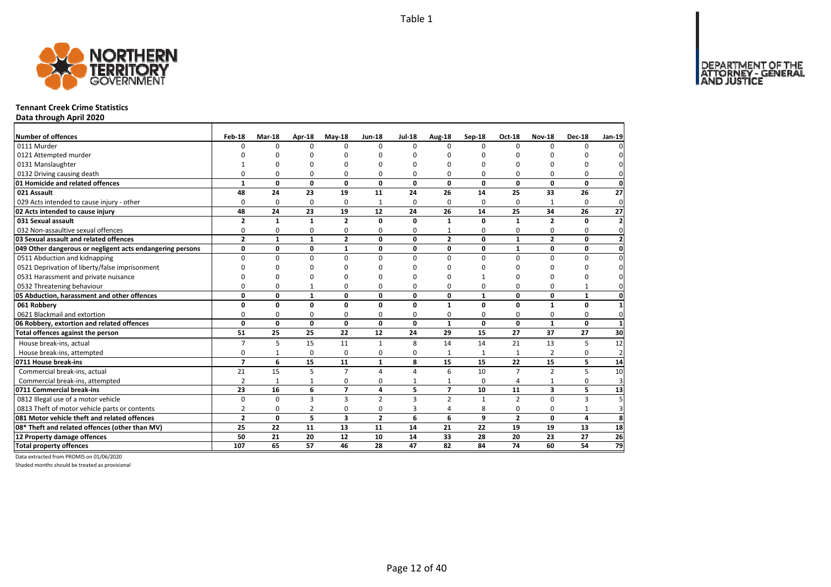DEPARTMENT OF THE<br>ATTORNEY - GENERAL



#### **Tennant Creek Crime Statistics**

**Data through April 2020**

| Number of offences                                        | Feb-18         | Mar-18       | Apr-18       | $Mav-18$       | <b>Jun-18</b>  | <b>Jul-18</b> | Aug-18         | $Sep-18$     | Oct-18         | <b>Nov-18</b>  | <b>Dec-18</b> | Jan-19                  |
|-----------------------------------------------------------|----------------|--------------|--------------|----------------|----------------|---------------|----------------|--------------|----------------|----------------|---------------|-------------------------|
| 0111 Murder                                               | $\Omega$       | $\Omega$     | $\Omega$     | $\Omega$       | $\Omega$       | $\Omega$      | $\Omega$       | $\Omega$     | $\Omega$       | $\Omega$       | 0             | $\Omega$                |
| 0121 Attempted murder                                     |                | ŋ            | n            | n              |                |               | O              | O            | $\Omega$       |                |               | $\Omega$                |
| 0131 Manslaughter                                         |                | O            | n            | O              |                |               | $\Omega$       | O            | $\Omega$       |                | 0             | $\Omega$                |
| 0132 Driving causing death                                | $\Omega$       | 0            | 0            | 0              | ŋ              | 0             | 0              | 0            | $\Omega$       | 0              | 0             | $\mathbf{0}$            |
| 01 Homicide and related offences                          | $\mathbf{1}$   | 0            | $\mathbf 0$  | $\mathbf 0$    | 0              | 0             | 0              | 0            | 0              | 0              | $\mathbf 0$   | $\mathbf{0}$            |
| 021 Assault                                               | 48             | 24           | 23           | 19             | 11             | 24            | 26             | 14           | 25             | 33             | 26            | 27                      |
| 029 Acts intended to cause injury - other                 | $\Omega$       | 0            | 0            | 0              | 1              | $\Omega$      | 0              | $\Omega$     | $\Omega$       |                | 0             | $\mathbf 0$             |
| 02 Acts intended to cause injury                          | 48             | 24           | 23           | 19             | 12             | 24            | 26             | 14           | 25             | 34             | 26            | 27                      |
| 031 Sexual assault                                        | $\overline{2}$ | $\mathbf{1}$ | 1            | $\overline{2}$ | O              | O             | 1              | 0            | 1              | $\overline{2}$ | $\Omega$      | $\mathbf{2}$            |
| 032 Non-assaultive sexual offences                        | 0              | 0            | 0            | $\Omega$       | 0              | $\Omega$      |                | 0            | 0              | $\Omega$       | 0             | $\mathbf 0$             |
| 03 Sexual assault and related offences                    | $\overline{2}$ | $\mathbf{1}$ | $\mathbf{1}$ | $\overline{2}$ | $\mathbf{0}$   | $\mathbf{0}$  | $\overline{2}$ | $\mathbf{0}$ | $\mathbf{1}$   | $\overline{2}$ | 0             | $\mathbf{2}$            |
| 049 Other dangerous or negligent acts endangering persons | 0              | 0            | 0            | 1              | 0              | 0             | 0              | 0            | $\mathbf{1}$   | 0              | 0             | $\mathbf{0}$            |
| 0511 Abduction and kidnapping                             | 0              | 0            | $\mathbf 0$  | $\mathbf 0$    | $\Omega$       | $\Omega$      | $\Omega$       | $\Omega$     | $\Omega$       | 0              | 0             | $\mathbf 0$             |
| 0521 Deprivation of liberty/false imprisonment            | $\Omega$       | $\Omega$     | 0            | $\Omega$       |                | n             | $\Omega$       | 0            | $\Omega$       | $\Omega$       | $\Omega$      | $\overline{0}$          |
| 0531 Harassment and private nuisance                      | $\Omega$       | O            | 0            | O              |                | n             | O              |              | O              | O              | 0             | $\mathbf 0$             |
| 0532 Threatening behaviour                                | 0              | 0            | $\mathbf{1}$ | 0              | $\Omega$       | $\Omega$      | 0              | 0            | 0              | 0              | $\mathbf{1}$  | $\mathbf 0$             |
| 05 Abduction, harassment and other offences               | 0              | 0            | $\mathbf{1}$ | $\mathbf{0}$   | $\mathbf{0}$   | $\Omega$      | 0              | $\mathbf{1}$ | 0              | 0              | $\mathbf{1}$  | $\mathbf{0}$            |
| 061 Robbery                                               | 0              | 0            | 0            | $\mathbf 0$    | 0              | 0             | $\mathbf{1}$   | 0            | 0              | $\mathbf{1}$   | 0             | $\mathbf{1}$            |
| 0621 Blackmail and extortion                              | 0              | 0            | 0            | $\Omega$       | 0              | $\Omega$      | 0              | 0            | $\Omega$       | 0              | 0             | $\mathbf{0}$            |
| 06 Robbery, extortion and related offences                | $\mathbf{0}$   | 0            | $\mathbf{0}$ | $\mathbf{0}$   | 0              | 0             | $\mathbf{1}$   | 0            | 0              | $\mathbf{1}$   | $\mathbf 0$   | $\mathbf{1}$            |
| Total offences against the person                         | 51             | 25           | 25           | 22             | 12             | 24            | 29             | 15           | 27             | 37             | 27            | 30                      |
| House break-ins, actual                                   | $\overline{7}$ | 5            | 15           | 11             | $\mathbf{1}$   | 8             | 14             | 14           | 21             | 13             | 5             | 12                      |
| House break-ins, attempted                                | 0              | $\mathbf{1}$ | 0            | $\Omega$       | 0              | $\Omega$      | 1              | 1            | $\mathbf{1}$   | $\overline{2}$ | 0             | $\overline{2}$          |
| 0711 House break-ins                                      | $\overline{7}$ | 6            | 15           | 11             | $\mathbf{1}$   | 8             | 15             | 15           | 22             | 15             | 5             | 14                      |
| Commercial break-ins, actual                              | 21             | 15           | 5            | $\overline{7}$ | $\Delta$       | 4             | 6              | 10           | $\overline{7}$ | $\overline{2}$ | 5             | 10                      |
| Commercial break-ins, attempted                           | $\overline{2}$ | $\mathbf{1}$ | 1            | 0              | 0              |               | 1              | $\Omega$     | 4              | 1              | 0             | $\overline{\mathbf{3}}$ |
| 0711 Commercial break-ins                                 | 23             | 16           | 6            | $\overline{7}$ | 4              | 5             | $\overline{ }$ | 10           | 11             | 3              | 5             | 13                      |
| 0812 Illegal use of a motor vehicle                       | 0              | $\Omega$     | 3            | $\overline{3}$ | $\overline{2}$ | 3             | $\overline{2}$ | $\mathbf{1}$ | $\overline{2}$ | $\Omega$       | 3             | $\overline{5}$          |
| 0813 Theft of motor vehicle parts or contents             | $\overline{2}$ | 0            | 2            | $\mathbf 0$    | $\mathbf 0$    | 3             | 4              | 8            | $\mathbf 0$    | 0              | $\mathbf{1}$  | $\overline{\mathbf{3}}$ |
| 081 Motor vehicle theft and related offences              | $\overline{2}$ | 0            | 5            | 3              | $\overline{2}$ | 6             | 6              | 9            | $\overline{2}$ | 0              | 4             | 8                       |
| 08* Theft and related offences (other than MV)            | 25             | 22           | 11           | 13             | 11             | 14            | 21             | 22           | 19             | 19             | 13            | 18                      |
| 12 Property damage offences                               | 50             | 21           | 20           | 12             | 10             | 14            | 33             | 28           | 20             | 23             | 27            | 26                      |
| <b>Total property offences</b>                            | 107            | 65           | 57           | 46             | 28             | 47            | 82             | 84           | 74             | 60             | 54            | 79                      |

Data extracted from PROMIS on 01/06/2020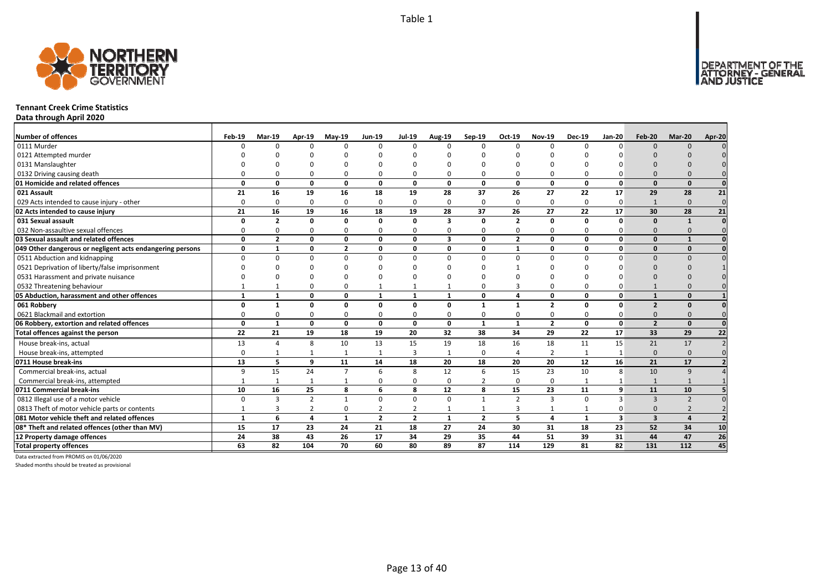

#### **Tennant Creek Crime Statistics**

**Data through April 2020**

| <b>Number of offences</b>                                 | Feb-19       | <b>Mar-19</b>  | Apr-19         | $May-19$                | <b>Jun-19</b>  | Jul-19         | <b>Aug-19</b> | $Sep-19$       | Oct-19         | <b>Nov-19</b>  | <b>Dec-19</b> | <b>Jan-20</b>           | Feb-20                  | Mar-20         | Apr-20          |
|-----------------------------------------------------------|--------------|----------------|----------------|-------------------------|----------------|----------------|---------------|----------------|----------------|----------------|---------------|-------------------------|-------------------------|----------------|-----------------|
| 0111 Murder                                               |              | $\Omega$       | $\Omega$       |                         | $\Omega$       | $\Omega$       | <sup>n</sup>  | $\Omega$       | $\Omega$       | $\Omega$       |               | $\Omega$                | $\Omega$                | $\Omega$       |                 |
| 0121 Attempted murder                                     |              |                |                |                         |                |                |               |                |                |                |               |                         |                         |                |                 |
| 0131 Manslaughter                                         |              |                |                |                         |                |                |               |                |                |                |               |                         |                         |                |                 |
| 0132 Driving causing death                                |              |                | ∩              |                         | $\Omega$       |                |               |                | $\Omega$       | $\Omega$       |               |                         |                         |                |                 |
| 01 Homicide and related offences                          | U            | 0              | $\Omega$       | $\mathbf{0}$            | $\mathbf{0}$   | 0              | 0             | $\Omega$       | $\mathbf{0}$   | 0              | $\mathbf 0$   | 0                       | $\Omega$                | $\mathbf{0}$   | $\Omega$        |
| 021 Assault                                               | 21           | 16             | 19             | 16                      | 18             | 19             | 28            | 37             | 26             | 27             | 22            | 17                      | 29                      | 28             | 21              |
| 029 Acts intended to cause injury - other                 | $\Omega$     | $\Omega$       | $\Omega$       | $\Omega$                | 0              | $\Omega$       | $\Omega$      | $\Omega$       | 0              | 0              | $\Omega$      | $\Omega$                | $\mathbf{1}$            | $\Omega$       | $\mathbf 0$     |
| 02 Acts intended to cause injury                          | 21           | 16             | 19             | 16                      | 18             | 19             | 28            | 37             | 26             | 27             | 22            | 17                      | 30                      | 28             | $\overline{21}$ |
| 031 Sexual assault                                        | O            | $\overline{2}$ | $\Omega$       | 0                       | 0              | 0              | 3             | $\Omega$       | $\overline{2}$ | 0              | 0             | O                       | $\Omega$                | $\mathbf{1}$   | $\Omega$        |
| 032 Non-assaultive sexual offences                        | 0            | $\Omega$       | $\Omega$       | $\Omega$                | 0              | $\Omega$       | $\Omega$      | $\Omega$       | $\Omega$       | 0              | $\Omega$      |                         | $\Omega$                | $\Omega$       |                 |
| 03 Sexual assault and related offences                    | O            | $\overline{2}$ | $\mathbf{0}$   | 0                       | 0              | 0              | 3             | $\Omega$       | $\overline{2}$ | 0              | $\Omega$      | O                       | $\Omega$                | $\mathbf{1}$   |                 |
| 049 Other dangerous or negligent acts endangering persons | 0            | $\mathbf{1}$   | $\Omega$       | $\overline{\mathbf{z}}$ | 0              | 0              | 0             | $\Omega$       | $\mathbf{1}$   | 0              | 0             | O                       | $\Omega$                | $\Omega$       |                 |
| 0511 Abduction and kidnapping                             | U            | $\Omega$       | $\Omega$       | <sup>0</sup>            | 0              | $\Omega$       | <sup>0</sup>  | n              | $\Omega$       | $\Omega$       | ŋ             |                         | $\Omega$                | $\Omega$       |                 |
| 0521 Deprivation of liberty/false imprisonment            |              |                |                |                         |                | n              |               |                |                | n              |               |                         | $\Omega$                |                |                 |
| 0531 Harassment and private nuisance                      |              |                |                |                         |                |                |               |                |                |                |               |                         |                         |                |                 |
| 0532 Threatening behaviour                                |              |                |                | 0                       | $\mathbf{1}$   |                |               |                | З              | 0              |               |                         |                         |                |                 |
| 05 Abduction, harassment and other offences               | $\mathbf{1}$ | $\mathbf{1}$   | $\Omega$       | 0                       | $\mathbf{1}$   | 1              | $\mathbf{1}$  | $\Omega$       | 4              | 0              | $\Omega$      | $\Omega$                |                         | $\Omega$       |                 |
| 061 Robbery                                               | U            | $\mathbf 1$    | $\Omega$       | O                       | 0              | O              | 0             |                | $\mathbf{1}$   | $\overline{2}$ | O             | ŋ                       | $\overline{2}$          | $\Omega$       |                 |
| 0621 Blackmail and extortion                              | ŋ            | O              | $\Omega$       | O                       | 0              | $\Omega$       | O             |                | $\Omega$       | 0              |               |                         | $\Omega$                |                |                 |
| 06 Robbery, extortion and related offences                | O            | $\mathbf{1}$   | $\mathbf{0}$   | $\mathbf{0}$            | $\mathbf{0}$   | 0              | $\mathbf{0}$  | 1              | $\mathbf{1}$   | $\overline{2}$ | $\mathbf 0$   | 0                       | $\overline{2}$          | $\Omega$       | $\Omega$        |
| Total offences against the person                         | 22           | 21             | 19             | 18                      | 19             | 20             | 32            | 38             | 34             | 29             | 22            | 17                      | 33                      | 29             | 22              |
| House break-ins, actual                                   | 13           | $\overline{a}$ | 8              | 10                      | 13             | 15             | 19            | 18             | 16             | 18             | 11            | 15                      | 21                      | 17             |                 |
| House break-ins, attempted                                | 0            |                | 1              | -1                      | 1              | 3              | $\mathbf{1}$  | $\Omega$       | $\overline{4}$ | $\overline{2}$ | $\mathbf{1}$  |                         | $\Omega$                | $\Omega$       | $\Omega$        |
| 0711 House break-ins                                      | 13           | 5              | $\mathbf{q}$   | 11                      | 14             | 18             | 20            | 18             | 20             | 20             | 12            | 16                      | 21                      | 17             |                 |
| Commercial break-ins, actual                              | 9            | 15             | 24             | $\overline{7}$          | 6              | 8              | 12            | 6              | 15             | 23             | 10            | 8                       | 10                      | 9              |                 |
| Commercial break-ins, attempted                           |              |                | $\mathbf{1}$   | $\mathbf{1}$            | 0              | $\Omega$       | 0             | $\overline{2}$ | 0              | 0              |               |                         |                         |                |                 |
| 0711 Commercial break-ins                                 | 10           | 16             | 25             | 8                       | 6              | 8              | 12            | 8              | 15             | 23             | 11            | 9                       | 11                      | 10             |                 |
| 0812 Illegal use of a motor vehicle                       | $\Omega$     | з              | $\overline{2}$ | $\overline{1}$          | 0              | $\mathbf 0$    | $\Omega$      | $\mathbf{1}$   | $\overline{2}$ | 3              | $\Omega$      | $\overline{\mathbf{a}}$ | $\mathbf{3}$            | $\overline{z}$ |                 |
| 0813 Theft of motor vehicle parts or contents             |              | 3              | $\overline{2}$ | $\Omega$                | $\overline{2}$ | $\overline{2}$ |               |                | $\overline{3}$ | $\mathbf{1}$   |               |                         | $\Omega$                |                |                 |
| 081 Motor vehicle theft and related offences              | $\mathbf{1}$ | 6              | $\overline{a}$ | $\mathbf{1}$            | $\overline{2}$ | $\overline{2}$ | $\mathbf{1}$  | $\overline{2}$ | 5              | 4              | $\mathbf{1}$  | $\overline{\mathbf{3}}$ | $\overline{\mathbf{3}}$ | $\Delta$       |                 |
| 08* Theft and related offences (other than MV)            | 15           | 17             | 23             | 24                      | 21             | 18             | 27            | 24             | 30             | 31             | 18            | 23                      | 52                      | 34             | 10              |
| 12 Property damage offences                               | 24           | 38             | 43             | 26                      | 17             | 34             | 29            | 35             | 44             | 51             | 39            | 31                      | 44                      | 47             | 26              |
| <b>Total property offences</b>                            | 63           | 82             | 104            | 70                      | 60             | 80             | 89            | 87             | 114            | 129            | 81            | 82                      | 131                     | 112            | 45              |

Data extracted from PROMIS on 01/06/2020

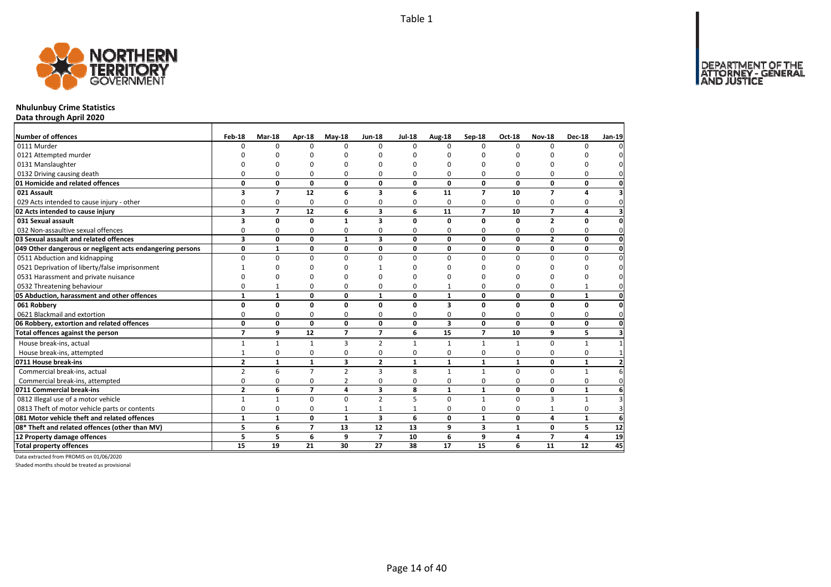

## **Nhulunbuy Crime Statistics**

**Data through April 2020**

| Number of offences                                        | Feb-18                  | <b>Mar-18</b>  | Apr-18         | $May-18$       | <b>Jun-18</b>           | <b>Jul-18</b> |                    | Sep-18         | <b>Oct-18</b> | <b>Nov-18</b>           | <b>Dec-18</b> | Jan-19                  |
|-----------------------------------------------------------|-------------------------|----------------|----------------|----------------|-------------------------|---------------|--------------------|----------------|---------------|-------------------------|---------------|-------------------------|
| 0111 Murder                                               | n                       | $\Omega$       | $\Omega$       | $\Omega$       | $\Omega$                | $\Omega$      | Aug-18<br>$\Omega$ | $\Omega$       | $\Omega$      | $\Omega$                | $\Omega$      | 0                       |
| 0121 Attempted murder                                     |                         |                |                | n              |                         |               | O                  | ŋ              |               |                         |               | 0                       |
| 0131 Manslaughter                                         |                         | U              |                | ŋ              |                         |               | ŋ                  | n              | n             | ŋ                       |               | $\mathbf 0$             |
| 0132 Driving causing death                                | $\Omega$                | 0              | 0              | $\Omega$       | ŋ                       | $\Omega$      | 0                  | O              | 0             | 0                       | $\Omega$      | $\mathbf{0}$            |
| 01 Homicide and related offences                          | 0                       | 0              | 0              | 0              | 0                       | 0             | 0                  | 0              | 0             | 0                       | 0             | $\mathbf{0}$            |
| 021 Assault                                               | 3                       | $\overline{7}$ | 12             | 6              | $\overline{\mathbf{3}}$ | 6             | 11                 | $\overline{ }$ | 10            | $\overline{7}$          | 4             | 3                       |
| 029 Acts intended to cause injury - other                 | 0                       | 0              | 0              | 0              | 0                       | $\Omega$      | 0                  | 0              | $\Omega$      | 0                       | 0             | $\mathbf 0$             |
| 02 Acts intended to cause injury                          | 3                       | $\overline{7}$ | 12             | 6              | $\overline{\mathbf{3}}$ | 6             | 11                 | $\overline{7}$ | 10            | $\overline{7}$          | 4             | $\overline{\mathbf{3}}$ |
| 031 Sexual assault                                        | 3                       | 0              | 0              | 1              | 3                       | 0             | 0                  | 0              | 0             | $\mathbf{2}$            | 0             | $\mathbf 0$             |
| 032 Non-assaultive sexual offences                        | 0                       | 0              | 0              | 0              | ŋ                       | 0             | 0                  | ŋ              | 0             | 0                       | 0             | $\mathbf 0$             |
| 03 Sexual assault and related offences                    | $\overline{\mathbf{3}}$ | 0              | $\mathbf 0$    | $\mathbf{1}$   | 3                       | 0             | 0                  | 0              | 0             | $\overline{2}$          | 0             | $\mathbf{0}$            |
| 049 Other dangerous or negligent acts endangering persons | 0                       | $\mathbf{1}$   | 0              | 0              | 0                       | 0             | 0                  | 0              | 0             | 0                       | 0             | $\mathbf 0$             |
| 0511 Abduction and kidnapping                             | $\Omega$                | $\Omega$       | $\Omega$       | $\Omega$       | $\Omega$                | $\Omega$      | $\Omega$           | $\Omega$       | $\Omega$      | $\mathbf 0$             | 0             | $\pmb{0}$               |
| 0521 Deprivation of liberty/false imprisonment            |                         | O              | 0              | n              |                         | n             | ŋ                  | ŋ              | C             | 0                       | $\Omega$      | $\mathsf{O}\xspace$     |
| 0531 Harassment and private nuisance                      | n                       | $\Omega$       | O              | $\Omega$       |                         | n             | ŋ                  | O              | C             | ŋ                       | $\Omega$      | 0                       |
| 0532 Threatening behaviour                                | 0                       | $\mathbf{1}$   | 0              | $\Omega$       | 0                       | 0             |                    | 0              | $\Omega$      | 0                       | $\mathbf{1}$  | $\mathbf{0}$            |
| 05 Abduction, harassment and other offences               | $\mathbf{1}$            | $\mathbf{1}$   | 0              | 0              | $\mathbf{1}$            | $\mathbf{0}$  | $\mathbf{1}$       | 0              | 0             | $\mathbf{0}$            | $\mathbf{1}$  | $\mathbf{0}$            |
| 061 Robbery                                               | 0                       | 0              | 0              | 0              | 0                       | $\mathbf{0}$  | 3                  | 0              | 0             | 0                       | 0             | $\pmb{0}$               |
| 0621 Blackmail and extortion                              | 0                       | 0              | 0              | 0              | 0                       | $\Omega$      | 0                  | 0              | 0             | 0                       | 0             | $\mathbf 0$             |
| 06 Robbery, extortion and related offences                | 0                       | 0              | $\mathbf{0}$   | 0              | 0                       | 0             | 3                  | 0              | $\Omega$      | 0                       | 0             | $\mathbf{0}$            |
| Total offences against the person                         | $\overline{7}$          | 9              | 12             | $\overline{7}$ | $\overline{7}$          | 6             | 15                 | $\overline{7}$ | 10            | 9                       | 5             | $\overline{\mathbf{3}}$ |
| House break-ins, actual                                   | 1                       | $\mathbf{1}$   | $\mathbf{1}$   | 3              | 2                       | $\mathbf{1}$  | $\mathbf{1}$       | $\mathbf{1}$   | 1             | 0                       | $\mathbf{1}$  | $\mathbf{1}$            |
| House break-ins, attempted                                |                         | 0              | 0              | 0              | 0                       | 0             | 0                  | 0              | 0             | 0                       | 0             | $\mathbf{1}$            |
| 0711 House break-ins                                      | $\overline{2}$          | $\mathbf{1}$   | $\mathbf{1}$   | 3              | $\overline{2}$          | $\mathbf{1}$  | $\mathbf{1}$       | $\mathbf{1}$   | 1             | 0                       | $\mathbf{1}$  | $\mathbf{2}$            |
| Commercial break-ins, actual                              | $\overline{2}$          | 6              | $\overline{7}$ | $\overline{2}$ | 3                       | 8             | $\mathbf{1}$       | $\mathbf{1}$   | $\Omega$      | 0                       | $\mathbf{1}$  | 6                       |
| Commercial break-ins, attempted                           | 0                       | 0              | 0              | $\overline{2}$ | 0                       | 0             | 0                  | 0              | 0             | 0                       | $\mathbf 0$   | $\mathbf 0$             |
| 0711 Commercial break-ins                                 | $\overline{2}$          | 6              | $\overline{7}$ | 4              | $\overline{\mathbf{3}}$ | 8             | $\mathbf{1}$       | $\mathbf{1}$   | 0             | 0                       | $\mathbf{1}$  | 6                       |
| 0812 Illegal use of a motor vehicle                       | $\mathbf{1}$            | $\mathbf{1}$   | $\mathbf 0$    | $\Omega$       | $\overline{2}$          | 5             | $\Omega$           | $\mathbf{1}$   | $\Omega$      | 3                       | $\mathbf{1}$  | $\overline{\mathbf{3}}$ |
| 0813 Theft of motor vehicle parts or contents             | 0                       | 0              | 0              |                |                         |               | 0                  | O              | $\Omega$      |                         | 0             | $\overline{3}$          |
| 081 Motor vehicle theft and related offences              | $\mathbf{1}$            | $\mathbf{1}$   | $\mathbf 0$    | $\mathbf{1}$   | $\overline{\mathbf{3}}$ | 6             | 0                  | $\mathbf{1}$   | $\mathbf 0$   | $\overline{\mathbf{4}}$ | $\mathbf{1}$  | 6                       |
| 08* Theft and related offences (other than MV)            | 5                       | 6              | $\overline{7}$ | 13             | 12                      | 13            | 9                  | 3              | $\mathbf{1}$  | 0                       | 5             | 12                      |
| 12 Property damage offences                               | 5                       | 5              | 6              | 9              | $\overline{ }$          | 10            | 6                  | 9              | 4             | $\overline{7}$          | 4             | 19                      |
| <b>Total property offences</b>                            | 15                      | 19             | 21             | 30             | 27                      | 38            | 17                 | 15             | 6             | 11                      | 12            | 45                      |

Data extracted from PROMIS on 01/06/2020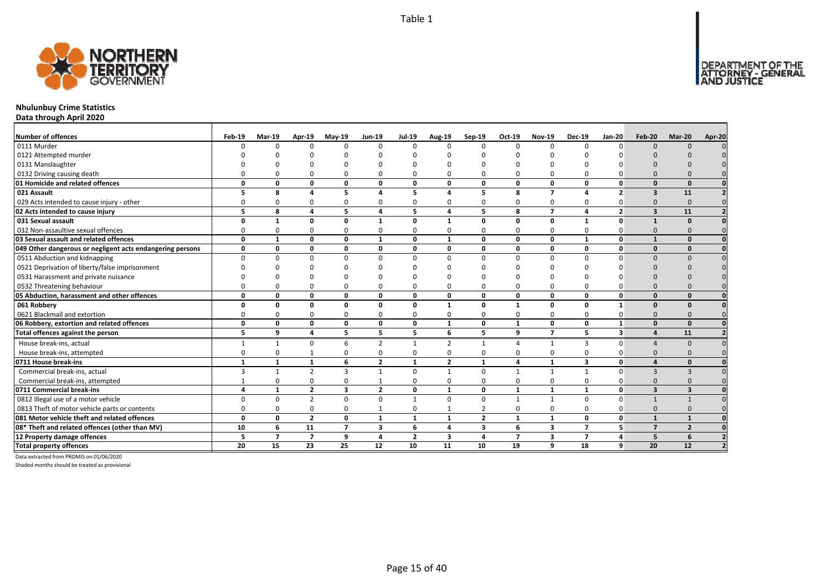

## **Nhulunbuy Crime Statistics**

**Data through April 2020**

| Number of offences                                        | Feb-19       | <b>Mar-19</b>  | Apr-19         | $May-19$       | <b>Jun-19</b>           | <b>Jul-19</b>  | <b>Aug-19</b>  | Sep-19                  | Oct-19                  | <b>Nov-19</b>  | <b>Dec-19</b>           | <b>Jan-20</b>            | <b>Feb-20</b>           | Mar-20         | Apr-20 |
|-----------------------------------------------------------|--------------|----------------|----------------|----------------|-------------------------|----------------|----------------|-------------------------|-------------------------|----------------|-------------------------|--------------------------|-------------------------|----------------|--------|
| 0111 Murder                                               |              | U              |                | $\Omega$       | $\Omega$                | $\Omega$       | $\Omega$       | $\Omega$                | $\Omega$                | $\Omega$       | $\Omega$                |                          | $\Omega$                | $\Omega$       |        |
| 0121 Attempted murder                                     |              |                |                |                |                         |                |                |                         |                         |                |                         |                          |                         |                |        |
| 0131 Manslaughter                                         |              |                |                |                |                         |                |                |                         |                         |                |                         |                          |                         |                |        |
| 0132 Driving causing death                                |              |                |                |                | $\Omega$                |                |                |                         | O                       | $\Omega$       |                         |                          |                         |                |        |
| 01 Homicide and related offences                          | O            | 0              | $\Omega$       | 0              | 0                       | $\Omega$       | 0              | $\Omega$                | $\mathbf{0}$            | 0              | 0                       | <sup>0</sup>             | $\Omega$                | $\Omega$       |        |
| 021 Assault                                               |              | 8              |                | 5              | 4                       |                | $\sqrt{2}$     | 5                       | 8                       | $\overline{7}$ |                         | $\overline{\phantom{a}}$ | $\mathbf{3}$            | 11             |        |
| 029 Acts intended to cause injury - other                 |              | O              |                | O              | $\Omega$                | O              |                |                         | $\Omega$                | 0              |                         |                          | $\Omega$                | $\Omega$       |        |
| 02 Acts intended to cause injury                          | 5            | 8              | $\Delta$       | 5              | $\overline{\mathbf{4}}$ | 5              | 4              | 5                       | 8                       | $\overline{7}$ | 4                       | $\overline{2}$           | $\overline{\mathbf{3}}$ | 11             |        |
| 031 Sexual assault                                        |              | 1              | $\Omega$       | Ω              | 1                       | $\Omega$       | 1              | n                       | $\Omega$                | 0              | $\mathbf{1}$            | U                        |                         |                |        |
| 032 Non-assaultive sexual offences                        | ŋ            | O              | ŋ              | $\Omega$       | 0                       | $\Omega$       | O              | n                       | $\Omega$                | 0              | $\Omega$                |                          | $\Omega$                |                |        |
| 03 Sexual assault and related offences                    | 0            | $\mathbf{1}$   | $\Omega$       | $\mathbf{0}$   | $\mathbf{1}$            | $\mathbf{0}$   | $\mathbf{1}$   | $\Omega$                | $\mathbf{0}$            | 0              | $\mathbf{1}$            | $\Omega$                 |                         | $\Omega$       |        |
| 049 Other dangerous or negligent acts endangering persons | 0            | 0              | $\Omega$       | 0              | 0                       | 0              | 0              | $\Omega$                | $\mathbf{0}$            | 0              | 0                       | $\Omega$                 | $\Omega$                | $\Omega$       |        |
| 0511 Abduction and kidnapping                             | n            | ŋ              |                | $\Omega$       | $\Omega$                | $\Omega$       | ŋ              | $\Omega$                | $\Omega$                | $\Omega$       | $\Omega$                |                          | $\Omega$                |                |        |
| 0521 Deprivation of liberty/false imprisonment            |              |                |                |                |                         |                |                |                         |                         | n              |                         |                          |                         |                |        |
| 0531 Harassment and private nuisance                      |              |                |                |                | n                       |                |                |                         |                         | ŋ              |                         |                          |                         |                |        |
| 0532 Threatening behaviour                                |              |                |                | $\Omega$       | $\mathbf 0$             | $\Omega$       |                |                         | $\Omega$                | $\mathbf 0$    | $\Omega$                |                          | $\Omega$                |                |        |
| 05 Abduction, harassment and other offences               | n            | $\Omega$       | $\Omega$       | 0              | 0                       | 0              | 0              | $\Omega$                | 0                       | 0              | $\mathbf{0}$            | $\Omega$                 | $\Omega$                | $\Omega$       |        |
| 061 Robbery                                               | O            | 0              | $\Omega$       | $\Omega$       | 0                       | 0              | $\mathbf{1}$   | $\Omega$                | $\mathbf{1}$            | 0              | $\mathbf{0}$            | $\mathbf{1}$             | $\Omega$                | $\Omega$       |        |
| 0621 Blackmail and extortion                              |              | <sup>0</sup>   | ŋ              | $\Omega$       | 0                       | $\Omega$       | O              | $\Omega$                | $\Omega$                | 0              | $\Omega$                |                          | $\Omega$                |                |        |
| 06 Robbery, extortion and related offences                | $\Omega$     | 0              | $\Omega$       | 0              | 0                       | $\mathbf{0}$   | $\mathbf{1}$   | $\Omega$                | $\mathbf{1}$            | 0              | $\mathbf{0}$            | $\mathbf{1}$             | $\Omega$                | $\Omega$       |        |
| Total offences against the person                         | 5            | 9              | 4              | 5              | 5                       | 5              | 6              | 5                       | 9                       | $\overline{7}$ | 5                       | $\overline{\mathbf{3}}$  | $\boldsymbol{\Lambda}$  | 11             |        |
| House break-ins, actual                                   | 1            | 1              | $\Omega$       | 6              | $\overline{2}$          | 1              | $\overline{2}$ |                         | $\Delta$                | $\mathbf{1}$   | 3                       | $\Omega$                 |                         | $\Omega$       |        |
| House break-ins, attempted                                | $\Omega$     | 0              |                | $\Omega$       | 0                       | $\Omega$       | <sup>0</sup>   | $\Omega$                | $\Omega$                | 0              | $\Omega$                |                          | $\Omega$                |                |        |
| 0711 House break-ins                                      | $\mathbf{1}$ | $\mathbf{1}$   | $\mathbf{1}$   | 6              | $\overline{2}$          | 1              | $\overline{2}$ | $\mathbf{1}$            | $\overline{a}$          | $\mathbf{1}$   | $\overline{\mathbf{3}}$ | $\mathbf{0}$             |                         | $\Omega$       |        |
| Commercial break-ins, actual                              |              | $\mathbf{1}$   | $\overline{z}$ | $\overline{3}$ | $\mathbf{1}$            | $\Omega$       | $\mathbf{1}$   | $\Omega$                | $\overline{\mathbf{1}}$ | $\mathbf{1}$   | 1                       | $\Omega$                 | $\mathbf{3}$            | $\mathbf{R}$   |        |
| Commercial break-ins, attempted                           |              | O              |                | $\Omega$       | 1                       | $\Omega$       |                |                         | $\Omega$                | 0              | $\Omega$                |                          | $\Omega$                |                |        |
| 0711 Commercial break-ins                                 | 4            | $\mathbf{1}$   | $\overline{2}$ | 3              | $\overline{2}$          | 0              | $\mathbf{1}$   | 0                       | $\mathbf{1}$            | 1              | 1                       | $\mathbf{0}$             | $\mathbf{3}$            | 3              |        |
| 0812 Illegal use of a motor vehicle                       | $\Omega$     | $\Omega$       | $\overline{2}$ | $\Omega$       | $\mathbf 0$             | $\mathbf{1}$   | $\Omega$       | $\Omega$                | $\overline{1}$          | $\mathbf{1}$   | $\Omega$                | U                        |                         |                |        |
| 0813 Theft of motor vehicle parts or contents             | $\Omega$     | U              | $\Omega$       | $\Omega$       | $\mathbf{1}$            | $\mathbf 0$    |                | 2                       | $\Omega$                | $\mathbf 0$    | $\Omega$                |                          | $\Omega$                |                |        |
| 081 Motor vehicle theft and related offences              | O            | 0              | $\overline{2}$ | 0              | $\mathbf{1}$            | $\mathbf{1}$   | $\mathbf{1}$   | $\overline{2}$          | 1                       | $\mathbf{1}$   | $\mathbf{0}$            | $\mathbf{0}$             | $\mathbf{1}$            | $\mathbf{1}$   |        |
| 08* Theft and related offences (other than MV)            | 10           | 6              | 11             | $\overline{7}$ | 3                       | 6              | 4              | $\overline{\mathbf{3}}$ | 6                       | 3              | $\overline{ }$          | 5                        | $\overline{7}$          | $\overline{2}$ |        |
| 12 Property damage offences                               | 5            | $\overline{ }$ | $\overline{7}$ | 9              | 4                       | $\overline{2}$ | 3              | 4                       | $\overline{7}$          | 3              | $\overline{ }$          | 4                        | 5                       | 6              |        |
| <b>Total property offences</b>                            | 20           | 15             | 23             | 25             | 12                      | 10             | 11             | 10                      | 19                      | 9              | 18                      | 9                        | 20                      | 12             |        |

Data extracted from PROMIS on 01/06/2020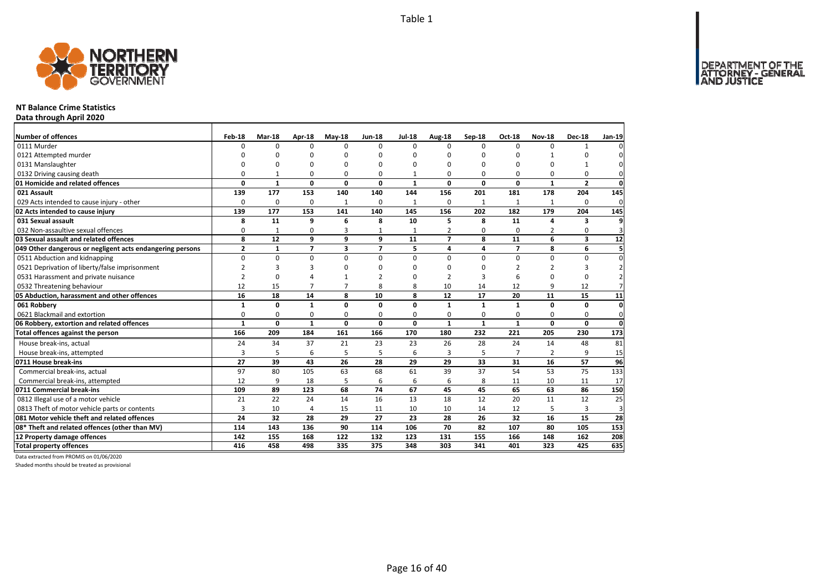

#### **NT Balance Crime Statistics**

**Data through April 2020**

| Number of offences<br>0111 Murder                         | Feb-18<br>$\Omega$ | Mar-18<br>$\Omega$ | Apr-18<br>$\Omega$ | $May-18$<br>$\Omega$ | <b>Jun-18</b><br>$\Omega$ | <b>Jul-18</b><br>$\Omega$ | Aug-18<br>$\Omega$ | Sep-18<br>$\Omega$  | Oct-18<br>$\Omega$ | <b>Nov-18</b><br>$\Omega$ | <b>Dec-18</b><br>1  | Jan-19                      |
|-----------------------------------------------------------|--------------------|--------------------|--------------------|----------------------|---------------------------|---------------------------|--------------------|---------------------|--------------------|---------------------------|---------------------|-----------------------------|
|                                                           |                    |                    |                    |                      |                           |                           |                    |                     |                    |                           |                     | 0                           |
| 0121 Attempted murder                                     |                    | O                  | U                  | O                    | ŋ                         |                           | O                  | O                   | ŋ                  |                           |                     | 0                           |
| 0131 Manslaughter                                         |                    | O                  | U                  | O                    | ŋ                         | n                         | O                  | 0<br>0              | 0                  | 0                         | 1                   | $\mathbf 0$<br>$\mathbf{0}$ |
| 0132 Driving causing death                                | 0<br>0             | 1<br>$\mathbf{1}$  | 0<br>$\mathbf{0}$  | 0<br>0               | 0<br>0                    |                           | 0<br>0             | 0                   | 0<br>0             | 0<br>$\mathbf{1}$         | 0<br>$\overline{2}$ | $\mathbf{0}$                |
| 01 Homicide and related offences<br>021 Assault           | 139                | 177                | 153                | 140                  | 140                       | $\mathbf{1}$<br>144       | 156                | 201                 | 181                | 178                       | 204                 | 145                         |
|                                                           |                    |                    |                    |                      |                           |                           |                    |                     |                    |                           |                     |                             |
| 029 Acts intended to cause injury - other                 | 0<br>139           | 0<br>177           | 0<br>153           | $\mathbf{1}$<br>141  | 0<br>140                  | $\mathbf{1}$<br>145       | 0<br>156           | $\mathbf{1}$<br>202 | 1<br>182           | $\mathbf{1}$<br>179       | 0<br>204            | $\mathbf 0$<br>145          |
| 02 Acts intended to cause injury                          |                    |                    |                    |                      |                           |                           |                    |                     |                    |                           |                     |                             |
| 031 Sexual assault                                        | 8                  | 11                 | 9                  | 6                    | 8                         | 10                        | 5                  | 8                   | 11                 | 4                         | 3                   | 9                           |
| 032 Non-assaultive sexual offences                        | 0                  | 1                  | 0                  | 3                    |                           | $\mathbf{1}$              | $\overline{2}$     | 0                   | $\Omega$           | 2                         | $\mathbf 0$         | $\overline{3}$              |
| 03 Sexual assault and related offences                    | 8                  | 12                 | 9                  | 9                    | 9                         | 11                        | $\overline{7}$     | 8                   | 11                 | 6                         | 3                   | 12                          |
| 049 Other dangerous or negligent acts endangering persons | $\mathbf{2}$       | $\mathbf{1}$       | $\overline{7}$     | 3                    | $\overline{\phantom{a}}$  | 5                         | 4                  | 4                   | $\overline{7}$     | 8                         | 6                   | 5                           |
| 0511 Abduction and kidnapping                             | 0                  | $\mathbf 0$        | 0                  | $\Omega$             | $\Omega$                  | $\Omega$                  | $\Omega$           | 0                   | 0                  | 0                         | 0                   | 0                           |
| 0521 Deprivation of liberty/false imprisonment            | $\overline{2}$     | 3                  | 3                  | O                    | ŋ                         | n                         | O                  | $\Omega$            | $\overline{2}$     | $\overline{2}$            | 3                   | $\overline{2}$              |
| 0531 Harassment and private nuisance                      | $\overline{2}$     | 0                  | 4                  |                      |                           | n                         |                    | 3                   | 6                  | $\Omega$                  | $\mathbf 0$         | $\overline{2}$              |
| 0532 Threatening behaviour                                | 12                 | 15                 | $\overline{7}$     | $\overline{7}$       | 8                         | 8                         | 10                 | 14                  | 12                 | 9                         | 12                  | $\overline{7}$              |
| 05 Abduction, harassment and other offences               | 16                 | 18                 | 14                 | 8                    | 10                        | 8                         | 12                 | 17                  | 20                 | 11                        | 15                  | 11                          |
| 061 Robbery                                               | $\mathbf{1}$       | 0                  | $\mathbf{1}$       | $\Omega$             | 0                         | $\Omega$                  | $\mathbf{1}$       | $\mathbf{1}$        | $\mathbf{1}$       | 0                         | 0                   | $\mathbf{0}$                |
| 0621 Blackmail and extortion                              | 0                  | $\mathbf 0$        | 0                  | $\mathbf 0$          | 0                         | 0                         | 0                  | 0                   | 0                  | 0                         | $\mathbf 0$         | $\mathbf{0}$                |
| 06 Robbery, extortion and related offences                | $\mathbf{1}$       | $\mathbf 0$        | $\mathbf{1}$       | 0                    | $\mathbf{0}$              | $\mathbf{0}$              | $\mathbf{1}$       | $\mathbf{1}$        | $\mathbf{1}$       | $\mathbf{0}$              | 0                   | $\mathbf{0}$                |
| Total offences against the person                         | 166                | 209                | 184                | 161                  | 166                       | 170                       | 180                | 232                 | 221                | 205                       | 230                 | 173                         |
| House break-ins, actual                                   | 24                 | 34                 | 37                 | 21                   | 23                        | 23                        | 26                 | 28                  | 24                 | 14                        | 48                  | 81                          |
| House break-ins, attempted                                | 3                  | 5                  | 6                  | 5                    | 5                         | 6                         | 3                  | 5                   | $\overline{7}$     | $\overline{2}$            | 9                   | 15                          |
| 0711 House break-ins                                      | 27                 | 39                 | 43                 | 26                   | 28                        | 29                        | 29                 | 33                  | 31                 | 16                        | 57                  | 96                          |
| Commercial break-ins, actual                              | 97                 | 80                 | 105                | 63                   | 68                        | 61                        | 39                 | 37                  | 54                 | 53                        | 75                  | 133                         |
| Commercial break-ins, attempted                           | 12                 | 9                  | 18                 | 5                    | 6                         | 6                         | 6                  | 8                   | 11                 | 10                        | 11                  | 17                          |
| 0711 Commercial break-ins                                 | 109                | 89                 | 123                | 68                   | 74                        | 67                        | 45                 | 45                  | 65                 | 63                        | 86                  | 150                         |
| 0812 Illegal use of a motor vehicle                       | 21                 | 22                 | 24                 | 14                   | 16                        | 13                        | 18                 | 12                  | 20                 | 11                        | 12                  | 25                          |
| 0813 Theft of motor vehicle parts or contents             | 3                  | 10                 | 4                  | 15                   | 11                        | 10                        | 10                 | 14                  | 12                 | 5                         | 3                   | $\overline{3}$              |
| 081 Motor vehicle theft and related offences              | 24                 | 32                 | 28                 | 29                   | 27                        | 23                        | 28                 | 26                  | 32                 | 16                        | 15                  | 28                          |
| 08* Theft and related offences (other than MV)            | 114                | 143                | 136                | 90                   | 114                       | 106                       | 70                 | 82                  | 107                | 80                        | 105                 | 153                         |
| 12 Property damage offences                               | 142                | 155                | 168                | 122                  | 132                       | 123                       | 131                | 155                 | 166                | 148                       | 162                 | 208                         |
| <b>Total property offences</b>                            | 416                | 458                | 498                | 335                  | 375                       | 348                       | 303                | 341                 | 401                | 323                       | 425                 | 635                         |

Data extracted from PROMIS on 01/06/2020

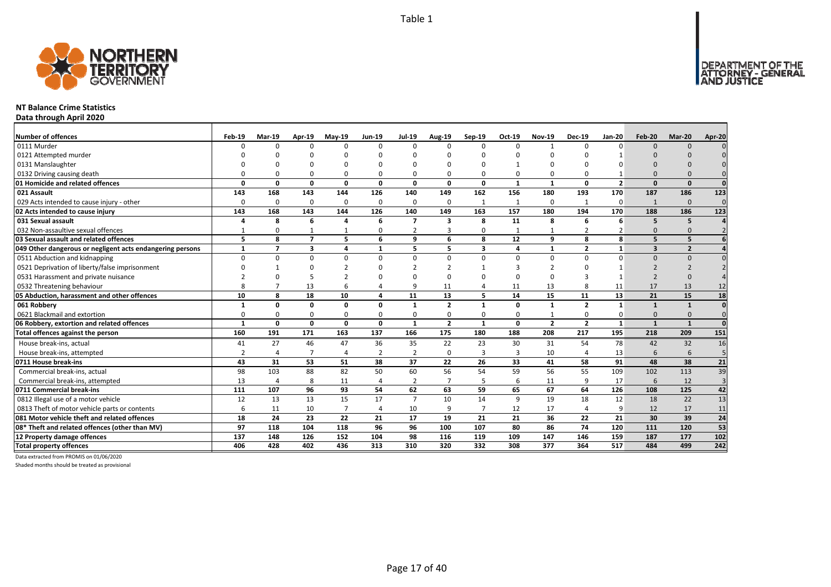

#### **NT Balance Crime Statistics**

**Data through April 2020**

| Number of offences                                        | Feb-19         | <b>Mar-19</b>           | Apr-19                   | $May-19$       | <b>Jun-19</b>  | <b>Jul-19</b>  | Aug-19         | Sep-19                  | Oct-19         | <b>Nov-19</b>  | <b>Dec-19</b>  | <b>Jan-20</b>  | Feb-20                  | Mar-20         | Apr-20          |
|-----------------------------------------------------------|----------------|-------------------------|--------------------------|----------------|----------------|----------------|----------------|-------------------------|----------------|----------------|----------------|----------------|-------------------------|----------------|-----------------|
| 0111 Murder                                               | U              | $\Omega$                | n                        | $\Omega$       | $\Omega$       | $\Omega$       | <sup>0</sup>   | $\Omega$                | $\Omega$       | $\mathbf{1}$   | n              | O              | $\Omega$                | $\Omega$       |                 |
| 0121 Attempted murder                                     |                |                         |                          |                |                |                |                |                         |                |                |                |                |                         |                |                 |
| 0131 Manslaughter                                         |                |                         |                          |                |                |                |                |                         |                |                |                |                |                         |                |                 |
| 0132 Driving causing death                                |                |                         |                          | O              | $\Omega$       |                |                |                         | $\Omega$       | 0              |                |                | $\Omega$                |                |                 |
| 01 Homicide and related offences                          | O              | $\Omega$                | $\Omega$                 | 0              | $\mathbf{0}$   | $\Omega$       | O              | $\Omega$                | $\mathbf{1}$   | $\mathbf{1}$   | $\Omega$       | $\overline{2}$ | $\Omega$                | $\Omega$       | $\mathbf{0}$    |
| 021 Assault                                               | 143            | 168                     | 143                      | 144            | 126            | 140            | 149            | 162                     | 156            | 180            | 193            | 170            | 187                     | 186            | 123             |
| 029 Acts intended to cause injury - other                 | $\Omega$       | $\Omega$                | $\Omega$                 | 0              | 0              | 0              | <sup>0</sup>   |                         | 1              | 0              | $\mathbf{1}$   | 0              |                         | $\Omega$       | $\Omega$        |
| 02 Acts intended to cause injury                          | 143            | 168                     | 143                      | 144            | 126            | 140            | 149            | 163                     | 157            | 180            | 194            | 170            | 188                     | 186            | 123             |
| 031 Sexual assault                                        |                | 8                       | 6                        | Δ              | 6              | 7              | 3              | 8                       | 11             | 8              | 6              | 6              | 5                       | 5              |                 |
| 032 Non-assaultive sexual offences                        |                | $\Omega$                |                          |                | $\Omega$       | 2              | 3              | $\Omega$                | $\mathbf{1}$   | $\mathbf{1}$   | 2              |                | $\Omega$                |                |                 |
| 03 Sexual assault and related offences                    | 5              | 8                       | $\overline{\phantom{a}}$ | 5              | 6              | $\mathbf{q}$   | 6              | 8                       | 12             | 9              | 8              | $\mathbf{g}$   | 5                       | 5              |                 |
| 049 Other dangerous or negligent acts endangering persons | $\mathbf{1}$   | $\overline{\mathbf{z}}$ | $\overline{\mathbf{3}}$  | 4              | 1              | 5              | 5              | $\overline{\mathbf{3}}$ | $\overline{4}$ | $\mathbf{1}$   | $\overline{2}$ | $\mathbf{1}$   | $\overline{\mathbf{3}}$ | $\overline{2}$ |                 |
| 0511 Abduction and kidnapping                             | $\Omega$       | $\Omega$                | $\Omega$                 | $\Omega$       | 0              | $\Omega$       | $\Omega$       | $\Omega$                | $\Omega$       | $\Omega$       | $\Omega$       | $\Omega$       | $\Omega$                | $\Omega$       |                 |
| 0521 Deprivation of liberty/false imprisonment            |                |                         |                          |                | $\Omega$       |                |                |                         |                |                |                |                |                         |                |                 |
| 0531 Harassment and private nuisance                      |                |                         |                          |                | $\Omega$       |                |                |                         | $\Omega$       | $\Omega$       |                |                |                         |                |                 |
| 0532 Threatening behaviour                                | 8              |                         | 13                       | 6              | 4              | $\mathbf{q}$   | 11             |                         | 11             | 13             | 8              | 11             | 17                      | 13             | 12              |
| 05 Abduction, harassment and other offences               | 10             | 8                       | 18                       | 10             | 4              | 11             | 13             | 5                       | 14             | 15             | 11             | 13             | 21                      | 15             | 18              |
| 061 Robbery                                               | $\mathbf{1}$   | 0                       | 0                        | $\mathbf{0}$   | 0              | 1              | $\overline{2}$ | $\mathbf{1}$            | $\mathbf{0}$   | $\mathbf{1}$   | $\overline{2}$ | 1              | $\mathbf{1}$            | $\mathbf{1}$   | $\mathbf 0$     |
| 0621 Blackmail and extortion                              | 0              | <sup>0</sup>            | O                        | $\Omega$       | 0              | $\Omega$       | 0              | $\Omega$                | $\mathbf 0$    | 1              | $\Omega$       | 0              | $\Omega$                | $\Omega$       | $\Omega$        |
| 06 Robbery, extortion and related offences                | $\mathbf{1}$   | 0                       | 0                        | $\mathbf{0}$   | 0              | 1              | $\overline{2}$ | 1                       | $\mathbf{0}$   | $\overline{2}$ | $\overline{2}$ | $\mathbf{1}$   | $\mathbf{1}$            | $\mathbf{1}$   | $\mathbf 0$     |
| Total offences against the person                         | 160            | 191                     | 171                      | 163            | 137            | 166            | 175            | 180                     | 188            | 208            | 217            | 195            | 218                     | 209            | 151             |
| House break-ins, actual                                   | 41             | 27                      | 46                       | 47             | 36             | 35             | 22             | 23                      | 30             | 31             | 54             | 78             | 42                      | 32             | 16              |
| House break-ins, attempted                                | $\overline{2}$ | Δ                       | $\overline{7}$           | $\overline{4}$ | $\overline{2}$ | $\overline{2}$ | 0              | 3                       | $\overline{3}$ | 10             | 4              | 13             | 6                       | 6              | 5               |
| 0711 House break-ins                                      | 43             | 31                      | 53                       | 51             | 38             | 37             | 22             | 26                      | 33             | 41             | 58             | 91             | 48                      | 38             | $\overline{21}$ |
| Commercial break-ins, actual                              | 98             | 103                     | 88                       | 82             | 50             | 60             | 56             | 54                      | 59             | 56             | 55             | 109            | 102                     | 113            | 39              |
| Commercial break-ins, attempted                           | 13             | 4                       | 8                        | 11             | 4              | 2              | 7              |                         | 6              | 11             | q              | 17             | 6                       | 12             | $\overline{3}$  |
| 0711 Commercial break-ins                                 | 111            | 107                     | 96                       | 93             | 54             | 62             | 63             | 59                      | 65             | 67             | 64             | 126            | 108                     | 125            | 42              |
| 0812 Illegal use of a motor vehicle                       | 12             | 13                      | 13                       | 15             | 17             | $\overline{7}$ | 10             | 14                      | 9              | 19             | 18             | 12             | 18                      | 22             | 13              |
| 0813 Theft of motor vehicle parts or contents             | 6              | 11                      | 10                       | $\overline{7}$ | 4              | 10             | 9              | $\overline{7}$          | 12             | 17             | $\overline{4}$ | 9              | 12                      | 17             | 11              |
| 081 Motor vehicle theft and related offences              | 18             | 24                      | 23                       | 22             | 21             | 17             | 19             | 21                      | 21             | 36             | 22             | 21             | 30                      | 39             | $\overline{24}$ |
| 08* Theft and related offences (other than MV)            | 97             | 118                     | 104                      | 118            | 96             | 96             | 100            | 107                     | 80             | 86             | 74             | 120            | 111                     | 120            | 53              |
| 12 Property damage offences                               | 137            | 148                     | 126                      | 152            | 104            | 98             | 116            | 119                     | 109            | 147            | 146            | 159            | 187                     | 177            | 102             |
| <b>Total property offences</b>                            | 406            | 428                     | 402                      | 436            | 313            | 310            | 320            | 332                     | 308            | 377            | 364            | 517            | 484                     | 499            | 242             |

Data extracted from PROMIS on 01/06/2020

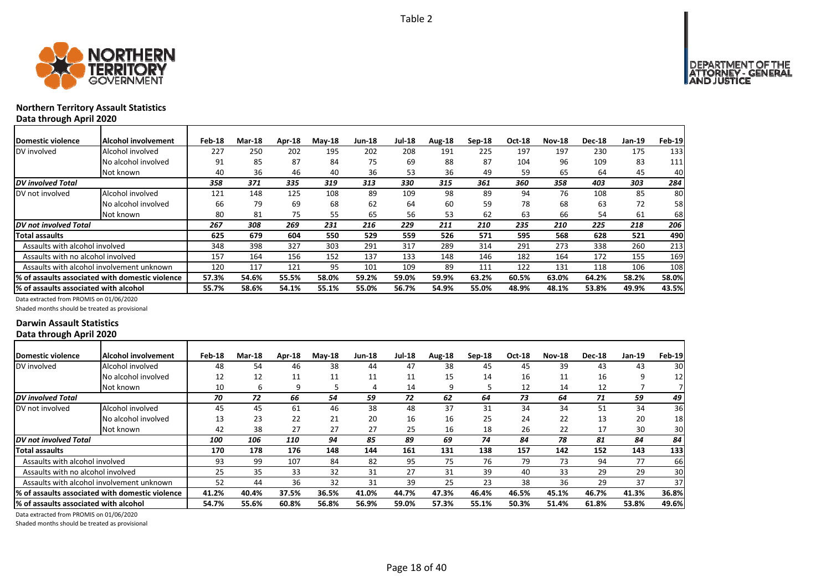

## **Northern Territory Assault Statistics Data through April 2020**

| Domestic violence                     | Alcohol involvement                              | Feb-18 | <b>Mar-18</b> | Apr-18 | $Mav-18$ | <b>Jun-18</b> | <b>Jul-18</b> | Aug-18 | $Sep-18$ | <b>Oct-18</b> | <b>Nov-18</b> | <b>Dec-18</b> | Jan-19 | <b>Feb-19</b> |
|---------------------------------------|--------------------------------------------------|--------|---------------|--------|----------|---------------|---------------|--------|----------|---------------|---------------|---------------|--------|---------------|
| DV involved                           | Alcohol involved                                 | 227    | 250           | 202    | 195      | 202           | 208           | 191    | 225      | 197           | 197           | 230           | 175    | 133           |
|                                       | No alcohol involved                              | 91     | 85            | 87     | 84       | 75            | 69            | 88     | 87       | 104           | 96            | 109           | 83     | 111           |
|                                       | Not known                                        | 40     | 36            | 46     | 40       | 36            | 53            | 36     | 49       | 59            | 65            | 64            | 45     | 40            |
| <b>DV</b> involved Total              |                                                  | 358    | 371           | 335    | 319      | 313           | 330           | 315    | 361      | 360           | 358           | 403           | 303    | 284           |
| DV not involved                       | Alcohol involved                                 | 121    | 148           | 125    | 108      | 89            | 109           | 98     | 89       | 94            | 76            | 108           | 85     | 80            |
|                                       | No alcohol involved                              | 66     | 79            | 69     | 68       | 62            | 64            | 60     | 59       | 78            | 68            | 63            | 72     | 58            |
|                                       | Not known                                        | 80     | 81            | 75     | 55       | 65            | 56            | 53     | 62       | 63            | 66            | 54            | 61     | 68            |
| DV not involved Total                 |                                                  | 267    | 308           | 269    | 231      | 216           | 229           | 211    | 210      | 235           | 210           | 225           | 218    | 206           |
| Total assaults                        |                                                  | 625    | 679           | 604    | 550      | 529           | 559           | 526    | 571      | 595           | 568           | 628           | 521    | 490           |
| Assaults with alcohol involved        |                                                  | 348    | 398           | 327    | 303      | 291           | 317           | 289    | 314      | 291           | 273           | 338           | 260    | 213           |
| Assaults with no alcohol involved     |                                                  | 157    | 164           | 156    | 152      | 137           | 133           | 148    | 146      | 182           | 164           | 172           | 155    | 169           |
|                                       | Assaults with alcohol involvement unknown        | 120    | 117           | 121    | 95       | 101           | 109           | 89     | 111      | 122           | 131           | 118           | 106    | 108           |
|                                       | l% of assaults associated with domestic violence | 57.3%  | 54.6%         | 55.5%  | 58.0%    | 59.2%         | 59.0%         | 59.9%  | 63.2%    | 60.5%         | 63.0%         | 64.2%         | 58.2%  | 58.0%         |
| % of assaults associated with alcohol |                                                  | 55.7%  | 58.6%         | 54.1%  | 55.1%    | 55.0%         | 56.7%         | 54.9%  | 55.0%    | 48.9%         | 48.1%         | 53.8%         | 49.9%  | 43.5%         |

Data extracted from PROMIS on 01/06/2020

Shaded months should be treated as provisional

#### **Darwin Assault Statistics Data through April 2020**

| Domestic violence                     | Alcohol involvement                              | Feb-18 | <b>Mar-18</b> | Apr-18 | $M$ ay-18 | <b>Jun-18</b> | <b>Jul-18</b> | Aug-18 | $Sep-18$ | Oct-18 | <b>Nov-18</b> | <b>Dec-18</b> | Jan-19 | <b>Feb-19</b>   |
|---------------------------------------|--------------------------------------------------|--------|---------------|--------|-----------|---------------|---------------|--------|----------|--------|---------------|---------------|--------|-----------------|
| DV involved                           | Alcohol involved                                 | 48     | 54            | 46     | 38        | 44            | 47            | 38     | 45       | 45     | 39            | 43            | 43     | 30              |
|                                       | No alcohol involved                              | 12     | 12            | 11     | 11        | 11            | 11            | 15     | 14       | 16     | 11            | 16            | 9      | 12              |
|                                       | Not known                                        | 10     | ь             | 9      |           | 4             | 14            | 9      |          | 12     | 14            | 12            |        |                 |
| DV involved Total                     |                                                  | 70     | 72            | 66     | 54        | 59            | 72            | 62     | 64       | 73     | 64            | 71            | 59     | 49              |
| DV not involved                       | Alcohol involved                                 | 45     | 45            | 61     | 46        | 38            | 48            | 37     | 31       | 34     | 34            | 51            | 34     | 36              |
|                                       | No alcohol involved                              | 13     | 23            | 22     | 21        | 20            | 16            | 16     | 25       | 24     | 22            | 13            | 20     | 18              |
|                                       | Not known                                        | 42     | 38            | 27     | 27        | 27            | 25            | 16     | 18       | 26     | 22            | 17            | 30     | 30              |
| DV not involved Total                 |                                                  | 100    | 106           | 110    | 94        | 85            | 89            | 69     | 74       | 84     | 78            | 81            | 84     | 84              |
| Total assaults                        |                                                  | 170    | 178           | 176    | 148       | 144           | 161           | 131    | 138      | 157    | 142           | 152           | 143    | 133             |
| Assaults with alcohol involved        |                                                  | 93     | 99            | 107    | 84        | 82            | 95            | 75     | 76       | 79     | 73            | 94            | 77     | 66              |
| Assaults with no alcohol involved     |                                                  | 25     | 35            | 33     | 32        | 31            | 27            | 31     | 39       | 40     | 33            | 29            | 29     | 30 <sub>l</sub> |
|                                       | Assaults with alcohol involvement unknown        | 52     | 44            | 36     | 32        | 31            | 39            | 25     | 23       | 38     | 36            | 29            | 37     | 37              |
|                                       | l% of assaults associated with domestic violence | 41.2%  | 40.4%         | 37.5%  | 36.5%     | 41.0%         | 44.7%         | 47.3%  | 46.4%    | 46.5%  | 45.1%         | 46.7%         | 41.3%  | 36.8%           |
| % of assaults associated with alcohol |                                                  | 54.7%  | 55.6%         | 60.8%  | 56.8%     | 56.9%         | 59.0%         | 57.3%  | 55.1%    | 50.3%  | 51.4%         | 61.8%         | 53.8%  | 49.6%           |

Data extracted from PROMIS on 01/06/2020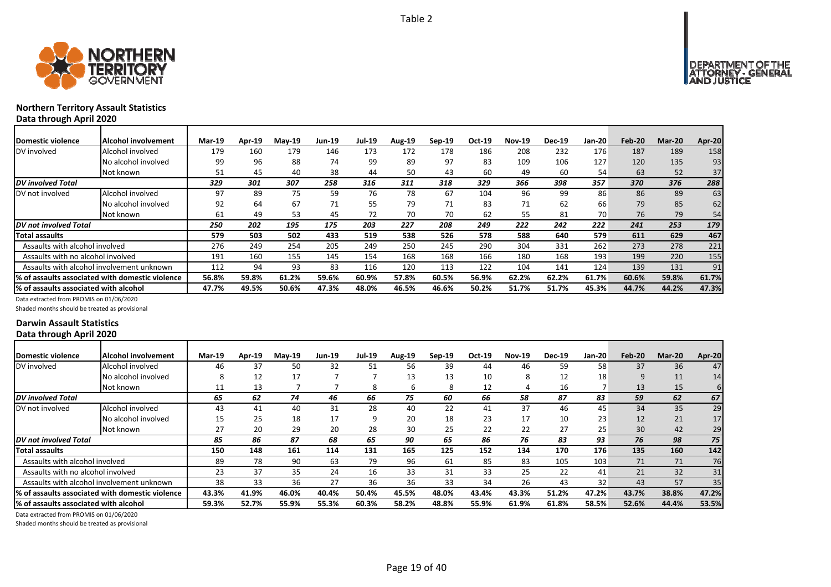



## **Northern Territory Assault Statistics Data through April 2020**

| <b>Domestic violence</b>                  | Alcohol involvement                             | Mar-19 | Apr-19 | $Mav-19$ | Jun-19 | Jul-19 | Aug-19 | $Sep-19$ | Oct-19 | <b>Nov-19</b> | <b>Dec-19</b> | <b>Jan-20</b> | Feb-20 | <b>Mar-20</b> | Apr-20 |
|-------------------------------------------|-------------------------------------------------|--------|--------|----------|--------|--------|--------|----------|--------|---------------|---------------|---------------|--------|---------------|--------|
| DV involved                               | Alcohol involved                                | 179    | 160    | 179      | 146    | 173    | 172    | 178      | 186    | 208           | 232           | 176           | 187    | 189           | 158    |
|                                           | No alcohol involved                             | 99     | 96     | 88       | 74     | 99     | 89     | 97       | 83     | 109           | 106           | 127           | 120    | 135           | 93     |
|                                           | Not known                                       | 51     | 45     | 40       | 38     | 44     | 50     | 43       | 60     | 49            | 60            | 54            | 63     | 52            | 37     |
| <b>DV</b> involved Total                  |                                                 | 329    | 301    | 307      | 258    | 316    | 311    | 318      | 329    | 366           | 398           | 357           | 370    | 376           | 288    |
| DV not involved                           | Alcohol involved                                | 97     | 89     | 75       | 59     | 76     | 78     | 67       | 104    | 96            | 99            | 86            | 86     | 89            | 63     |
|                                           | No alcohol involved                             | 92     | 64     | 67       | 71     | 55     | 79     | 71       | 83     | 71            | 62            | 66            | 79     | 85            | 62     |
|                                           | Not known                                       | 61     | 49     | 53       | 45     | 72     | 70     | 70       | 62     | 55            | 81            | 70            | 76     | 79            | 54     |
| DV not involved Total                     |                                                 | 250    | 202    | 195      | 175    | 203    | 227    | 208      | 249    | 222           | 242           | 222           | 241    | 253           | 179    |
| <b>Total assaults</b>                     |                                                 | 579    | 503    | 502      | 433    | 519    | 538    | 526      | 578    | 588           | 640           | 579           | 611    | 629           | 467    |
| Assaults with alcohol involved            |                                                 | 276    | 249    | 254      | 205    | 249    | 250    | 245      | 290    | 304           | 331           | 262           | 273    | 278           | 221    |
| Assaults with no alcohol involved         |                                                 | 191    | 160    | 155      | 145    | 154    | 168    | 168      | 166    | 180           | 168           | 193           | 199    | 220           | 155    |
| Assaults with alcohol involvement unknown |                                                 | 112    | 94     | 93       | 83     | 116    | 120    | 113      | 122    | 104           | 141           | 124           | 139    | 131           | 91     |
|                                           | % of assaults associated with domestic violence | 56.8%  | 59.8%  | 61.2%    | 59.6%  | 60.9%  | 57.8%  | 60.5%    | 56.9%  | 62.2%         | 62.2%         | 61.7%         | 60.6%  | 59.8%         | 61.7%  |
| % of assaults associated with alcohol     |                                                 | 47.7%  | 49.5%  | 50.6%    | 47.3%  | 48.0%  | 46.5%  | 46.6%    | 50.2%  | 51.7%         | 51.7%         | 45.3%         | 44.7%  | 44.2%         | 47.3%  |

Data extracted from PROMIS on 01/06/2020

Shaded months should be treated as provisional

#### **Darwin Assault Statistics Data through April 2020**

| Domestic violence                     | <b>Alcohol involvement</b>                      | <b>Mar-19</b> | <b>Apr-19</b> | $Mav-19$ | <b>Jun-19</b> | <b>Jul-19</b> | <b>Aug-19</b> | $Sep-19$ | Oct-19 | <b>Nov-19</b> | <b>Dec-19</b> | Jan-20          | Feb-20 | <b>Mar-20</b> | <b>Apr-20</b> |
|---------------------------------------|-------------------------------------------------|---------------|---------------|----------|---------------|---------------|---------------|----------|--------|---------------|---------------|-----------------|--------|---------------|---------------|
| DV involved                           | Alcohol involved                                | 46            | 37            | 50       | 32            | 51            | 56            | 39       | 44     | 46            | 59            | 58              | 37     | 36            | 47            |
|                                       | No alcohol involved                             |               | 12            | 17       |               |               | 13            | 13       | 10     | 8             | 12            | 18 <sub>1</sub> | 9      | 11            | 14            |
|                                       | Not known                                       |               | 13            |          |               | 8             | b             | 8        | 12     |               | 16            |                 | 13     | 15            | 6             |
| <b>DV</b> involved Total              |                                                 | 65            | 62            | 74       | 46            | 66            | 75            | 60       | 66     | 58            | 87            | 83              | 59     | 62            | 67            |
| DV not involved                       | Alcohol involved                                | 43            | 41            | 40       | 31            | 28            | 40            | 22       | 41     | 37            | 46            | 45              | 34     | 35            | 29            |
|                                       | No alcohol involved                             | 15            | 25            | 18       | 17            | q             | 20            | 18       | 23     | 17            | 10            | 23              | 12     | 21            | 17            |
|                                       | Not known                                       | 27            | 20            | 29       | 20            | 28            | 30            | 25       | 22     | 22            | 27            | 25 <sub>1</sub> | 30     | 42            | 29            |
| DV not involved Total                 |                                                 | 85            | 86            | 87       | 68            | 65            | 90            | 65       | 86     | 76            | 83            | 93              | 76     | 98            | 75            |
| <b>Total assaults</b>                 |                                                 | 150           | 148           | 161      | 114           | 131           | 165           | 125      | 152    | 134           | 170           | 176             | 135    | 160           | 142           |
| Assaults with alcohol involved        |                                                 | 89            | 78            | 90       | 63            | 79            | 96            | 61       | 85     | 83            | 105           | 103             | 71     | 71            | 76            |
| Assaults with no alcohol involved     |                                                 | 23            | 37            | 35       | 24            | 16            | 33            | 31       | 33     | 25            | 22            | 41              | 21     | 32            | 31            |
|                                       | Assaults with alcohol involvement unknown       | 38            | 33            | 36       | 27            | 36            | 36            | 33       | 34     | 26            | 43            | 32              | 43     | 57            | 35            |
|                                       | % of assaults associated with domestic violence | 43.3%         | 41.9%         | 46.0%    | 40.4%         | 50.4%         | 45.5%         | 48.0%    | 43.4%  | 43.3%         | 51.2%         | 47.2%           | 43.7%  | 38.8%         | 47.2%         |
| % of assaults associated with alcohol |                                                 | 59.3%         | 52.7%         | 55.9%    | 55.3%         | 60.3%         | 58.2%         | 48.8%    | 55.9%  | 61.9%         | 61.8%         | 58.5%           | 52.6%  | 44.4%         | 53.5%         |

Data extracted from PROMIS on 01/06/2020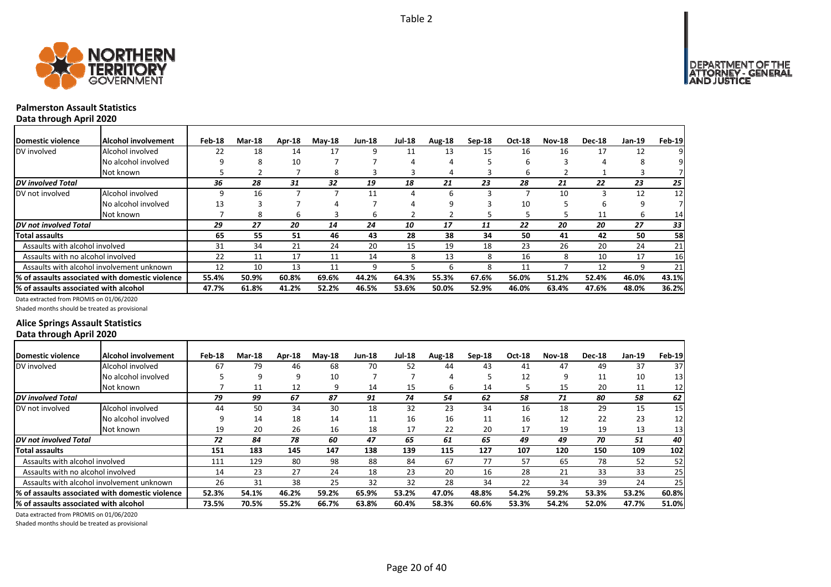



## **Palmerston Assault Statistics**

**Data through April 2020**

| Domestic violence                     | Alcohol involvement                              | Feb-18 | Mar-18 | Apr-18 | <b>May-18</b> | <b>Jun-18</b> | Jul-18 | Aug-18 | $Sep-18$ | Oct-18 | <b>Nov-18</b> | <b>Dec-18</b> | $Jan-19$ | Feb-19 |
|---------------------------------------|--------------------------------------------------|--------|--------|--------|---------------|---------------|--------|--------|----------|--------|---------------|---------------|----------|--------|
| DV involved                           | Alcohol involved                                 | 22     | 18     | 14     | 17            | 9             | 11     | 13     | 15       | 16     | 16            | 17            | 12       |        |
|                                       | No alcohol involved                              |        | 8      | 10     |               |               | 4      |        |          | h      |               |               |          |        |
|                                       | Not known                                        |        |        |        | 8             |               |        | 4      |          | b      |               |               |          |        |
| <b>DV</b> involved Total              |                                                  | 36     | 28     | 31     | 32            | 19            | 18     | 21     | 23       | 28     | 21            | 22            | 23       | 25     |
| DV not involved                       | Alcohol involved                                 | 9      | 16     |        |               | 11            | 4      | 6      |          |        | 10            |               | 12       | 12     |
|                                       | No alcohol involved                              | 13     |        |        |               |               | 4      | q      |          | 10     |               |               |          |        |
|                                       | Not known                                        |        | 8      | h      |               | 6             |        |        |          |        |               | 11            | b        | 14     |
| <b>DV</b> not involved Total          |                                                  | 29     | 27     | 20     | 14            | 24            | 10     | 17     | 11       | 22     | 20            | 20            | 27       | 33     |
| <b>Total assaults</b>                 |                                                  | 65     | 55     | 51     | 46            | 43            | 28     | 38     | 34       | 50     | 41            | 42            | 50       | 58     |
| Assaults with alcohol involved        |                                                  | 31     | 34     | 21     | 24            | 20            | 15     | 19     | 18       | 23     | 26            | 20            | 24       | 21     |
| Assaults with no alcohol involved     |                                                  | 22     | 11     | 17     | 11            | 14            | 8      | 13     | 8        | 16     | 8             | 10            | 17       | 16     |
|                                       | Assaults with alcohol involvement unknown        | 12     | 10     | 13     | 11            | 9             |        | h      | 8        | 11     |               | 12            | 9        | 21     |
|                                       | 1% of assaults associated with domestic violence | 55.4%  | 50.9%  | 60.8%  | 69.6%         | 44.2%         | 64.3%  | 55.3%  | 67.6%    | 56.0%  | 51.2%         | 52.4%         | 46.0%    | 43.1%  |
| % of assaults associated with alcohol |                                                  | 47.7%  | 61.8%  | 41.2%  | 52.2%         | 46.5%         | 53.6%  | 50.0%  | 52.9%    | 46.0%  | 63.4%         | 47.6%         | 48.0%    | 36.2%  |

Data extracted from PROMIS on 01/06/2020

Shaded months should be treated as provisional

### **Alice Springs Assault Statistics Data through April 2020**

| <b>IDomestic violence</b>             | <b>Alcohol involvement</b>                      | Feb-18 | <b>Mar-18</b> | Apr-18 | <b>May-18</b> | <b>Jun-18</b> | <b>Jul-18</b> | Aug-18 | $Sep-18$ | <b>Oct-18</b> | <b>Nov-18</b> | <b>Dec-18</b> | Jan-19 | Feb-19          |
|---------------------------------------|-------------------------------------------------|--------|---------------|--------|---------------|---------------|---------------|--------|----------|---------------|---------------|---------------|--------|-----------------|
| DV involved                           | Alcohol involved                                | 67     | 79            | 46     | 68            | 70            | 52            | 44     | 43       | 41            | 47            | 49            | 37     | 37              |
|                                       | No alcohol involved                             |        |               | 9      | 10            |               |               | 4      |          | 12            |               | 11            | 10     | 13 <sub>l</sub> |
|                                       | Not known                                       |        | 11            | 12     | q             | 14            | 15            | 6      | 14       |               | 15            | 20            | 11     | 12              |
| DV involved Total                     |                                                 | 79     | 99            | 67     | 87            | 91            | 74            | 54     | 62       | 58            | 71            | 80            | 58     | 62              |
| DV not involved                       | Alcohol involved                                | 44     | 50            | 34     | 30            | 18            | 32            | 23     | 34       | 16            | 18            | 29            | 15     | 15              |
|                                       | No alcohol involved                             | q      | 14            | 18     | 14            | 11            | 16            | 16     | 11       | 16            | 12            | 22            | 23     | 12              |
|                                       | Not known                                       | 19     | 20            | 26     | 16            | 18            | 17            | 22     | 20       | 17            | 19            | 19            | 13     | 13              |
| DV not involved Total                 |                                                 | 72     | 84            | 78     | 60            | 47            | 65            | 61     | 65       | 49            | 49            | 70            | 51     | 40              |
| Total assaults                        |                                                 | 151    | 183           | 145    | 147           | 138           | 139           | 115    | 127      | 107           | 120           | 150           | 109    | 102             |
| Assaults with alcohol involved        |                                                 | 111    | 129           | 80     | 98            | 88            | 84            | 67     | 77       | 57            | 65            | 78            | 52     | 52              |
| Assaults with no alcohol involved     |                                                 | 14     | 23            | 27     | 24            | 18            | 23            | 20     | 16       | 28            | 21            | 33            | 33     | 25              |
|                                       | Assaults with alcohol involvement unknown       | 26     | 31            | 38     | 25            | 32            | 32            | 28     | 34       | 22            | 34            | 39            | 24     | 25              |
|                                       | % of assaults associated with domestic violence | 52.3%  | 54.1%         | 46.2%  | 59.2%         | 65.9%         | 53.2%         | 47.0%  | 48.8%    | 54.2%         | 59.2%         | 53.3%         | 53.2%  | 60.8%           |
| % of assaults associated with alcohol |                                                 | 73.5%  | 70.5%         | 55.2%  | 66.7%         | 63.8%         | 60.4%         | 58.3%  | 60.6%    | 53.3%         | 54.2%         | 52.0%         | 47.7%  | 51.0%           |

Data extracted from PROMIS on 01/06/2020

Shaded months should be treated as provisional

Page 20 of 40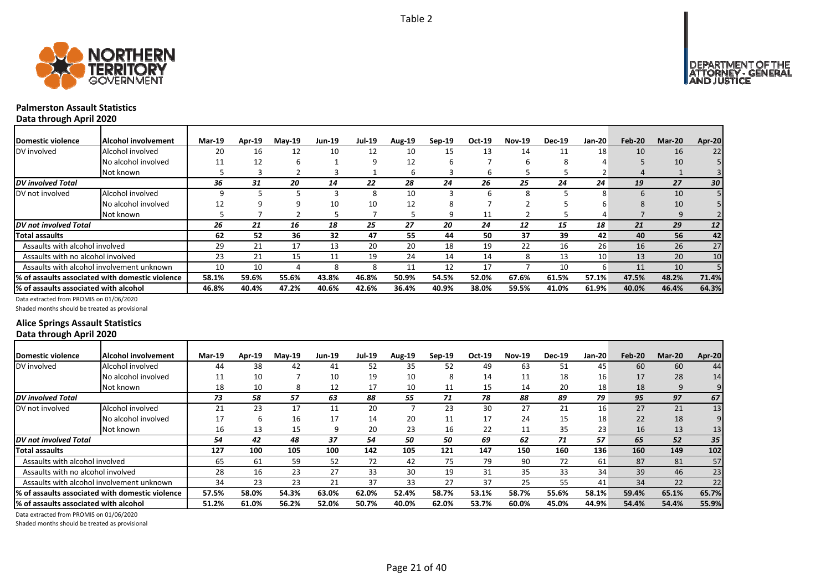



## **Palmerston Assault Statistics**

**Data through April 2020**

| Domestic violence                      | Alcohol involvement                              | <b>Mar-19</b> | Apr-19 | <b>May-19</b> | <b>Jun-19</b> | <b>Jul-19</b> | <b>Aug-19</b> | $Sep-19$ | Oct-19 | <b>Nov-19</b> | <b>Dec-19</b> | <b>Jan-20</b>   | Feb-20 | <b>Mar-20</b> | Apr-20          |
|----------------------------------------|--------------------------------------------------|---------------|--------|---------------|---------------|---------------|---------------|----------|--------|---------------|---------------|-----------------|--------|---------------|-----------------|
| DV involved                            | Alcohol involved                                 | 20            | 16     | 12            | 10            | 12            | 10            | 15       | 13     | 14            | 11            | 18 <sub>1</sub> | 10     | 16            | 22              |
|                                        | No alcohol involved                              | 11            | 12     | h             |               | 9             | 12            |          |        | b             | 8             |                 |        | 10            |                 |
|                                        | Not known                                        |               |        |               |               |               | ь             |          | b      |               |               |                 |        |               |                 |
| <b>DV</b> involved Total               |                                                  | 36            | 31     | 20            | 14            | 22            | 28            | 24       | 26     | 25            | 24            | 24              | 19     | 27            | 30 <sub>1</sub> |
| DV not involved                        | Alcohol involved                                 |               |        |               |               | 8             | 10            |          | h      | 8             |               | 8               | 6      | 10            |                 |
|                                        | No alcohol involved                              |               |        |               | 10            | 10            | 12            |          |        |               |               |                 | 8      | 10            |                 |
|                                        | Not known                                        |               |        |               |               |               |               | q        | 11     |               |               |                 |        | 9             |                 |
| <b>IDV</b> not involved Total          |                                                  | 26            | 21     | 16            | 18            | 25            | 27            | 20       | 24     | 12            | 15            | 18              | 21     | 29            | 12              |
| <b>Total assaults</b>                  |                                                  | 62            | 52     | 36            | 32            | 47            | 55            | 44       | 50     | 37            | 39            | 42              | 40     | 56            | 42              |
| Assaults with alcohol involved         |                                                  | 29            | 21     | 17            | 13            | 20            | 20            | 18       | 19     | 22            | 16            | 26              | 16     | 26            | 27              |
| Assaults with no alcohol involved      |                                                  | 23            | 21     | 15            | 11            | 19            | 24            | 14       | 14     | 8             | 13            | 10              | 13     | 20            | 10              |
|                                        | Assaults with alcohol involvement unknown        | 10            | 10     |               |               | 8             |               | 12       | 17     |               | 10            | 6               | 11     | 10            |                 |
|                                        | 1% of assaults associated with domestic violence | 58.1%         | 59.6%  | 55.6%         | 43.8%         | 46.8%         | 50.9%         | 54.5%    | 52.0%  | 67.6%         | 61.5%         | 57.1%           | 47.5%  | 48.2%         | 71.4%           |
| 1% of assaults associated with alcohol |                                                  | 46.8%         | 40.4%  | 47.2%         | 40.6%         | 42.6%         | 36.4%         | 40.9%    | 38.0%  | 59.5%         | 41.0%         | 61.9%           | 40.0%  | 46.4%         | 64.3%           |

Data extracted from PROMIS on 01/06/2020

Shaded months should be treated as provisional

### **Alice Springs Assault Statistics Data through April 2020**

| Domestic violence                     | Alcohol involvement                              | <b>Mar-19</b> | Apr-19 | $Mav-19$ | <b>Jun-19</b> | <b>Jul-19</b> | <b>Aug-19</b> | $Sep-19$ | Oct-19 | <b>Nov-19</b> | <b>Dec-19</b> | Jan-20 | Feb-20 | <b>Mar-20</b> | Apr-20 |
|---------------------------------------|--------------------------------------------------|---------------|--------|----------|---------------|---------------|---------------|----------|--------|---------------|---------------|--------|--------|---------------|--------|
| DV involved                           | Alcohol involved                                 | 44            | 38     | 42       | 41            | 52            | 35            | 52       | 49     | 63            | 51            | 45     | 60     | 60            | 44     |
|                                       | No alcohol involved                              | 11            | 10     |          | 10            | 19            | 10            | 8        | 14     | 11            | 18            | 16     | 17     | 28            | 14     |
|                                       | Not known                                        | 18            | 10     | 8        | 12            | 17            | 10            | 11       | 15     | 14            | 20            | 18     | 18     | 9             | 9      |
| <b>DV</b> involved Total              |                                                  | 73            | 58     | 57       | 63            | 88            | 55            | 71       | 78     | 88            | 89            | 79     | 95     | 97            | 67     |
| DV not involved                       | Alcohol involved                                 | 21            | 23     | 17       | 11            | 20            |               | 23       | 30     | 27            | 21            | 16     | 27     | 21            | 13     |
|                                       | No alcohol involved                              | 17            | h      | 16       | 17            | 14            | 20            | 11       | 17     | 24            | 15            | 18     | 22     | 18            | 9      |
|                                       | Not known                                        | 16            | 13     | 15       |               | 20            | 23            | 16       | 22     | 11            | 35            | 23     | 16     | 13            | 13     |
| <b>DV</b> not involved Total          |                                                  | 54            | 42     | 48       | 37            | 54            | 50            | 50       | 69     | 62            | 71            | 57     | 65     | 52            | 35     |
| <b>Total assaults</b>                 |                                                  | 127           | 100    | 105      | 100           | 142           | 105           | 121      | 147    | 150           | 160           | 136    | 160    | 149           | 102    |
| Assaults with alcohol involved        |                                                  | 65            | 61     | 59       | 52            | 72            | 42            | 75       | 79     | 90            | 72            | 61     | 87     | 81            | 57     |
| Assaults with no alcohol involved     |                                                  | 28            | 16     | 23       | 27            | 33            | 30            | 19       | 31     | 35            | 33            | 34     | 39     | 46            | 23     |
|                                       | Assaults with alcohol involvement unknown        | 34            | 23     | 23       | 21            | 37            | 33            | 27       | 37     | 25            | 55            | 41     | 34     | 22            | 22     |
|                                       | I% of assaults associated with domestic violence | 57.5%         | 58.0%  | 54.3%    | 63.0%         | 62.0%         | 52.4%         | 58.7%    | 53.1%  | 58.7%         | 55.6%         | 58.1%  | 59.4%  | 65.1%         | 65.7%  |
| % of assaults associated with alcohol |                                                  | 51.2%         | 61.0%  | 56.2%    | 52.0%         | 50.7%         | 40.0%         | 62.0%    | 53.7%  | 60.0%         | 45.0%         | 44.9%  | 54.4%  | 54.4%         | 55.9%  |

Data extracted from PROMIS on 01/06/2020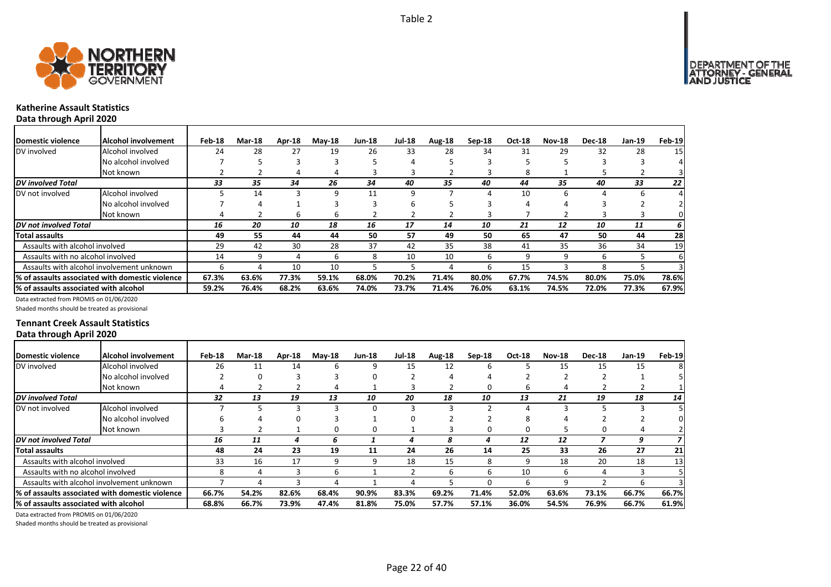



# **Katherine Assault Statistics**

**Data through April 2020**

| Domestic violence                     | Alcohol involvement                              | Feb-18 | <b>Mar-18</b> | Apr-18 | $M$ ay-18 | <b>Jun-18</b> | <b>Jul-18</b> | Aug-18 | $Sep-18$ | <b>Oct-18</b> | <b>Nov-18</b> | <b>Dec-18</b> | $Jan-19$ | Feb-19 |
|---------------------------------------|--------------------------------------------------|--------|---------------|--------|-----------|---------------|---------------|--------|----------|---------------|---------------|---------------|----------|--------|
| DV involved                           | Alcohol involved                                 | 24     | 28            | 27     | 19        | 26            | 33            | 28     | 34       | 31            | 29            | 32            | 28       | 15     |
|                                       | No alcohol involved                              |        |               |        |           |               | 4             |        |          |               |               |               |          |        |
|                                       | Not known                                        |        |               | 4      | 4         |               |               |        |          |               |               |               |          |        |
| <b>DV</b> involved Total              |                                                  | 33     | 35            | 34     | 26        | 34            | 40            | 35     | 40       | 44            | 35            | 40            | 33       | 22     |
| DV not involved                       | Alcohol involved                                 |        | 14            |        | 9         | 11            | 9             |        |          | 10            | 6             |               |          |        |
|                                       | No alcohol involved                              |        | 4             |        |           |               | 6             |        |          |               |               |               |          |        |
|                                       | Not known                                        | 4      |               | h      | h         |               |               |        |          |               |               |               |          | 0      |
| <b>IDV</b> not involved Total         |                                                  | 16     | 20            | 10     | 18        | 16            | 17            | 14     | 10       | 21            | 12            | 10            | 11       | 6      |
| Total assaults                        |                                                  | 49     | 55            | 44     | 44        | 50            | 57            | 49     | 50       | 65            | 47            | 50            | 44       | 28     |
| Assaults with alcohol involved        |                                                  | 29     | 42            | 30     | 28        | 37            | 42            | 35     | 38       | 41            | 35            | 36            | 34       | 19     |
| Assaults with no alcohol involved     |                                                  | 14     | 9             |        | ь         | 8             | 10            | 10     |          |               |               |               |          | 6      |
|                                       | Assaults with alcohol involvement unknown        | b      | 4             | 10     | 10        |               |               |        | h        | 15            |               |               |          |        |
|                                       | 1% of assaults associated with domestic violence | 67.3%  | 63.6%         | 77.3%  | 59.1%     | 68.0%         | 70.2%         | 71.4%  | 80.0%    | 67.7%         | 74.5%         | 80.0%         | 75.0%    | 78.6%  |
| % of assaults associated with alcohol |                                                  | 59.2%  | 76.4%         | 68.2%  | 63.6%     | 74.0%         | 73.7%         | 71.4%  | 76.0%    | 63.1%         | 74.5%         | 72.0%         | 77.3%    | 67.9%  |

Data extracted from PROMIS on 01/06/2020

Shaded months should be treated as provisional

#### **Tennant Creek Assault Statistics Data through April 2020**

| <b>IDomestic violence</b>             | Alcohol involvement                             | Feb-18 | <b>Mar-18</b> | Apr-18 | <b>May-18</b> | <b>Jun-18</b> | <b>Jul-18</b> | Aug-18 | $Sep-18$ | <b>Oct-18</b> | <b>Nov-18</b> | <b>Dec-18</b> | Jan-19 | <b>Feb-19</b> |
|---------------------------------------|-------------------------------------------------|--------|---------------|--------|---------------|---------------|---------------|--------|----------|---------------|---------------|---------------|--------|---------------|
| DV involved                           | Alcohol involved                                | 26     | 11            | 14     | 6             | 9             | 15            | 12     |          |               | 15            | 15            | 15     | 81            |
|                                       | No alcohol involved                             |        |               |        |               |               |               |        |          |               |               |               |        |               |
|                                       | Not known                                       |        |               |        |               |               |               |        |          | h             |               |               |        |               |
| DV involved Total                     |                                                 | 32     | 13            | 19     | 13            | 10            | 20            | 18     | 10       | 13            | 21            | 19            | 18     | 14            |
| DV not involved                       | Alcohol involved                                |        |               |        |               | 0             |               |        |          |               |               |               |        |               |
|                                       | No alcohol involved                             |        |               |        |               |               |               |        |          |               |               |               |        |               |
|                                       | Not known                                       |        |               |        |               | 0             |               |        |          |               |               |               |        |               |
| DV not involved Total                 |                                                 | 16     | 11            | 4      | 6             |               | 4             | 8      | Δ        | 12            | 12            |               | 9      |               |
| Total assaults                        |                                                 | 48     | 24            | 23     | 19            | 11            | 24            | 26     | 14       | 25            | 33            | 26            | 27     | 21            |
| Assaults with alcohol involved        |                                                 | 33     | 16            | 17     | q             | 9             | 18            | 15     |          | q             | 18            | 20            | 18     | 13            |
| Assaults with no alcohol involved     |                                                 |        |               |        | h             |               | $\sim$        | h      |          | 10            | b             |               |        |               |
|                                       | Assaults with alcohol involvement unknown       |        |               |        |               |               |               |        |          | h             |               |               |        |               |
|                                       | % of assaults associated with domestic violence | 66.7%  | 54.2%         | 82.6%  | 68.4%         | 90.9%         | 83.3%         | 69.2%  | 71.4%    | 52.0%         | 63.6%         | 73.1%         | 66.7%  | 66.7%         |
| % of assaults associated with alcohol |                                                 | 68.8%  | 66.7%         | 73.9%  | 47.4%         | 81.8%         | 75.0%         | 57.7%  | 57.1%    | 36.0%         | 54.5%         | 76.9%         | 66.7%  | 61.9%         |

Data extracted from PROMIS on 01/06/2020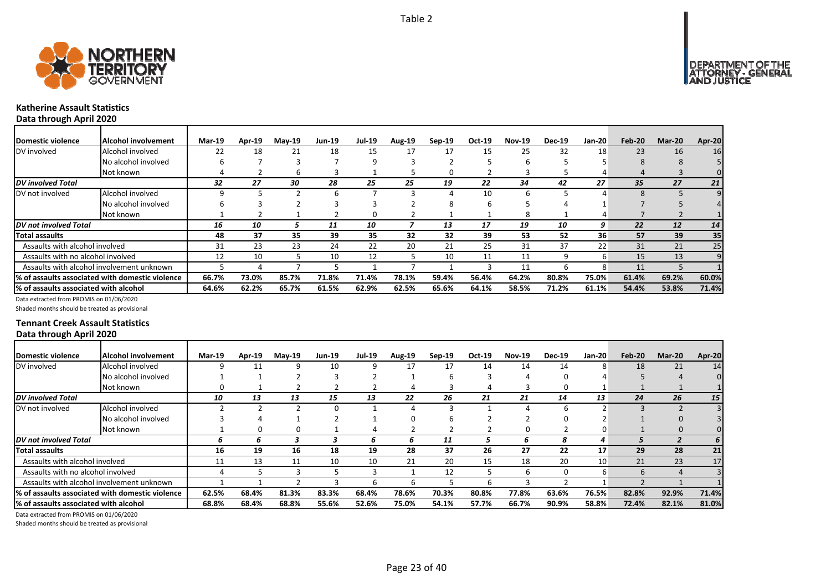



# **Katherine Assault Statistics**

**Data through April 2020**

| Domestic violence                     | Alcohol involvement                              | <b>Mar-19</b> | Apr-19 | <b>May-19</b> | <b>Jun-19</b> | <b>Jul-19</b> | <b>Aug-19</b> | $Sep-19$ | Oct-19 | <b>Nov-19</b> | <b>Dec-19</b> | Jan-20 | Feb-20 | Mar-20 | Apr-20 |
|---------------------------------------|--------------------------------------------------|---------------|--------|---------------|---------------|---------------|---------------|----------|--------|---------------|---------------|--------|--------|--------|--------|
| DV involved                           | Alcohol involved                                 | 22            | 18     | 21            | 18            | 15            | 17            | 17       | 15     | 25            | 32            | 18     | 23     | 16     | 16     |
|                                       | No alcohol involved                              |               |        |               |               | 9             |               |          |        |               |               |        | 8      |        |        |
|                                       | Not known                                        |               |        | h             |               |               |               |          |        |               |               |        |        |        | 0      |
| DV involved Total                     |                                                  | 32            | 27     | 30            | 28            | 25            | 25            | 19       | 22     | 34            | 42            | 27     | 35     | 27     | 21     |
| DV not involved                       | Alcohol involved                                 |               |        |               | h             |               |               |          | 10     | h             |               |        |        |        |        |
|                                       | No alcohol involved                              |               |        |               |               |               |               |          | ь      |               |               |        |        |        |        |
|                                       | Not known                                        |               |        |               |               | n             |               |          |        | 8             |               |        |        |        |        |
| <b>IDV</b> not involved Total         |                                                  | 16            | 10     |               | 11            | 10            |               | 13       | 17     | 19            | 10            | 9      | 22     | 12     | 14     |
| <b>Total assaults</b>                 |                                                  | 48            | 37     | 35            | 39            | 35            | 32            | 32       | 39     | 53            | 52            | 36     | 57     | 39     | 35     |
| Assaults with alcohol involved        |                                                  | 31            | 23     | 23            | 24            | 22            | 20            | 21       | 25     | 31            | 37            | 22     | 31     | 21     | 25     |
| Assaults with no alcohol involved     |                                                  | 12            | 10     |               | 10            | 12            |               | 10       | 11     | 11            | 9             | 6      | 15     | 13     |        |
|                                       | Assaults with alcohol involvement unknown        |               |        |               |               |               |               |          |        | 11            | n             | 8      | 11     |        |        |
|                                       | 1% of assaults associated with domestic violence | 66.7%         | 73.0%  | 85.7%         | 71.8%         | 71.4%         | 78.1%         | 59.4%    | 56.4%  | 64.2%         | 80.8%         | 75.0%  | 61.4%  | 69.2%  | 60.0%  |
| % of assaults associated with alcohol |                                                  | 64.6%         | 62.2%  | 65.7%         | 61.5%         | 62.9%         | 62.5%         | 65.6%    | 64.1%  | 58.5%         | 71.2%         | 61.1%  | 54.4%  | 53.8%  | 71.4%  |

Data extracted from PROMIS on 01/06/2020

Shaded months should be treated as provisional

#### **Tennant Creek Assault Statistics Data through April 2020**

| Domestic violence                     | Alcohol involvement                             | <b>Mar-19</b> | <b>Apr-19</b> | $May-19$ | <b>Jun-19</b> | <b>Jul-19</b> | Aug-19 | $Sep-19$ | Oct-19 | <b>Nov-19</b> | <b>Dec-19</b> | <b>Jan-20</b>   | Feb-20 | <b>Mar-20</b> | Apr-20 |
|---------------------------------------|-------------------------------------------------|---------------|---------------|----------|---------------|---------------|--------|----------|--------|---------------|---------------|-----------------|--------|---------------|--------|
| DV involved                           | Alcohol involved                                |               |               |          | 10            |               | 17     | 17       | 14     | 14            | 14            | 8               | 18     | 21            | 14     |
|                                       | No alcohol involved                             |               |               |          |               |               |        |          |        |               |               |                 |        |               |        |
|                                       | Not known                                       |               |               |          |               |               |        |          |        |               | o             |                 |        |               |        |
| <b>DV</b> involved Total              |                                                 | 10            | 13            | 13       | 15            | 13            | 22     | 26       | 21     | 21            | 14            | 13              | 24     | 26            | 15     |
| DV not involved                       | Alcohol involved                                |               |               |          |               |               |        |          |        |               |               |                 |        |               |        |
|                                       | No alcohol involved                             |               |               |          |               |               |        |          |        |               |               |                 |        |               |        |
|                                       | Not known                                       |               |               |          |               |               |        |          |        |               |               |                 |        |               |        |
| DV not involved Total                 |                                                 | 6             | h             |          |               | h             | h      | 11       |        |               |               | 4               |        |               |        |
| Total assaults                        |                                                 | 16            | 19            | 16       | 18            | 19            | 28     | 37       | 26     | 27            | 22            | 17 <sub>1</sub> | 29     | 28            | 21     |
| Assaults with alcohol involved        |                                                 | 11            | 13            | 11       | 10            | 10            | 21     | 20       | 15     | 18            | 20            | 10              | 21     | 23            | 17     |
| Assaults with no alcohol involved     |                                                 |               |               |          |               |               |        | 12       |        | h             | O             | 6               | 6      |               |        |
|                                       | Assaults with alcohol involvement unknown       |               |               |          |               | h             | h      |          |        |               |               |                 |        |               |        |
|                                       | % of assaults associated with domestic violence | 62.5%         | 68.4%         | 81.3%    | 83.3%         | 68.4%         | 78.6%  | 70.3%    | 80.8%  | 77.8%         | 63.6%         | 76.5%           | 82.8%  | 92.9%         | 71.4%  |
| % of assaults associated with alcohol |                                                 | 68.8%         | 68.4%         | 68.8%    | 55.6%         | 52.6%         | 75.0%  | 54.1%    | 57.7%  | 66.7%         | 90.9%         | 58.8%           | 72.4%  | 82.1%         | 81.0%  |

Data extracted from PROMIS on 01/06/2020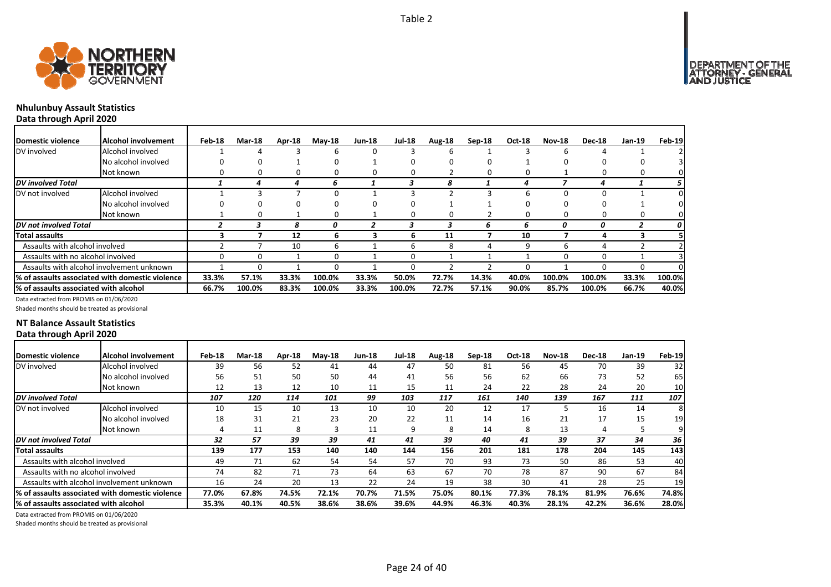

# **Nhulunbuy Assault Statistics**

**Data through April 2020**

| Domestic violence                     | Alcohol involvement                             | Feb-18 | <b>Mar-18</b> | Apr-18 | $M$ ay-18 | <b>Jun-18</b> | <b>Jul-18</b> | Aug-18 | $Sep-18$ | Oct-18 | <b>Nov-18</b> | <b>Dec-18</b> | <b>Jan-19</b> | Feb-19 |
|---------------------------------------|-------------------------------------------------|--------|---------------|--------|-----------|---------------|---------------|--------|----------|--------|---------------|---------------|---------------|--------|
| DV involved                           | Alcohol involved                                |        | 4             |        | b         | 0             | 3             | h      |          |        | h             |               |               |        |
|                                       | No alcohol involved                             |        | 0             |        | O         |               | O             |        |          |        |               |               |               |        |
|                                       | Not known                                       |        | 0             | 0      | 0         | 0             | 0             |        |          |        |               |               | 0             |        |
| <b>DV</b> involved Total              |                                                 |        |               |        | n         |               |               | 8      |          |        |               |               |               |        |
| DV not involved                       | Alcohol involved                                |        |               |        | O         |               |               |        |          |        |               |               |               |        |
|                                       | No alcohol involved                             |        | 0             | 0      | 0         | O             | O             |        |          |        |               |               |               |        |
|                                       | Not known                                       |        | 0             |        | 0         |               | 0             |        |          |        | n             |               | 0             |        |
| <b>DV</b> not involved Total          |                                                 |        |               | я      |           |               |               |        |          | 6      | 0             | 0             |               | 0      |
| <b>Total assaults</b>                 |                                                 |        |               | 12     | ь         |               | ь             | 11     |          | 10     |               | 4             |               |        |
| Assaults with alcohol involved        |                                                 |        |               | 10     | b         |               | 6             |        |          | q      | h             | 4             |               |        |
| Assaults with no alcohol involved     |                                                 |        | 0             |        | 0         |               | 0             |        |          |        |               |               |               |        |
|                                       | Assaults with alcohol involvement unknown       |        | O             |        | O         |               | ŋ             |        |          |        |               |               | 0             |        |
|                                       | % of assaults associated with domestic violence | 33.3%  | 57.1%         | 33.3%  | 100.0%    | 33.3%         | 50.0%         | 72.7%  | 14.3%    | 40.0%  | 100.0%        | 100.0%        | 33.3%         | 100.0% |
| % of assaults associated with alcohol |                                                 | 66.7%  | 100.0%        | 83.3%  | 100.0%    | 33.3%         | 100.0%        | 72.7%  | 57.1%    | 90.0%  | 85.7%         | 100.0%        | 66.7%         | 40.0%  |

Data extracted from PROMIS on 01/06/2020

Shaded months should be treated as provisional

#### **NT Balance Assault Statistics Data through April 2020**

| Domestic violence                     | IAlcohol involvement                             | Feb-18 | <b>Mar-18</b> | Apr-18 | <b>May-18</b> | <b>Jun-18</b> | <b>Jul-18</b> | Aug-18 | $Sep-18$ | <b>Oct-18</b> | <b>Nov-18</b> | <b>Dec-18</b> | Jan-19 | Feb-19 |
|---------------------------------------|--------------------------------------------------|--------|---------------|--------|---------------|---------------|---------------|--------|----------|---------------|---------------|---------------|--------|--------|
| DV involved                           | Alcohol involved                                 | 39     | 56            | 52     | 41            | 44            | 47            | 50     | 81       | 56            | 45            | 70            | 39     | 32     |
|                                       | No alcohol involved                              | 56     | 51            | 50     | 50            | 44            | 41            | 56     | 56       | 62            | 66            | 73            | 52     | 65     |
|                                       | Not known                                        | 12     | 13            | 12     | 10            | 11            | 15            | 11     | 24       | 22            | 28            | 24            | 20     | 10     |
| <b>DV</b> involved Total              |                                                  | 107    | 120           | 114    | 101           | 99            | 103           | 117    | 161      | 140           | 139           | 167           | 111    | 107    |
| DV not involved                       | Alcohol involved                                 | 10     | 15            | 10     | 13            | 10            | 10            | 20     | 12       | 17            |               | 16            | 14     | 8      |
|                                       | No alcohol involved                              | 18     | 31            | 21     | 23            | 20            | 22            | 11     | 14       | 16            | 21            | 17            | 15     | 19     |
|                                       | Not known                                        | 4      | 11            | 8      |               | 11            | 9             | 8      | 14       | 8             | 13            | 4             |        | 9      |
| DV not involved Total                 |                                                  | 32     | 57            | 39     | 39            | 41            | 41            | 39     | 40       | 41            | 39            | 37            | 34     | 36     |
| Total assaults                        |                                                  | 139    | 177           | 153    | 140           | 140           | 144           | 156    | 201      | 181           | 178           | 204           | 145    | 143    |
| Assaults with alcohol involved        |                                                  | 49     | 71            | 62     | 54            | 54            | 57            | 70     | 93       | 73            | 50            | 86            | 53     | 40     |
| Assaults with no alcohol involved     |                                                  | 74     | 82            | 71     | 73            | 64            | 63            | 67     | 70       | 78            | 87            | 90            | 67     | 84     |
|                                       | Assaults with alcohol involvement unknown        | 16     | 24            | 20     | 13            | 22            | 24            | 19     | 38       | 30            | 41            | 28            | 25     | 19     |
|                                       | I% of assaults associated with domestic violence | 77.0%  | 67.8%         | 74.5%  | 72.1%         | 70.7%         | 71.5%         | 75.0%  | 80.1%    | 77.3%         | 78.1%         | 81.9%         | 76.6%  | 74.8%  |
| % of assaults associated with alcohol |                                                  | 35.3%  | 40.1%         | 40.5%  | 38.6%         | 38.6%         | 39.6%         | 44.9%  | 46.3%    | 40.3%         | 28.1%         | 42.2%         | 36.6%  | 28.0%  |

Page 24 of 40

Data extracted from PROMIS on 01/06/2020

Shaded months should be treated as provisional

DEPARTMENT OF THE<br>ATTORNEY - GENERAL<br>AND JUSTICE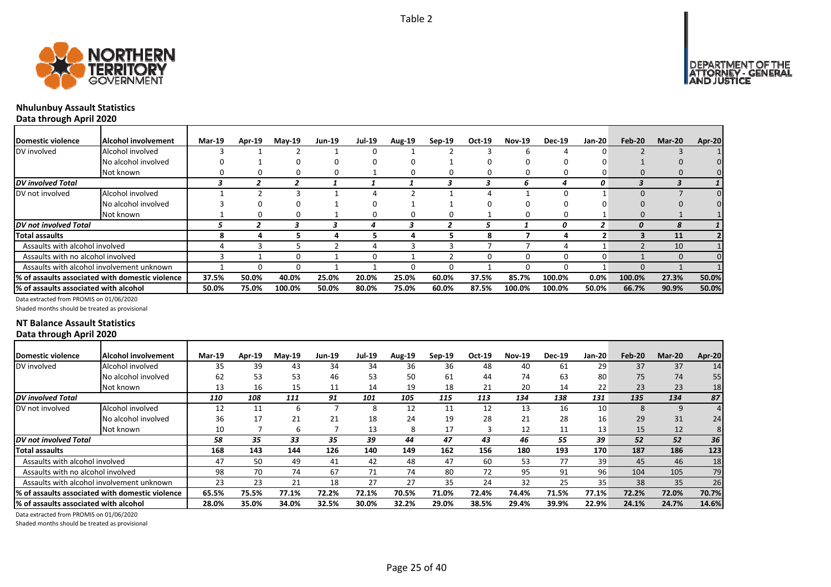



# **Nhulunbuy Assault Statistics**

**Data through April 2020**

| Domestic violence                     | lAlcohol involvement                             | <b>Mar-19</b> | Apr-19 | <b>May-19</b> | <b>Jun-19</b> | <b>Jul-19</b> | Aug-19 | Sep-19 | Oct-19 | <b>Nov-19</b> | <b>Dec-19</b> | Jan-20 | Feb-20       | <b>Mar-20</b> | Apr-20 |
|---------------------------------------|--------------------------------------------------|---------------|--------|---------------|---------------|---------------|--------|--------|--------|---------------|---------------|--------|--------------|---------------|--------|
| DV involved                           | Alcohol involved                                 |               |        |               |               |               |        |        |        | h             |               |        |              |               |        |
|                                       | No alcohol involved                              |               |        |               |               |               |        |        |        |               |               |        |              |               |        |
|                                       | Not known                                        |               |        |               |               |               |        |        | 0      | 0             | 0             |        |              | 0             |        |
| DV involved Total                     |                                                  |               |        |               |               |               |        |        |        | n             |               | 0      |              |               |        |
| DV not involved                       | Alcohol involved                                 |               |        |               |               |               |        |        |        |               |               |        | <sup>0</sup> |               |        |
|                                       | No alcohol involved                              |               |        |               |               |               |        |        |        |               |               |        |              |               |        |
|                                       | Not known                                        |               | 0      |               |               | O             |        |        |        | 0             | 0             |        | $\Omega$     |               |        |
| <b>IDV</b> not involved Total         |                                                  |               |        |               |               |               |        |        |        |               | Ω             |        |              |               |        |
| Total assaults                        |                                                  |               |        |               |               |               |        |        | 8      |               |               |        |              | 11            |        |
| Assaults with alcohol involved        |                                                  |               |        |               |               |               |        |        |        |               |               |        |              | 10            |        |
| Assaults with no alcohol involved     |                                                  |               |        |               |               | O             |        |        | 0      | 0             | 0             |        |              | $\Omega$      |        |
|                                       | Assaults with alcohol involvement unknown        |               |        |               |               |               |        |        |        | n             |               |        | <sup>0</sup> |               |        |
|                                       | 1% of assaults associated with domestic violence | 37.5%         | 50.0%  | 40.0%         | 25.0%         | 20.0%         | 25.0%  | 60.0%  | 37.5%  | 85.7%         | 100.0%        | 0.0%   | 100.0%       | 27.3%         | 50.0%  |
| % of assaults associated with alcohol |                                                  | 50.0%         | 75.0%  | 100.0%        | 50.0%         | 80.0%         | 75.0%  | 60.0%  | 87.5%  | 100.0%        | 100.0%        | 50.0%  | 66.7%        | 90.9%         | 50.0%  |

Data extracted from PROMIS on 01/06/2020

Shaded months should be treated as provisional

#### **NT Balance Assault Statistics Data through April 2020**

| Domestic violence                     | Alcohol involvement                              | <b>Mar-19</b> | Apr-19 | $Mav-19$ | <b>Jun-19</b> | <b>Jul-19</b> | Aug-19 | $Sep-19$ | Oct-19 | <b>Nov-19</b> | <b>Dec-19</b> | Jan-20          | Feb-20 | <b>Mar-20</b> | Apr-20 |
|---------------------------------------|--------------------------------------------------|---------------|--------|----------|---------------|---------------|--------|----------|--------|---------------|---------------|-----------------|--------|---------------|--------|
| DV involved                           | Alcohol involved                                 | 35            | 39     | 43       | 34            | 34            | 36     | 36       | 48     | 40            | 61            | 29              | 37     | 37            | 14     |
|                                       | No alcohol involved                              | 62            | 53     | 53       | 46            | 53            | 50     | 61       | 44     | 74            | 63            | 80              | 75     | 74            | 55     |
|                                       | Not known                                        | 13            | 16     | 15       | 11            | 14            | 19     | 18       | 21     | 20            | 14            | 22              | 23     | 23            | 18     |
| <b>DV</b> involved Total              |                                                  | 110           | 108    | 111      | 91            | 101           | 105    | 115      | 113    | 134           | 138           | 131             | 135    | 134           | 87     |
| DV not involved                       | Alcohol involved                                 | 12            | 11     |          |               |               | 12     | 11       | 12     | 13            | 16            | 10              | 8      | 9             |        |
|                                       | No alcohol involved                              | 36            | 17     | 21       | 21            | 18            | 24     | 19       | 28     | 21            | 28            | 16              | 29     | 31            | 24     |
|                                       | Not known                                        | 10            |        |          |               | 13            | 8      | 17       |        | 12            | 11            | 13 <sub>1</sub> | 15     | 12            |        |
| <b>DV</b> not involved Total          |                                                  | 58            | 35     | 33       | 35            | 39            | 44     | 47       | 43     | 46            | 55            | 39              | 52     | 52            | 36     |
| Total assaults                        |                                                  | 168           | 143    | 144      | 126           | 140           | 149    | 162      | 156    | 180           | 193           | 170             | 187    | 186           | 123    |
| Assaults with alcohol involved        |                                                  | 47            | 50     | 49       | 41            | 42            | 48     | 47       | 60     | 53            | 77            | 39              | 45     | 46            | 18     |
| Assaults with no alcohol involved     |                                                  | 98            | 70     | 74       | 67            | 71            | 74     | 80       | 72     | 95            | 91            | 96              | 104    | 105           | 79     |
|                                       | Assaults with alcohol involvement unknown        | 23            | 23     | 21       | 18            | 27            | 27     | 35       | 24     | 32            | 25            | 35              | 38     | 35            | 26     |
|                                       | 1% of assaults associated with domestic violence | 65.5%         | 75.5%  | 77.1%    | 72.2%         | 72.1%         | 70.5%  | 71.0%    | 72.4%  | 74.4%         | 71.5%         | 77.1%           | 72.2%  | 72.0%         | 70.7%  |
| % of assaults associated with alcohol |                                                  | 28.0%         | 35.0%  | 34.0%    | 32.5%         | 30.0%         | 32.2%  | 29.0%    | 38.5%  | 29.4%         | 39.9%         | 22.9%           | 24.1%  | 24.7%         | 14.6%  |

Data extracted from PROMIS on 01/06/2020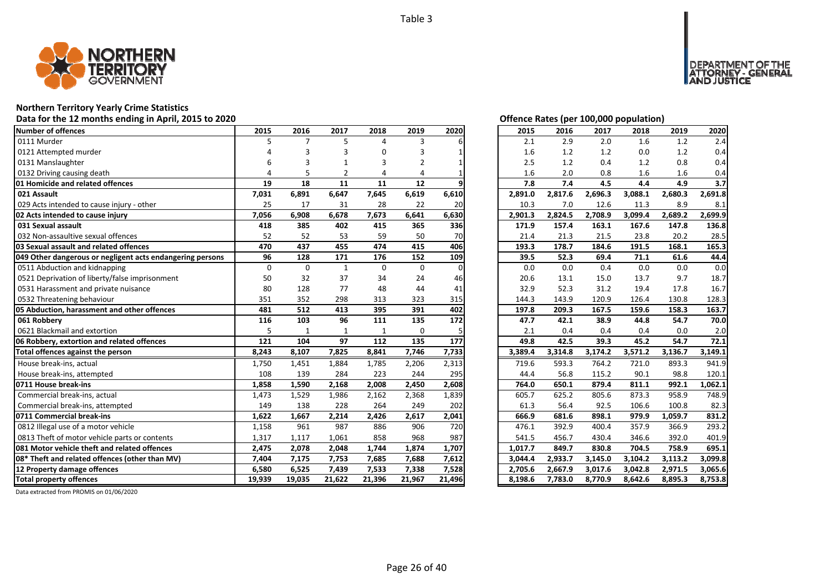

## **Northern Territory Yearly Crime Statistics**

## Data for the 12 months ending in April, 2015 to 2020 *Data for the 12 months ending in April, 2015 to 2020 Offence Rates (per 100,000 population)*

| <b>Number of offences</b>                                     | 2015        | 2016           | 2017            | 2018         | 2019            | 2020            | 2015               | 2016               | 2017               | 2018               | 2019    | 2020               |
|---------------------------------------------------------------|-------------|----------------|-----------------|--------------|-----------------|-----------------|--------------------|--------------------|--------------------|--------------------|---------|--------------------|
| 0111 Murder                                                   | 5           | $\overline{7}$ | 5               | Δ            | 3               |                 | 2.1                | 2.9                | 2.0                | 1.6                | 1.2     | 2.4                |
| 0121 Attempted murder                                         |             |                |                 |              | 3               |                 | 1.6                | 1.2                | 1.2                | 0.0                | 1.2     | 0.4                |
| 0131 Manslaughter                                             | 6           | 3              |                 | 3            | 2               |                 | 2.5                | 1.2                | 0.4                | 1.2                | 0.8     | 0.4                |
| 0132 Driving causing death                                    | Δ           | 5              | $\overline{2}$  | $\Delta$     |                 |                 | 1.6                | 2.0                | 0.8                | 1.6                | 1.6     | 0.4                |
| 01 Homicide and related offences                              | 19          | 18             | 11              | 11           | 12              |                 | 7.8                | 7.4                | 4.5                | 4.4                | 4.9     | 3.7                |
| 021 Assault                                                   | 7,031       | 6,891          | 6,647           | 7,645        | 6,619           | 6,610           | 2,891.0            | 2,817.6            | 2,696.3            | 3,088.1            | 2,680.3 | 2,691.8            |
| 029 Acts intended to cause injury - other                     | 25          | 17             | 31              | 28           | 22              | 20              | 10.3               | 7.0                | 12.6               | 11.3               | 8.9     | 8.1                |
| 02 Acts intended to cause injury                              | 7,056       | 6,908          | 6,678           | 7,673        | 6,641           | 6,630           | 2,901.3            | 2,824.5            | 2,708.9            | 3,099.4            | 2,689.2 | 2,699.9            |
| 031 Sexual assault                                            | 418         | 385            | 402             | 415          | 365             | 336             | 171.9              | 157.4              | 163.1              | 167.6              | 147.8   | 136.8              |
| 032 Non-assaultive sexual offences                            | 52          | 52             | 53              | 59           | 50              | 70              | 21.4               | 21.3               | 21.5               | 23.8               | 20.2    | 28.5               |
| 03 Sexual assault and related offences                        | 470         | 437            | 455             | 474          | 415             | 406             | 193.3              | 178.7              | 184.6              | 191.5              | 168.1   | 165.3              |
| 049 Other dangerous or negligent acts endangering persons     | 96          | 128            | 171             | 176          | 152             | 109             | 39.5               | 52.3               | 69.4               | 71.1               | 61.6    | 44.4               |
| 0511 Abduction and kidnapping                                 | $\mathbf 0$ | $\mathbf 0$    | $\mathbf{1}$    | $\Omega$     | $\mathbf 0$     | $\Omega$        | 0.0                | 0.0                | 0.4                | 0.0                | 0.0     | 0.0                |
| 0521 Deprivation of liberty/false imprisonment                | 50          | 32             | 37              | 34           | 24              | 46              | 20.6               | 13.1               | 15.0               | 13.7               | 9.7     | 18.7               |
| 0531 Harassment and private nuisance                          | 80          | 128            | 77              | 48           | 44              | 41              | 32.9               | 52.3               | 31.2               | 19.4               | 17.8    | 16.7               |
| 0532 Threatening behaviour                                    | 351         | 352            | 298             | 313          | 323             | 315             | 144.3              | 143.9              | 120.9              | 126.4              | 130.8   | 128.3              |
| 05 Abduction, harassment and other offences                   | 481         | 512            | 413             | 395          | 391             | 402             | 197.8              | 209.3              | 167.5              | 159.6              | 158.3   | 163.7              |
| 061 Robbery                                                   | 116         | 103            | 96              | 111          | 135             | 172             | 47.7               | 42.1               | 38.9               | 44.8               | 54.7    | 70.0               |
| 0621 Blackmail and extortion                                  | 5           | $\mathbf{1}$   | $\mathbf{1}$    | $\mathbf{1}$ | $\mathbf 0$     |                 | 2.1                | 0.4                | 0.4                | 0.4                | 0.0     | 2.0                |
| 06 Robbery, extortion and related offences                    | 121         | 104            | 97              | 112          | 135             | 177             | 49.8               | 42.5               | 39.3               | 45.2               | 54.7    | 72.1               |
| Total offences against the person                             | 8,243       | 8,107          | 7,825           | 8,841        | 7,746           | 7,733           | 3,389.4            | 3,314.8            | 3,174.2            | 3,571.2            | 3,136.7 | 3,149.1            |
| House break-ins, actual                                       | 1,750       | 1,451          | 1,884           | 1,785        | 2,206           | 2,313           | 719.6              | 593.3              | 764.2              | 721.0              | 893.3   | 941.9              |
| House break-ins, attempted                                    | 108         | 139            | 284             | 223          | 244             | 295             | 44.4               | 56.8               | 115.2              | 90.1               | 98.8    | 120.1              |
| 0711 House break-ins                                          | 1,858       | 1,590          | 2,168           | 2,008        | 2,450           | 2,608           | 764.0              | 650.1              | 879.4              | 811.1              | 992.1   | 1,062.1            |
| Commercial break-ins, actual                                  | 1,473       | 1,529          | 1,986           | 2,162        | 2,368           | 1,839           | 605.7              | 625.2              | 805.6              | 873.3              | 958.9   | 748.9              |
| Commercial break-ins, attempted                               | 149         | 138            | 228             | 264          | 249             | 202             | 61.3               | 56.4               | 92.5               | 106.6              | 100.8   | 82.3               |
| 0711 Commercial break-ins                                     | 1,622       | 1,667          | 2,214           | 2,426        | 2,617           | 2,041           | 666.9              | 681.6              | 898.1              | 979.9              | 1,059.7 | 831.2              |
| 0812 Illegal use of a motor vehicle                           | 1,158       | 961            | 987             | 886          | 906             | 720             | 476.1              | 392.9              | 400.4              | 357.9              | 366.9   | 293.2              |
| 0813 Theft of motor vehicle parts or contents                 | 1,317       | 1,117          | 1,061           | 858          | 968             | 987             | 541.5              | 456.7              | 430.4              | 346.6              | 392.0   | 401.9              |
| 081 Motor vehicle theft and related offences                  |             |                |                 | 1,744        | 1,874           | 1,707           | 1,017.7            | 849.7              | 830.8              | 704.5              | 758.9   | 695.1              |
|                                                               | 2,475       | 2,078          | 2,048           |              |                 |                 |                    |                    |                    |                    |         |                    |
| 08* Theft and related offences (other than MV)                | 7,404       | 7,175          | 7,753           | 7,685        | 7,688           | 7,612           | 3,044.4            | 2,933.7            | 3,145.0            | 3,104.2            | 3,113.2 | 3.099.8            |
| 12 Property damage offences<br><b>Total property offences</b> | 6,580       | 6,525          | 7,439<br>21,622 | 7,533        | 7,338<br>21,967 | 7,528<br>21,496 | 2,705.6<br>8,198.6 | 2,667.9<br>7,783.0 | 3,017.6<br>8,770.9 | 3,042.8<br>8,642.6 | 2,971.5 | 3,065.6<br>8,753.8 |

DEPARTMENT OF THE<br>ATTORNEY - GENERAL<br>AND JUSTICE

| 2015    | 2016    | 2017    | 2018    | 2019    | 2020    |
|---------|---------|---------|---------|---------|---------|
| 2.1     | 2.9     | 2.0     | 1.6     | 1.2     | 2.4     |
| 1.6     | 1.2     | 1.2     | 0.0     | 1.2     | 0.4     |
| 2.5     | 1.2     | 0.4     | 1.2     | 0.8     | 0.4     |
| 1.6     | 2.0     | 0.8     | 1.6     | 1.6     | 0.4     |
| 7.8     | 7.4     | 4.5     | 4.4     | 4.9     | 3.7     |
| 2,891.0 | 2,817.6 | 2,696.3 | 3,088.1 | 2,680.3 | 2,691.8 |
| 10.3    | 7.0     | 12.6    | 11.3    | 8.9     | 8.1     |
| 2,901.3 | 2,824.5 | 2,708.9 | 3,099.4 | 2,689.2 | 2,699.9 |
| 171.9   | 157.4   | 163.1   | 167.6   | 147.8   | 136.8   |
| 21.4    | 21.3    | 21.5    | 23.8    | 20.2    | 28.5    |
| 193.3   | 178.7   | 184.6   | 191.5   | 168.1   | 165.3   |
| 39.5    | 52.3    | 69.4    | 71.1    | 61.6    | 44.4    |
| 0.0     | 0.0     | 0.4     | 0.0     | 0.0     | 0.0     |
| 20.6    | 13.1    | 15.0    | 13.7    | 9.7     | 18.7    |
| 32.9    | 52.3    | 31.2    | 19.4    | 17.8    | 16.7    |
| 144.3   | 143.9   | 120.9   | 126.4   | 130.8   | 128.3   |
| 197.8   | 209.3   | 167.5   | 159.6   | 158.3   | 163.7   |
| 47.7    | 42.1    | 38.9    | 44.8    | 54.7    | 70.0    |
| 2.1     | 0.4     | 0.4     | 0.4     | 0.0     | 2.0     |
| 49.8    | 42.5    | 39.3    | 45.2    | 54.7    | 72.1    |
| 3,389.4 | 3,314.8 | 3,174.2 | 3,571.2 | 3,136.7 | 3,149.1 |
| 719.6   | 593.3   | 764.2   | 721.0   | 893.3   | 941.9   |
| 44.4    | 56.8    | 115.2   | 90.1    | 98.8    | 120.1   |
| 764.0   | 650.1   | 879.4   | 811.1   | 992.1   | 1,062.1 |
| 605.7   | 625.2   | 805.6   | 873.3   | 958.9   | 748.9   |
| 61.3    | 56.4    | 92.5    | 106.6   | 100.8   | 82.3    |
| 666.9   | 681.6   | 898.1   | 979.9   | 1,059.7 | 831.2   |
| 476.1   | 392.9   | 400.4   | 357.9   | 366.9   | 293.2   |
| 541.5   | 456.7   | 430.4   | 346.6   | 392.0   | 401.9   |
| 1,017.7 | 849.7   | 830.8   | 704.5   | 758.9   | 695.1   |
| 3,044.4 | 2,933.7 | 3,145.0 | 3,104.2 | 3,113.2 | 3,099.8 |
| 2,705.6 | 2,667.9 | 3,017.6 | 3,042.8 | 2,971.5 | 3,065.6 |
| 8,198.6 | 7,783.0 | 8,770.9 | 8,642.6 | 8,895.3 | 8,753.8 |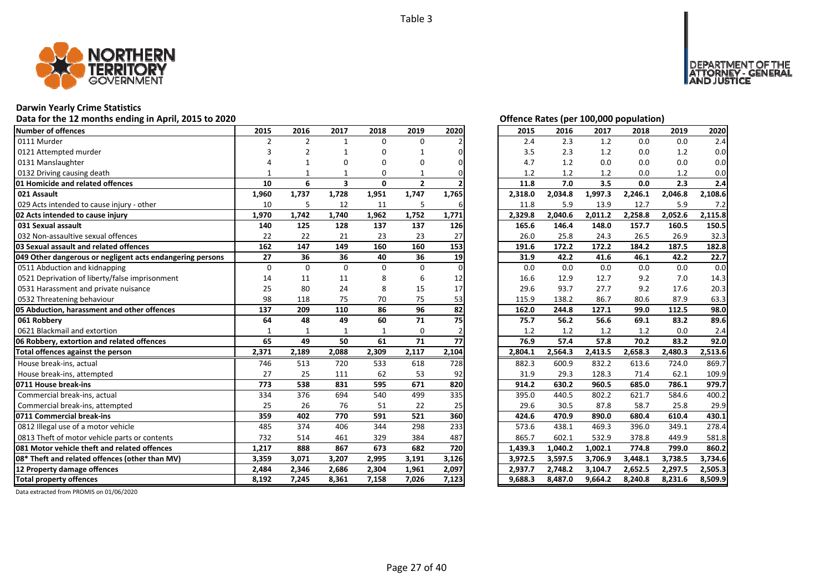

## **Darwin Yearly Crime Statistics**

## Data for the 12 months ending in April, 2015 to 2020 *Data for the 12 months ending in April, 2015 to 2020 Offence Rates (per 100,000 population)*

| Number of offences                                        | 2015           | 2016           | 2017                    | 2018         | 2019           | 2020      | 2015    | 2016    | 2017    | 2018    | 2019    | 2020    |
|-----------------------------------------------------------|----------------|----------------|-------------------------|--------------|----------------|-----------|---------|---------|---------|---------|---------|---------|
| 0111 Murder                                               | $\overline{2}$ | $\overline{2}$ | $\mathbf{1}$            | $\Omega$     | $\Omega$       |           | 2.4     | 2.3     | 1.2     | 0.0     | 0.0     | 2.4     |
| 0121 Attempted murder                                     |                | $\overline{2}$ |                         | U            |                | n         | 3.5     | 2.3     | 1.2     | 0.0     | 1.2     | 0.0     |
| 0131 Manslaughter                                         |                |                | $\Omega$                | $\Omega$     | $\Omega$       | ი         | 4.7     | 1.2     | 0.0     | 0.0     | 0.0     | 0.0     |
| 0132 Driving causing death                                |                |                |                         | $\Omega$     |                |           | 1.2     | 1.2     | 1.2     | 0.0     | 1.2     | 0.0     |
| 01 Homicide and related offences                          | 10             | 6              | $\overline{\mathbf{3}}$ | $\mathbf{0}$ | $\overline{2}$ |           | 11.8    | 7.0     | 3.5     | 0.0     | 2.3     | 2.4     |
| 021 Assault                                               | 1,960          | 1,737          | 1,728                   | 1,951        | 1,747          | 1,765     | 2,318.0 | 2,034.8 | 1,997.3 | 2,246.1 | 2,046.8 | 2,108.6 |
| 029 Acts intended to cause injury - other                 | 10             | 5              | 12                      | 11           | 5              | 6         | 11.8    | 5.9     | 13.9    | 12.7    | 5.9     | 7.2     |
| 02 Acts intended to cause injury                          | 1,970          | 1,742          | 1,740                   | 1,962        | 1,752          | 1,771     | 2,329.8 | 2,040.6 | 2,011.2 | 2,258.8 | 2,052.6 | 2,115.8 |
| 031 Sexual assault                                        | 140            | 125            | 128                     | 137          | 137            | 126       | 165.6   | 146.4   | 148.0   | 157.7   | 160.5   | 150.5   |
| 032 Non-assaultive sexual offences                        | 22             | 22             | 21                      | 23           | 23             | 27        | 26.0    | 25.8    | 24.3    | 26.5    | 26.9    | 32.3    |
| 03 Sexual assault and related offences                    | 162            | 147            | 149                     | 160          | 160            | 153       | 191.6   | 172.2   | 172.2   | 184.2   | 187.5   | 182.8   |
| 049 Other dangerous or negligent acts endangering persons | 27             | 36             | 36                      | 40           | 36             | 19        | 31.9    | 42.2    | 41.6    | 46.1    | 42.2    | 22.7    |
| 0511 Abduction and kidnapping                             | $\Omega$       | $\Omega$       | $\Omega$                | $\Omega$     | $\Omega$       | O         | 0.0     | 0.0     | 0.0     | 0.0     | 0.0     | 0.0     |
| 0521 Deprivation of liberty/false imprisonment            | 14             | 11             | 11                      | 8            | 6              | 12        | 16.6    | 12.9    | 12.7    | 9.2     | 7.0     | 14.3    |
| 0531 Harassment and private nuisance                      | 25             | 80             | 24                      | 8            | 15             | 17        | 29.6    | 93.7    | 27.7    | 9.2     | 17.6    | 20.3    |
| 0532 Threatening behaviour                                | 98             | 118            | 75                      | 70           | 75             | 53        | 115.9   | 138.2   | 86.7    | 80.6    | 87.9    | 63.3    |
| 05 Abduction, harassment and other offences               | 137            | 209            | 110                     | 86           | 96             | 82        | 162.0   | 244.8   | 127.1   | 99.0    | 112.5   | 98.0    |
| 061 Robbery                                               | 64             | 48             | 49                      | 60           | 71             | <b>75</b> | 75.7    | 56.2    | 56.6    | 69.1    | 83.2    | 89.6    |
| 0621 Blackmail and extortion                              | $\mathbf{1}$   | $\mathbf{1}$   | $\mathbf{1}$            | $\mathbf{1}$ | $\Omega$       |           | 1.2     | 1.2     | 1.2     | 1.2     | 0.0     | 2.4     |
| 06 Robbery, extortion and related offences                | 65             | 49             | 50                      | 61           | 71             | 77        | 76.9    | 57.4    | 57.8    | 70.2    | 83.2    | 92.0    |
| Total offences against the person                         | 2,371          | 2,189          | 2,088                   | 2,309        | 2,117          | 2,104     | 2,804.1 | 2,564.3 | 2,413.5 | 2,658.3 | 2,480.3 | 2,513.6 |
| House break-ins, actual                                   | 746            | 513            | 720                     | 533          | 618            | 728       | 882.3   | 600.9   | 832.2   | 613.6   | 724.0   | 869.7   |
| House break-ins, attempted                                | 27             | 25             | 111                     | 62           | 53             | 92        | 31.9    | 29.3    | 128.3   | 71.4    | 62.1    | 109.9   |
| 0711 House break-ins                                      | 773            | 538            | 831                     | 595          | 671            | 820       | 914.2   | 630.2   | 960.5   | 685.0   | 786.1   | 979.7   |
| Commercial break-ins, actual                              | 334            | 376            | 694                     | 540          | 499            | 335       | 395.0   | 440.5   | 802.2   | 621.7   | 584.6   | 400.2   |
| Commercial break-ins, attempted                           | 25             | 26             | 76                      | 51           | 22             | 25        | 29.6    | 30.5    | 87.8    | 58.7    | 25.8    | 29.9    |
| 0711 Commercial break-ins                                 | 359            | 402            | 770                     | 591          | 521            | 360       | 424.6   | 470.9   | 890.0   | 680.4   | 610.4   | 430.1   |
| 0812 Illegal use of a motor vehicle                       | 485            | 374            | 406                     | 344          | 298            | 233       | 573.6   | 438.1   | 469.3   | 396.0   | 349.1   | 278.4   |
| 0813 Theft of motor vehicle parts or contents             | 732            | 514            | 461                     | 329          | 384            | 487       | 865.7   | 602.1   | 532.9   | 378.8   | 449.9   | 581.8   |
| <b>1081 Motor vehicle theft and related offences</b>      | 1,217          | 888            | 867                     | 673          | 682            | 720       | 1,439.3 | 1,040.2 | 1,002.1 | 774.8   | 799.0   | 860.2   |
| 08* Theft and related offences (other than MV)            | 3,359          | 3,071          | 3,207                   | 2,995        | 3,191          | 3,126     | 3,972.5 | 3,597.5 | 3,706.9 | 3,448.1 | 3,738.5 | 3,734.6 |
| 12 Property damage offences                               | 2,484          | 2,346          | 2,686                   | 2,304        | 1,961          | 2,097     | 2,937.7 | 2,748.2 | 3,104.7 | 2,652.5 | 2,297.5 | 2,505.3 |
| <b>Total property offences</b>                            | 8,192          | 7,245          | 8,361                   | 7,158        | 7,026          | 7,123     | 9,688.3 | 8,487.0 | 9,664.2 | 8,240.8 | 8,231.6 | 8,509.9 |

DEPARTMENT OF THE<br>ATTORNEY - GENERAL ÜSTICE

| 2015    | 2016    | 2017    | 2018    | 2019    | 2020    |
|---------|---------|---------|---------|---------|---------|
| 2.4     | 2.3     | 1.2     | 0.0     | 0.0     | 2.4     |
| 3.5     | 2.3     | 1.2     | 0.0     | 1.2     | 0.0     |
| 4.7     | 1.2     | 0.0     | 0.0     | 0.0     | 0.0     |
| 1.2     | 1.2     | 1.2     | 0.0     | 1.2     | 0.0     |
| 11.8    | 7.0     | 3.5     | 0.0     | 2.3     | 2.4     |
| 2,318.0 | 2,034.8 | 1,997.3 | 2,246.1 | 2,046.8 | 2,108.6 |
| 11.8    | 5.9     | 13.9    | 12.7    | 5.9     | 7.2     |
| 2,329.8 | 2,040.6 | 2,011.2 | 2,258.8 | 2,052.6 | 2,115.8 |
| 165.6   | 146.4   | 148.0   | 157.7   | 160.5   | 150.5   |
| 26.0    | 25.8    | 24.3    | 26.5    | 26.9    | 32.3    |
| 191.6   | 172.2   | 172.2   | 184.2   | 187.5   | 182.8   |
| 31.9    | 42.2    | 41.6    | 46.1    | 42.2    | 22.7    |
| 0.0     | 0.0     | 0.0     | 0.0     | 0.0     | 0.0     |
| 16.6    | 12.9    | 12.7    | 9.2     | 7.0     | 14.3    |
| 29.6    | 93.7    | 27.7    | 9.2     | 17.6    | 20.3    |
| 115.9   | 138.2   | 86.7    | 80.6    | 87.9    | 63.3    |
| 162.0   | 244.8   | 127.1   | 99.0    | 112.5   | 98.0    |
| 75.7    | 56.2    | 56.6    | 69.1    | 83.2    | 89.6    |
| 1.2     | 1.2     | 1.2     | 1.2     | 0.0     | 2.4     |
| 76.9    | 57.4    | 57.8    | 70.2    | 83.2    | 92.0    |
| 2,804.1 | 2,564.3 | 2,413.5 | 2,658.3 | 2,480.3 | 2,513.6 |
| 882.3   | 600.9   | 832.2   | 613.6   | 724.0   | 869.7   |
| 31.9    | 29.3    | 128.3   | 71.4    | 62.1    | 109.9   |
| 914.2   | 630.2   | 960.5   | 685.0   | 786.1   | 979.7   |
| 395.0   | 440.5   | 802.2   | 621.7   | 584.6   | 400.2   |
| 29.6    | 30.5    | 87.8    | 58.7    | 25.8    | 29.9    |
| 424.6   | 470.9   | 890.0   | 680.4   | 610.4   | 430.1   |
| 573.6   | 438.1   | 469.3   | 396.0   | 349.1   | 278.4   |
| 865.7   | 602.1   | 532.9   | 378.8   | 449.9   | 581.8   |
| 1,439.3 | 1,040.2 | 1,002.1 | 774.8   | 799.0   | 860.2   |
| 3,972.5 | 3,597.5 | 3,706.9 | 3,448.1 | 3,738.5 | 3,734.6 |
| 2,937.7 | 2,748.2 | 3,104.7 | 2,652.5 | 2,297.5 | 2,505.3 |
| 9,688.3 | 8,487.0 | 9,664.2 | 8,240.8 | 8,231.6 | 8,509.9 |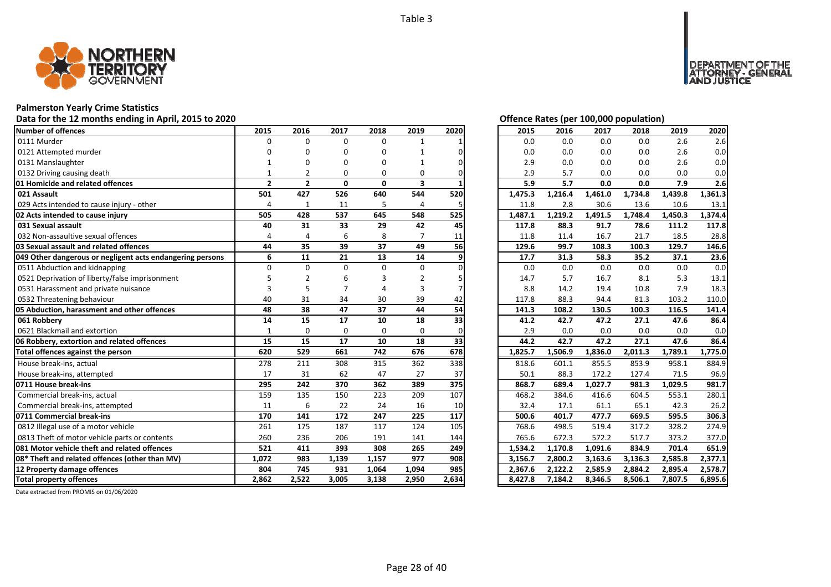

## **Palmerston Yearly Crime Statistics**

## Data for the 12 months ending in April, 2015 to 2020 *Data for the 12 months ending in April, 2015 to 2020 Offence Rates (per 100,000 population)*

| Number of offences                                        | 2015           | 2016           | 2017         | 2018         | 2019           | 2020  | 2015    | 2016    | 2017    | 2018    | 2019    | 2020    |
|-----------------------------------------------------------|----------------|----------------|--------------|--------------|----------------|-------|---------|---------|---------|---------|---------|---------|
| 0111 Murder                                               | $\Omega$       | $\Omega$       | $\Omega$     | 0            | $\mathbf{1}$   |       | 0.0     | 0.0     | 0.0     | 0.0     | 2.6     | 2.6     |
| 0121 Attempted murder                                     |                | n              | O            | 0            |                |       | 0.0     | 0.0     | 0.0     | 0.0     | 2.6     | 0.0     |
| 0131 Manslaughter                                         |                |                | O            | O            |                |       | 2.9     | 0.0     | 0.0     | 0.0     | 2.6     | 0.0     |
| 0132 Driving causing death                                |                |                | $\Omega$     | 0            | 0              |       | 2.9     | 5.7     | 0.0     | 0.0     | 0.0     | 0.0     |
| 01 Homicide and related offences                          | $\overline{2}$ | $\overline{2}$ | $\mathbf{0}$ | $\mathbf{0}$ | 3              |       | 5.9     | 5.7     | 0.0     | 0.0     | 7.9     | 2.6     |
| 021 Assault                                               | 501            | 427            | 526          | 640          | 544            | 520   | 1,475.3 | 1,216.4 | 1,461.0 | 1,734.8 | 1,439.8 | 1,361.3 |
| 029 Acts intended to cause injury - other                 | $\overline{4}$ | $\mathbf{1}$   | 11           | 5            | $\overline{4}$ | 5     | 11.8    | 2.8     | 30.6    | 13.6    | 10.6    | 13.1    |
| 02 Acts intended to cause injury                          | 505            | 428            | 537          | 645          | 548            | 525   | 1,487.1 | 1,219.2 | 1,491.5 | 1,748.4 | 1,450.3 | 1,374.4 |
| 031 Sexual assault                                        | 40             | 31             | 33           | 29           | 42             | 45    | 117.8   | 88.3    | 91.7    | 78.6    | 111.2   | 117.8   |
| 032 Non-assaultive sexual offences                        | $\overline{a}$ |                | 6            | 8            |                | 11    | 11.8    | 11.4    | 16.7    | 21.7    | 18.5    | 28.8    |
| 03 Sexual assault and related offences                    | 44             | 35             | 39           | 37           | 49             | 56    | 129.6   | 99.7    | 108.3   | 100.3   | 129.7   | 146.6   |
| 049 Other dangerous or negligent acts endangering persons | 6              | 11             | 21           | 13           | 14             | 9     | 17.7    | 31.3    | 58.3    | 35.2    | 37.1    | 23.6    |
| 0511 Abduction and kidnapping                             | $\Omega$       | $\Omega$       | $\Omega$     | $\Omega$     | $\Omega$       |       | 0.0     | 0.0     | 0.0     | 0.0     | 0.0     | 0.0     |
| 0521 Deprivation of liberty/false imprisonment            |                |                | 6            |              | 2              |       | 14.7    | 5.7     | 16.7    | 8.1     | 5.3     | 13.1    |
| 0531 Harassment and private nuisance                      |                | 5              |              |              | 3              |       | 8.8     | 14.2    | 19.4    | 10.8    | 7.9     | 18.3    |
| 0532 Threatening behaviour                                | 40             | 31             | 34           | 30           | 39             | 42    | 117.8   | 88.3    | 94.4    | 81.3    | 103.2   | 110.0   |
| 05 Abduction, harassment and other offences               | 48             | 38             | 47           | 37           | 44             | 54    | 141.3   | 108.2   | 130.5   | 100.3   | 116.5   | 141.4   |
| 061 Robbery                                               | 14             | 15             | 17           | 10           | 18             | 33    | 41.2    | 42.7    | 47.2    | 27.1    | 47.6    | 86.4    |
| 0621 Blackmail and extortion                              | $\mathbf{1}$   | $\Omega$       | 0            | $\Omega$     | $\Omega$       |       | 2.9     | 0.0     | 0.0     | 0.0     | 0.0     | 0.0     |
| 06 Robbery, extortion and related offences                | 15             | 15             | 17           | 10           | 18             | 33    | 44.2    | 42.7    | 47.2    | 27.1    | 47.6    | 86.4    |
| Total offences against the person                         | 620            | 529            | 661          | 742          | 676            | 678   | 1,825.7 | 1,506.9 | 1,836.0 | 2,011.3 | 1,789.1 | 1,775.0 |
| House break-ins, actual                                   | 278            | 211            | 308          | 315          | 362            | 338   | 818.6   | 601.1   | 855.5   | 853.9   | 958.1   | 884.9   |
| House break-ins, attempted                                | 17             | 31             | 62           | 47           | 27             | 37    | 50.1    | 88.3    | 172.2   | 127.4   | 71.5    | 96.9    |
| 0711 House break-ins                                      | 295            | 242            | 370          | 362          | 389            | 375   | 868.7   | 689.4   | 1,027.7 | 981.3   | 1,029.5 | 981.7   |
| Commercial break-ins, actual                              | 159            | 135            | 150          | 223          | 209            | 107   | 468.2   | 384.6   | 416.6   | 604.5   | 553.1   | 280.1   |
| Commercial break-ins, attempted                           | 11             | 6              | 22           | 24           | 16             | 10    | 32.4    | 17.1    | 61.1    | 65.1    | 42.3    | 26.2    |
| 0711 Commercial break-ins                                 | 170            | 141            | 172          | 247          | 225            | 117   | 500.6   | 401.7   | 477.7   | 669.5   | 595.5   | 306.3   |
| 0812 Illegal use of a motor vehicle                       | 261            | 175            | 187          | 117          | 124            | 105   | 768.6   | 498.5   | 519.4   | 317.2   | 328.2   | 274.9   |
| 0813 Theft of motor vehicle parts or contents             | 260            | 236            | 206          | 191          | 141            | 144   | 765.6   | 672.3   | 572.2   | 517.7   | 373.2   | 377.0   |
| <b>1081 Motor vehicle theft and related offences</b>      | 521            | 411            | 393          | 308          | 265            | 249   | 1,534.2 | 1,170.8 | 1,091.6 | 834.9   | 701.4   | 651.9   |
| 08* Theft and related offences (other than MV)            | 1,072          | 983            | 1,139        | 1,157        | 977            | 908   | 3,156.7 | 2,800.2 | 3,163.6 | 3,136.3 | 2,585.8 | 2,377.1 |
| 12 Property damage offences                               | 804            | 745            | 931          | 1,064        | 1,094          | 985   | 2,367.6 | 2,122.2 | 2,585.9 | 2,884.2 | 2,895.4 | 2,578.7 |
| <b>Total property offences</b>                            | 2,862          | 2,522          | 3,005        | 3,138        | 2,950          | 2,634 | 8,427.8 | 7,184.2 | 8,346.5 | 8,506.1 | 7,807.5 | 6,895.6 |

DEPARTMENT OF THE<br>ATTORNEY - GENERAL<br>AND JUSTICE

| 2015    | 2016    | 2017    | 2018    | 2019    | 2020    |
|---------|---------|---------|---------|---------|---------|
| 0.0     | 0.0     | 0.0     | 0.0     | 2.6     | 2.6     |
| 0.0     | 0.0     | 0.0     | 0.0     | 2.6     | 0.0     |
| 2.9     | 0.0     | 0.0     | 0.0     | 2.6     | 0.0     |
| 2.9     | 5.7     | 0.0     | 0.0     | 0.0     | 0.0     |
| 5.9     | 5.7     | 0.0     | 0.0     | 7.9     | 2.6     |
| 1,475.3 | 1,216.4 | 1,461.0 | 1,734.8 | 1,439.8 | 1,361.3 |
| 11.8    | 2.8     | 30.6    | 13.6    | 10.6    | 13.1    |
| 1,487.1 | 1,219.2 | 1,491.5 | 1,748.4 | 1,450.3 | 1,374.4 |
| 117.8   | 88.3    | 91.7    | 78.6    | 111.2   | 117.8   |
| 11.8    | 11.4    | 16.7    | 21.7    | 18.5    | 28.8    |
| 129.6   | 99.7    | 108.3   | 100.3   | 129.7   | 146.6   |
| 17.7    | 31.3    | 58.3    | 35.2    | 37.1    | 23.6    |
| 0.0     | 0.0     | 0.0     | 0.0     | 0.0     | 0.0     |
| 14.7    | 5.7     | 16.7    | 8.1     | 5.3     | 13.1    |
| 8.8     | 14.2    | 19.4    | 10.8    | 7.9     | 18.3    |
| 117.8   | 88.3    | 94.4    | 81.3    | 103.2   | 110.0   |
| 141.3   | 108.2   | 130.5   | 100.3   | 116.5   | 141.4   |
| 41.2    | 42.7    | 47.2    | 27.1    | 47.6    | 86.4    |
| 2.9     | 0.0     | 0.0     | 0.0     | 0.0     | 0.0     |
| 44.2    | 42.7    | 47.2    | 27.1    | 47.6    | 86.4    |
| 1,825.7 | 1,506.9 | 1,836.0 | 2,011.3 | 1,789.1 | 1,775.0 |
| 818.6   | 601.1   | 855.5   | 853.9   | 958.1   | 884.9   |
| 50.1    | 88.3    | 172.2   | 127.4   | 71.5    | 96.9    |
| 868.7   | 689.4   | 1,027.7 | 981.3   | 1,029.5 | 981.7   |
| 468.2   | 384.6   | 416.6   | 604.5   | 553.1   | 280.1   |
| 32.4    | 17.1    | 61.1    | 65.1    | 42.3    | 26.2    |
| 500.6   | 401.7   | 477.7   | 669.5   | 595.5   | 306.3   |
| 768.6   | 498.5   | 519.4   | 317.2   | 328.2   | 274.9   |
| 765.6   | 672.3   | 572.2   | 517.7   | 373.2   | 377.0   |
| 1,534.2 | 1,170.8 | 1,091.6 | 834.9   | 701.4   | 651.9   |
| 3,156.7 | 2,800.2 | 3,163.6 | 3,136.3 | 2,585.8 | 2,377.1 |
| 2,367.6 | 2,122.2 | 2,585.9 | 2,884.2 | 2,895.4 | 2,578.7 |
| 8,427.8 | 7,184.2 | 8,346.5 | 8,506.1 | 7,807.5 | 6,895.6 |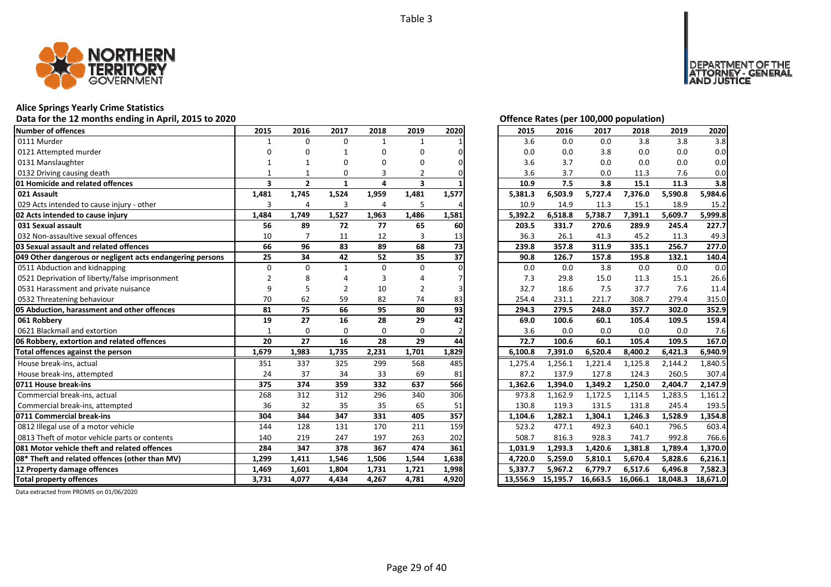

#### **Alice Springs Yearly Crime Statistics**

#### **Data for the 12 months ending in April, 2015 to 2020 Offence Rates (per 100,000 population)**

| Number of offences                                        | 2015                    | 2016           | 2017           | 2018         | 2019                    | 2020            | 2015     | 2016     | 2017     | 2018     | 2019     | 2020     |
|-----------------------------------------------------------|-------------------------|----------------|----------------|--------------|-------------------------|-----------------|----------|----------|----------|----------|----------|----------|
| 0111 Murder                                               |                         | $\Omega$       | $\Omega$       | $\mathbf{1}$ | 1                       |                 | 3.6      | 0.0      | 0.0      | 3.8      | 3.8      | 3.8      |
| 0121 Attempted murder                                     |                         |                |                | O            | U                       |                 | 0.0      | 0.0      | 3.8      | 0.0      | 0.0      | 0.0      |
| 0131 Manslaughter                                         |                         |                | ŋ              | ŋ            | n                       |                 | 3.6      | 3.7      | 0.0      | 0.0      | 0.0      | 0.0      |
| 0132 Driving causing death                                |                         |                | O              |              |                         |                 | 3.6      | 3.7      | 0.0      | 11.3     | 7.6      | 0.0      |
| 01 Homicide and related offences                          | $\overline{\mathbf{3}}$ | $\overline{2}$ | $\mathbf{1}$   | 4            | $\overline{\mathbf{3}}$ |                 | 10.9     | 7.5      | 3.8      | 15.1     | 11.3     | 3.8      |
| 021 Assault                                               | 1,481                   | 1,745          | 1,524          | 1,959        | 1,481                   | 1,577           | 5,381.3  | 6,503.9  | 5,727.4  | 7,376.0  | 5,590.8  | 5,984.6  |
| 029 Acts intended to cause injury - other                 | 3                       | 4              | 3              | 4            | 5                       |                 | 10.9     | 14.9     | 11.3     | 15.1     | 18.9     | 15.2     |
| 02 Acts intended to cause injury                          | 1,484                   | 1,749          | 1,527          | 1,963        | 1,486                   | 1,581           | 5,392.2  | 6,518.8  | 5,738.7  | 7,391.1  | 5,609.7  | 5,999.8  |
| 031 Sexual assault                                        | 56                      | 89             | 72             | 77           | 65                      | 60              | 203.5    | 331.7    | 270.6    | 289.9    | 245.4    | 227.7    |
| 032 Non-assaultive sexual offences                        | 10                      |                | 11             | 12           | 3                       | 13              | 36.3     | 26.1     | 41.3     | 45.2     | 11.3     | 49.3     |
| 03 Sexual assault and related offences                    | 66                      | 96             | 83             | 89           | 68                      | $\overline{73}$ | 239.8    | 357.8    | 311.9    | 335.1    | 256.7    | 277.0    |
| 049 Other dangerous or negligent acts endangering persons | 25                      | 34             | 42             | 52           | 35                      | 37              | 90.8     | 126.7    | 157.8    | 195.8    | 132.1    | 140.4    |
| 0511 Abduction and kidnapping                             | $\Omega$                | $\Omega$       | $\mathbf{1}$   | $\Omega$     | $\Omega$                |                 | 0.0      | 0.0      | 3.8      | 0.0      | 0.0      | 0.0      |
| 0521 Deprivation of liberty/false imprisonment            | $\overline{2}$          |                |                |              |                         |                 | 7.3      | 29.8     | 15.0     | 11.3     | 15.1     | 26.6     |
| 0531 Harassment and private nuisance                      | q                       |                | $\overline{2}$ | 10           | 2                       |                 | 32.7     | 18.6     | 7.5      | 37.7     | 7.6      | 11.4     |
| 0532 Threatening behaviour                                | 70                      | 62             | 59             | 82           | 74                      | 83              | 254.4    | 231.1    | 221.7    | 308.7    | 279.4    | 315.0    |
| 05 Abduction, harassment and other offences               | 81                      | 75             | 66             | 95           | 80                      | 93              | 294.3    | 279.5    | 248.0    | 357.7    | 302.0    | 352.9    |
| 061 Robbery                                               | 19                      | 27             | 16             | 28           | 29                      | 42              | 69.0     | 100.6    | 60.1     | 105.4    | 109.5    | 159.4    |
| 0621 Blackmail and extortion                              | $\mathbf{1}$            | $\Omega$       | $\Omega$       | $\Omega$     | $\Omega$                |                 | 3.6      | 0.0      | 0.0      | 0.0      | 0.0      | 7.6      |
| 06 Robbery, extortion and related offences                | 20                      | 27             | 16             | 28           | 29                      | 44              | 72.7     | 100.6    | 60.1     | 105.4    | 109.5    | 167.0    |
| Total offences against the person                         | 1,679                   | 1,983          | 1,735          | 2,231        | 1,701                   | 1,829           | 6,100.8  | 7,391.0  | 6,520.4  | 8,400.2  | 6,421.3  | 6,940.9  |
| House break-ins, actual                                   | 351                     | 337            | 325            | 299          | 568                     | 485             | 1,275.4  | 1,256.1  | 1,221.4  | 1,125.8  | 2,144.2  | 1,840.5  |
| House break-ins, attempted                                | 24                      | 37             | 34             | 33           | 69                      | 81              | 87.2     | 137.9    | 127.8    | 124.3    | 260.5    | 307.4    |
| 0711 House break-ins                                      | 375                     | 374            | 359            | 332          | 637                     | 566             | 1,362.6  | 1,394.0  | 1,349.2  | 1,250.0  | 2,404.7  | 2,147.9  |
| Commercial break-ins, actual                              | 268                     | 312            | 312            | 296          | 340                     | 306             | 973.8    | 1,162.9  | 1,172.5  | 1,114.5  | 1,283.5  | 1,161.2  |
| Commercial break-ins, attempted                           | 36                      | 32             | 35             | 35           | 65                      | 51              | 130.8    | 119.3    | 131.5    | 131.8    | 245.4    | 193.5    |
| 0711 Commercial break-ins                                 | 304                     | 344            | 347            | 331          | 405                     | 357             | 1,104.6  | 1,282.1  | 1,304.1  | 1,246.3  | 1,528.9  | 1,354.8  |
| 0812 Illegal use of a motor vehicle                       | 144                     | 128            | 131            | 170          | 211                     | 159             | 523.2    | 477.1    | 492.3    | 640.1    | 796.5    | 603.4    |
| 0813 Theft of motor vehicle parts or contents             | 140                     | 219            | 247            | 197          | 263                     | 202             | 508.7    | 816.3    | 928.3    | 741.7    | 992.8    | 766.6    |
| 081 Motor vehicle theft and related offences              | 284                     | 347            | 378            | 367          | 474                     | 361             | 1,031.9  | 1,293.3  | 1,420.6  | 1,381.8  | 1,789.4  | 1,370.0  |
| 08* Theft and related offences (other than MV)            | 1,299                   | 1,411          | 1,546          | 1,506        | 1,544                   | 1,638           | 4,720.0  | 5,259.0  | 5,810.1  | 5,670.4  | 5,828.6  | 6,216.1  |
| 12 Property damage offences                               | 1,469                   | 1,601          | 1,804          | 1,731        | 1,721                   | 1,998           | 5,337.7  | 5,967.2  | 6,779.7  | 6,517.6  | 6,496.8  | 7,582.3  |
| <b>Total property offences</b>                            | 3,731                   | 4,077          | 4,434          | 4,267        | 4,781                   | 4,920           | 13,556.9 | 15,195.7 | 16,663.5 | 16,066.1 | 18,048.3 | 18,671.0 |

DEPARTMENT OF THE<br>ATTORNEY - GENERAL<br>AND JUSTICE

| 2015     | 2016     | 2017     | 2018     | 2019     | 2020     |
|----------|----------|----------|----------|----------|----------|
| 3.6      | 0.0      | 0.0      | 3.8      | 3.8      | 3.8      |
| 0.0      | 0.0      | 3.8      | 0.0      | 0.0      | 0.0      |
| 3.6      | 3.7      | 0.0      | 0.0      | 0.0      | 0.0      |
| 3.6      | 3.7      | 0.0      | 11.3     | 7.6      | 0.0      |
| 10.9     | 7.5      | 3.8      | 15.1     | 11.3     | 3.8      |
| 5,381.3  | 6,503.9  | 5,727.4  | 7,376.0  | 5,590.8  | 5,984.6  |
| 10.9     | 14.9     | 11.3     | 15.1     | 18.9     | 15.2     |
| 5,392.2  | 6,518.8  | 5,738.7  | 7,391.1  | 5,609.7  | 5,999.8  |
| 203.5    | 331.7    | 270.6    | 289.9    | 245.4    | 227.7    |
| 36.3     | 26.1     | 41.3     | 45.2     | 11.3     | 49.3     |
| 239.8    | 357.8    | 311.9    | 335.1    | 256.7    | 277.0    |
| 90.8     | 126.7    | 157.8    | 195.8    | 132.1    | 140.4    |
| 0.0      | 0.0      | 3.8      | 0.0      | 0.0      | 0.0      |
| 7.3      | 29.8     | 15.0     | 11.3     | 15.1     | 26.6     |
| 32.7     | 18.6     | 7.5      | 37.7     | 7.6      | 11.4     |
| 254.4    | 231.1    | 221.7    | 308.7    | 279.4    | 315.0    |
| 294.3    | 279.5    | 248.0    | 357.7    | 302.0    | 352.9    |
| 69.0     | 100.6    | 60.1     | 105.4    | 109.5    | 159.4    |
| 3.6      | 0.0      | 0.0      | 0.0      | 0.0      | 7.6      |
| 72.7     | 100.6    | 60.1     | 105.4    | 109.5    | 167.0    |
| 6,100.8  | 7,391.0  | 6,520.4  | 8,400.2  | 6,421.3  | 6,940.9  |
| 1,275.4  | 1,256.1  | 1,221.4  | 1,125.8  | 2,144.2  | 1,840.5  |
| 87.2     | 137.9    | 127.8    | 124.3    | 260.5    | 307.4    |
| 1,362.6  | 1,394.0  | 1,349.2  | 1,250.0  | 2,404.7  | 2,147.9  |
| 973.8    | 1,162.9  | 1,172.5  | 1,114.5  | 1,283.5  | 1,161.2  |
| 130.8    | 119.3    | 131.5    | 131.8    | 245.4    | 193.5    |
| 1,104.6  | 1,282.1  | 1,304.1  | 1,246.3  | 1,528.9  | 1,354.8  |
| 523.2    | 477.1    | 492.3    | 640.1    | 796.5    | 603.4    |
| 508.7    | 816.3    | 928.3    | 741.7    | 992.8    | 766.6    |
| 1,031.9  | 1,293.3  | 1,420.6  | 1,381.8  | 1,789.4  | 1,370.0  |
| 4,720.0  | 5,259.0  | 5,810.1  | 5,670.4  | 5,828.6  | 6,216.1  |
| 5,337.7  | 5,967.2  | 6,779.7  | 6,517.6  | 6,496.8  | 7,582.3  |
| 13,556.9 | 15,195.7 | 16,663.5 | 16,066.1 | 18,048.3 | 18,671.0 |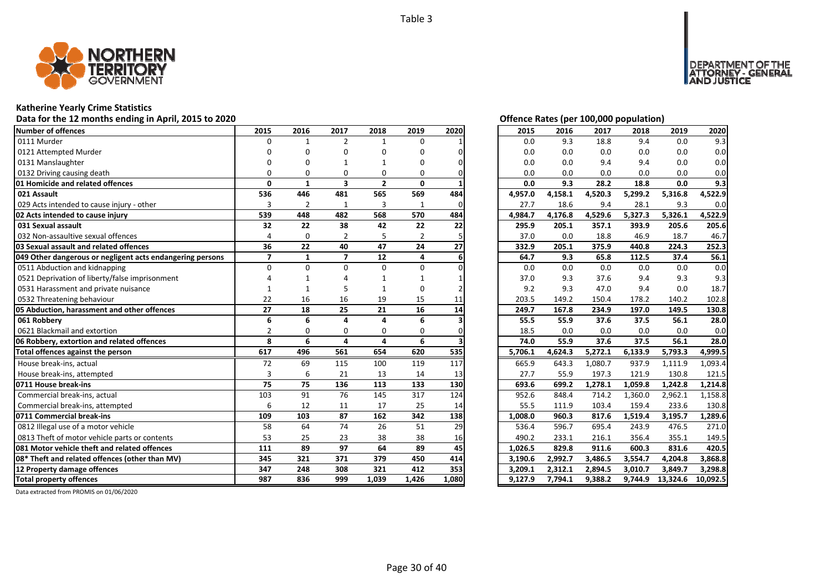

## **Katherine Yearly Crime Statistics**

## Data for the 12 months ending in April, 2015 to 2020 *Data for the 12 months ending in April, 2015 to 2020 Offence Rates (per 100,000 population)*

| Number of offences                                        | 2015           | 2016           | 2017                    | 2018         | 2019           | 2020  | 2015    | 2016    | 2017    | 2018    | 2019             | 2020     |
|-----------------------------------------------------------|----------------|----------------|-------------------------|--------------|----------------|-------|---------|---------|---------|---------|------------------|----------|
| 0111 Murder                                               | $\Omega$       | 1              | $\overline{2}$          | $\mathbf{1}$ | $\Omega$       |       | 0.0     | 9.3     | 18.8    | 9.4     | 0.0              | 9.3      |
| 0121 Attempted Murder                                     |                | n              | O                       | O            | U              |       | 0.0     | 0.0     | 0.0     | 0.0     | 0.0              | 0.0      |
| 0131 Manslaughter                                         |                |                |                         |              | U              |       | 0.0     | 0.0     | 9.4     | 9.4     | 0.0              | 0.0      |
| 0132 Driving causing death                                |                | ŋ              | $\Omega$                | 0            | 0              |       | 0.0     | 0.0     | 0.0     | 0.0     | 0.0              | 0.0      |
| 01 Homicide and related offences                          | $\Omega$       | 1              | $\overline{\mathbf{3}}$ | $\mathbf{2}$ | 0              |       | 0.0     | 9.3     | 28.2    | 18.8    | 0.0              | 9.3      |
| 021 Assault                                               | 536            | 446            | 481                     | 565          | 569            | 484   | 4,957.0 | 4,158.1 | 4,520.3 | 5,299.2 | 5,316.8          | 4,522.9  |
| 029 Acts intended to cause injury - other                 | 3              | $\overline{2}$ | 1                       | 3            | $\mathbf{1}$   | 0     | 27.7    | 18.6    | 9.4     | 28.1    | 9.3              | 0.0      |
| 02 Acts intended to cause injury                          | 539            | 448            | 482                     | 568          | 570            | 484   | 4,984.7 | 4,176.8 | 4,529.6 | 5,327.3 | 5,326.1          | 4,522.9  |
| 031 Sexual assault                                        | 32             | 22             | 38                      | 42           | 22             | 22    | 295.9   | 205.1   | 357.1   | 393.9   | 205.6            | 205.6    |
| 032 Non-assaultive sexual offences                        | 4              | $\Omega$       | 2                       | 5            | $\overline{2}$ |       | 37.0    | 0.0     | 18.8    | 46.9    | 18.7             | 46.7     |
| 03 Sexual assault and related offences                    | 36             | 22             | 40                      | 47           | 24             | 27    | 332.9   | 205.1   | 375.9   | 440.8   | 224.3            | 252.3    |
| 049 Other dangerous or negligent acts endangering persons | $\overline{7}$ | $\mathbf{1}$   | $\overline{7}$          | 12           | 4              |       | 64.7    | 9.3     | 65.8    | 112.5   | 37.4             | 56.1     |
| 0511 Abduction and kidnapping                             | $\Omega$       | $\Omega$       | $\Omega$                | $\Omega$     | $\Omega$       |       | 0.0     | 0.0     | 0.0     | 0.0     | 0.0              | 0.0      |
| 0521 Deprivation of liberty/false imprisonment            |                |                |                         |              |                |       | 37.0    | 9.3     | 37.6    | 9.4     | 9.3              | 9.3      |
| 0531 Harassment and private nuisance                      |                |                |                         |              | 0              |       | 9.2     | 9.3     | 47.0    | 9.4     | 0.0              | 18.7     |
| 0532 Threatening behaviour                                | 22             | 16             | 16                      | 19           | 15             | 11    | 203.5   | 149.2   | 150.4   | 178.2   | 140.2            | 102.8    |
| 05 Abduction, harassment and other offences               | 27             | 18             | 25                      | 21           | 16             | 14    | 249.7   | 167.8   | 234.9   | 197.0   | 149.5            | 130.8    |
| 061 Robbery                                               | 6              | 6              | $\Delta$                | $\Delta$     | 6              |       | 55.5    | 55.9    | 37.6    | 37.5    | 56.1             | 28.0     |
| 0621 Blackmail and extortion                              | $\overline{2}$ | $\Omega$       | 0                       | 0            | 0              |       | 18.5    | 0.0     | 0.0     | 0.0     | 0.0              | 0.0      |
| 06 Robbery, extortion and related offences                | 8              | 6              | 4                       | 4            | 6              |       | 74.0    | 55.9    | 37.6    | 37.5    | 56.1             | 28.0     |
| Total offences against the person                         | 617            | 496            | 561                     | 654          | 620            | 535   | 5,706.1 | 4,624.3 | 5,272.1 | 6,133.9 | 5,793.3          | 4,999.5  |
| House break-ins, actual                                   | 72             | 69             | 115                     | 100          | 119            | 117   | 665.9   | 643.3   | 1,080.7 | 937.9   | 1,111.9          | 1,093.4  |
| House break-ins, attempted                                | 3              | 6              | 21                      | 13           | 14             | 13    | 27.7    | 55.9    | 197.3   | 121.9   | 130.8            | 121.5    |
| 0711 House break-ins                                      | 75             | 75             | 136                     | 113          | 133            | 130   | 693.6   | 699.2   | 1,278.1 | 1,059.8 | 1,242.8          | 1,214.8  |
| Commercial break-ins, actual                              | 103            | 91             | 76                      | 145          | 317            | 124   | 952.6   | 848.4   | 714.2   | 1,360.0 | 2,962.1          | 1,158.8  |
| Commercial break-ins, attempted                           | 6              | 12             | 11                      | 17           | 25             | 14    | 55.5    | 111.9   | 103.4   | 159.4   | 233.6            | 130.8    |
| 0711 Commercial break-ins                                 | 109            | 103            | 87                      | 162          | 342            | 138   | 1,008.0 | 960.3   | 817.6   | 1,519.4 | 3,195.7          | 1,289.6  |
| 0812 Illegal use of a motor vehicle                       | 58             | 64             | 74                      | 26           | 51             | 29    | 536.4   | 596.7   | 695.4   | 243.9   | 476.5            | 271.0    |
| 0813 Theft of motor vehicle parts or contents             | 53             | 25             | 23                      | 38           | 38             | 16    | 490.2   | 233.1   | 216.1   | 356.4   | 355.1            | 149.5    |
| <b>1081 Motor vehicle theft and related offences</b>      | 111            | 89             | 97                      | 64           | 89             | 45    | 1,026.5 | 829.8   | 911.6   | 600.3   | 831.6            | 420.5    |
| 08* Theft and related offences (other than MV)            | 345            | 321            | 371                     | 379          | 450            | 414   | 3,190.6 | 2,992.7 | 3,486.5 | 3,554.7 | 4,204.8          | 3,868.8  |
| 12 Property damage offences                               | 347            | 248            | 308                     | 321          | 412            | 353   | 3,209.1 | 2,312.1 | 2,894.5 | 3,010.7 | 3,849.7          | 3,298.8  |
| <b>Total property offences</b>                            | 987            | 836            | 999                     | 1,039        | 1,426          | 1,080 | 9,127.9 | 7,794.1 | 9,388.2 |         | 9,744.9 13,324.6 | 10,092.5 |

DEPARTMENT OF THE<br>ATTORNEY - GENERAL ÜŠTICE

| 2015    | 2016    | 2017    | 2018    | 2019    | 2020    |
|---------|---------|---------|---------|---------|---------|
| 0.0     | 9.3     | 18.8    | 9.4     | 0.0     | 9.3     |
| 0.0     | 0.0     | 0.0     | 0.0     | 0.0     | 0.0     |
| 0.0     | 0.0     | 9.4     | 9.4     | 0.0     | 0.0     |
| 0.0     | 0.0     | 0.0     | 0.0     | 0.0     | 0.0     |
| 0.0     | 9.3     | 28.2    | 18.8    | 0.0     | 9.3     |
| 4,957.0 | 4,158.1 | 4,520.3 | 5,299.2 | 5,316.8 | 4,522.9 |
| 27.7    | 18.6    | 9.4     | 28.1    | 9.3     | 0.0     |
| 4,984.7 | 4,176.8 | 4,529.6 | 5,327.3 | 5,326.1 | 4,522.9 |
| 295.9   | 205.1   | 357.1   | 393.9   | 205.6   | 205.6   |
| 37.0    | 0.0     | 18.8    | 46.9    | 18.7    | 46.7    |
| 332.9   | 205.1   | 375.9   | 440.8   | 224.3   | 252.3   |
| 64.7    | 9.3     | 65.8    | 112.5   | 37.4    | 56.1    |
| 0.0     | 0.0     | 0.0     | 0.0     | 0.0     | 0.0     |
| 37.0    | 9.3     | 37.6    | 9.4     | 9.3     | 9.3     |
| 9.2     | 9.3     | 47.0    | 9.4     | 0.0     | 18.7    |
| 203.5   | 149.2   | 150.4   | 178.2   | 140.2   | 102.8   |
|         |         |         |         |         |         |
| 249.7   | 167.8   | 234.9   | 197.0   | 149.5   | 130.8   |
| 55.5    | 55.9    | 37.6    | 37.5    | 56.1    | 28.0    |
| 18.5    | 0.0     | 0.0     | 0.0     | 0.0     | 0.0     |
| 74.0    | 55.9    | 37.6    | 37.5    | 56.1    | 28.0    |
| 5,706.1 | 4,624.3 | 5,272.1 | 6,133.9 | 5,793.3 | 4,999.5 |
| 665.9   | 643.3   | 1,080.7 | 937.9   | 1,111.9 | 1,093.4 |
| 27.7    | 55.9    | 197.3   | 121.9   | 130.8   | 121.5   |
| 693.6   | 699.2   | 1,278.1 | 1,059.8 | 1,242.8 | 1,214.8 |
| 952.6   | 848.4   | 714.2   | 1,360.0 | 2,962.1 | 1,158.8 |
| 55.5    | 111.9   | 103.4   | 159.4   | 233.6   | 130.8   |
| 1,008.0 | 960.3   | 817.6   | 1,519.4 | 3,195.7 | 1,289.6 |
| 536.4   | 596.7   | 695.4   | 243.9   | 476.5   | 271.0   |
| 490.2   | 233.1   | 216.1   | 356.4   | 355.1   | 149.5   |
| 1,026.5 | 829.8   | 911.6   | 600.3   | 831.6   | 420.5   |
| 3,190.6 | 2,992.7 | 3,486.5 | 3,554.7 | 4,204.8 | 3,868.8 |
| 3,209.1 | 2,312.1 | 2,894.5 | 3,010.7 | 3,849.7 | 3,298.8 |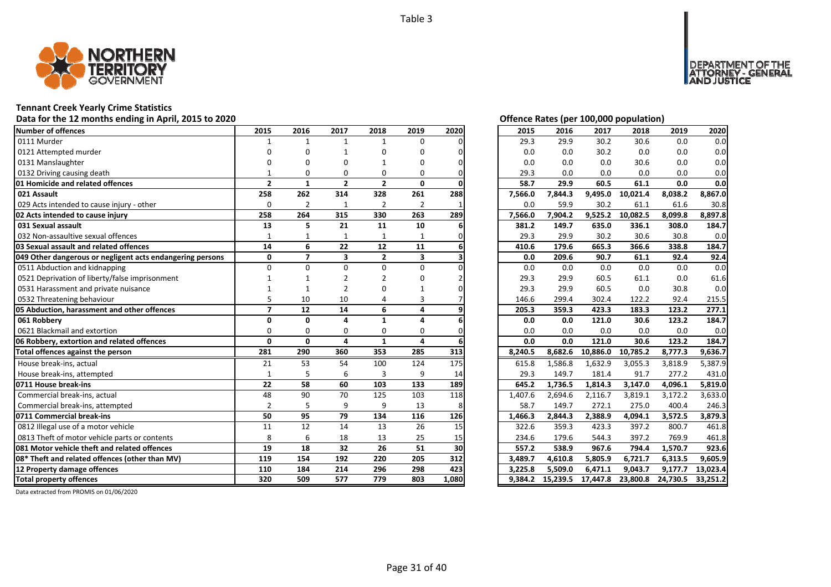

## **Tennant Creek Yearly Crime Statistics**

## Data for the 12 months ending in April, 2015 to 2020 *Data for the 12 months ending in April, 2015 to 2020 Offence Rates (per 100,000 population)*

| <b>Number of offences</b>                                 | 2015                     | 2016           | 2017                    | 2018           | 2019                    | 2020  | 2015    | 2016    | 2017              | 2018     | 2019     | 2020     |
|-----------------------------------------------------------|--------------------------|----------------|-------------------------|----------------|-------------------------|-------|---------|---------|-------------------|----------|----------|----------|
| 0111 Murder                                               |                          | $\mathbf{1}$   | $\mathbf{1}$            | $\mathbf{1}$   | $\Omega$                |       | 29.3    | 29.9    | 30.2              | 30.6     | 0.0      | 0.0      |
| 0121 Attempted murder                                     | n                        | ŋ              |                         | ŋ              | O                       |       | 0.0     | 0.0     | 30.2              | 0.0      | 0.0      | 0.0      |
| 0131 Manslaughter                                         |                          | ŋ              | n                       |                | O                       |       | 0.0     | 0.0     | 0.0               | 30.6     | 0.0      | 0.0      |
| 0132 Driving causing death                                |                          | $\Omega$       | $\Omega$                | $\Omega$       | 0                       |       | 29.3    | 0.0     | 0.0               | 0.0      | 0.0      | 0.0      |
| 01 Homicide and related offences                          | $\overline{2}$           | $\mathbf{1}$   | $\overline{2}$          | $\overline{2}$ | 0                       |       | 58.7    | 29.9    | 60.5              | 61.1     | 0.0      | 0.0      |
| 021 Assault                                               | 258                      | 262            | 314                     | 328            | 261                     | 288   | 7,566.0 | 7,844.3 | 9,495.0           | 10,021.4 | 8,038.2  | 8,867.0  |
| 029 Acts intended to cause injury - other                 | $\Omega$                 | $\overline{2}$ | $\mathbf{1}$            | $\overline{2}$ | $\overline{2}$          |       | 0.0     | 59.9    | 30.2              | 61.1     | 61.6     | 30.8     |
| 02 Acts intended to cause injury                          | 258                      | 264            | 315                     | 330            | 263                     | 289   | 7,566.0 | 7,904.2 | 9,525.2           | 10,082.5 | 8,099.8  | 8,897.8  |
| 031 Sexual assault                                        | 13                       | 5              | 21                      | 11             | 10                      |       | 381.2   | 149.7   | 635.0             | 336.1    | 308.0    | 184.7    |
| 032 Non-assaultive sexual offences                        |                          | 1              | $\mathbf{1}$            | 1              |                         |       | 29.3    | 29.9    | 30.2              | 30.6     | 30.8     | 0.0      |
| 03 Sexual assault and related offences                    | 14                       | 6              | 22                      | 12             | 11                      |       | 410.6   | 179.6   | 665.3             | 366.6    | 338.8    | 184.7    |
| 049 Other dangerous or negligent acts endangering persons | 0                        | $\overline{ }$ | $\overline{\mathbf{3}}$ | $\overline{2}$ | $\overline{\mathbf{3}}$ |       | 0.0     | 209.6   | 90.7              | 61.1     | 92.4     | 92.4     |
| 0511 Abduction and kidnapping                             | $\Omega$                 | O              | $\Omega$                | $\Omega$       | 0                       |       | 0.0     | 0.0     | 0.0               | 0.0      | 0.0      | 0.0      |
| 0521 Deprivation of liberty/false imprisonment            |                          |                |                         |                | n                       |       | 29.3    | 29.9    | 60.5              | 61.1     | 0.0      | 61.6     |
| 0531 Harassment and private nuisance                      |                          |                | $\overline{2}$          |                |                         |       | 29.3    | 29.9    | 60.5              | 0.0      | 30.8     | 0.0      |
| 0532 Threatening behaviour                                |                          | 10             | 10                      |                | 3                       |       | 146.6   | 299.4   | 302.4             | 122.2    | 92.4     | 215.5    |
| 05 Abduction, harassment and other offences               | $\overline{\phantom{a}}$ | 12             | 14                      | 6              | 4                       |       | 205.3   | 359.3   | 423.3             | 183.3    | 123.2    | 277.1    |
| 061 Robberv                                               | $\Omega$                 | $\Omega$       | $\Delta$                | 1              | 4                       |       | 0.0     | 0.0     | 121.0             | 30.6     | 123.2    | 184.7    |
| 0621 Blackmail and extortion                              | $\Omega$                 | $\Omega$       | $\Omega$                | 0              | 0                       |       | 0.0     | 0.0     | 0.0               | 0.0      | 0.0      | 0.0      |
| 06 Robbery, extortion and related offences                | $\mathbf{0}$             | $\Omega$       | 4                       | $\mathbf{1}$   | 4                       |       | 0.0     | 0.0     | 121.0             | 30.6     | 123.2    | 184.7    |
| Total offences against the person                         | 281                      | 290            | 360                     | 353            | 285                     | 313   | 8,240.5 | 8,682.6 | 10,886.0          | 10,785.2 | 8,777.3  | 9,636.7  |
| House break-ins, actual                                   | 21                       | 53             | 54                      | 100            | 124                     | 175   | 615.8   | 1,586.8 | 1,632.9           | 3,055.3  | 3,818.9  | 5,387.9  |
| House break-ins, attempted                                | $\mathbf{1}$             | 5              | 6                       | $\overline{3}$ | 9                       | 14    | 29.3    | 149.7   | 181.4             | 91.7     | 277.2    | 431.0    |
| 0711 House break-ins                                      | 22                       | 58             | 60                      | 103            | 133                     | 189   | 645.2   | 1,736.5 | 1,814.3           | 3,147.0  | 4,096.1  | 5,819.0  |
| Commercial break-ins, actual                              | 48                       | 90             | 70                      | 125            | 103                     | 118   | 1,407.6 | 2,694.6 | 2,116.7           | 3,819.1  | 3,172.2  | 3,633.0  |
| Commercial break-ins, attempted                           | $\overline{2}$           | 5              | 9                       | 9              | 13                      | 8     | 58.7    | 149.7   | 272.1             | 275.0    | 400.4    | 246.3    |
| 0711 Commercial break-ins                                 | 50                       | 95             | 79                      | 134            | 116                     | 126   | 1,466.3 | 2,844.3 | 2.388.9           | 4.094.1  | 3.572.5  | 3.879.3  |
| 0812 Illegal use of a motor vehicle                       | 11                       | 12             | 14                      | 13             | 26                      | 15    | 322.6   | 359.3   | 423.3             | 397.2    | 800.7    | 461.8    |
| 0813 Theft of motor vehicle parts or contents             | 8                        | 6              | 18                      | 13             | 25                      | 15    | 234.6   | 179.6   | 544.3             | 397.2    | 769.9    | 461.8    |
| 081 Motor vehicle theft and related offences              | 19                       | 18             | 32                      | 26             | 51                      | 30    | 557.2   | 538.9   | 967.6             | 794.4    | 1,570.7  | 923.6    |
| 08* Theft and related offences (other than MV)            | 119                      | 154            | 192                     | 220            | 205                     | 312   | 3,489.7 | 4.610.8 | 5,805.9           | 6,721.7  | 6,313.5  | 9.605.9  |
| 12 Property damage offences                               | 110                      | 184            | 214                     | 296            | 298                     | 423   | 3.225.8 | 5,509.0 | 6,471.1           | 9,043.7  | 9,177.7  | 13,023.4 |
| <b>Total property offences</b>                            | 320                      | 509            | 577                     | 779            | 803                     | 1,080 | 9.384.2 |         | 15,239.5 17,447.8 | 23,800.8 | 24,730.5 | 33,251.2 |

DEPARTMENT OF THE<br>ATTORNEY - GENERAL<br>AND JUSTICE

| 2015    | 2016     | 2017     | 2018     | 2019     | 2020     |
|---------|----------|----------|----------|----------|----------|
| 29.3    | 29.9     | 30.2     | 30.6     | 0.0      | 0.0      |
| 0.0     | 0.0      | 30.2     | 0.0      | 0.0      | 0.0      |
| 0.0     | 0.0      | 0.0      | 30.6     | 0.0      | 0.0      |
| 29.3    | 0.0      | 0.0      | 0.0      | 0.0      | 0.0      |
| 58.7    | 29.9     | 60.5     | 61.1     | 0.0      | 0.0      |
| 7,566.0 | 7,844.3  | 9,495.0  | 10,021.4 | 8,038.2  | 8,867.0  |
| 0.0     | 59.9     | 30.2     | 61.1     | 61.6     | 30.8     |
| 7,566.0 | 7,904.2  | 9,525.2  | 10,082.5 | 8,099.8  | 8,897.8  |
| 381.2   | 149.7    | 635.0    | 336.1    | 308.0    | 184.7    |
| 29.3    | 29.9     | 30.2     | 30.6     | 30.8     | 0.0      |
| 410.6   | 179.6    | 665.3    | 366.6    | 338.8    | 184.7    |
| 0.0     | 209.6    | 90.7     | 61.1     | 92.4     | 92.4     |
| 0.0     | 0.0      | 0.0      | 0.0      | 0.0      | 0.0      |
| 29.3    | 29.9     | 60.5     | 61.1     | 0.0      | 61.6     |
| 29.3    | 29.9     | 60.5     | 0.0      | 30.8     | 0.0      |
| 146.6   | 299.4    | 302.4    | 122.2    | 92.4     | 215.5    |
| 205.3   | 359.3    | 423.3    | 183.3    | 123.2    | 277.1    |
| 0.0     | 0.0      | 121.0    | 30.6     | 123.2    | 184.7    |
| 0.0     | 0.0      | 0.0      | 0.0      | 0.0      | 0.0      |
| 0.0     | 0.0      | 121.0    | 30.6     | 123.2    | 184.7    |
| 8,240.5 | 8,682.6  | 10,886.0 | 10,785.2 | 8,777.3  | 9,636.7  |
| 615.8   | 1,586.8  | 1,632.9  | 3,055.3  | 3,818.9  | 5,387.9  |
| 29.3    | 149.7    | 181.4    | 91.7     | 277.2    | 431.0    |
| 645.2   | 1,736.5  | 1,814.3  | 3,147.0  | 4,096.1  | 5,819.0  |
| 1,407.6 | 2,694.6  | 2,116.7  | 3,819.1  | 3,172.2  | 3,633.0  |
| 58.7    | 149.7    | 272.1    | 275.0    | 400.4    | 246.3    |
| 1,466.3 | 2,844.3  | 2,388.9  | 4,094.1  | 3,572.5  | 3,879.3  |
| 322.6   | 359.3    | 423.3    | 397.2    | 800.7    | 461.8    |
| 234.6   | 179.6    | 544.3    | 397.2    | 769.9    | 461.8    |
| 557.2   | 538.9    | 967.6    | 794.4    | 1,570.7  | 923.6    |
| 3,489.7 | 4,610.8  | 5,805.9  | 6,721.7  | 6,313.5  | 9,605.9  |
| 3,225.8 | 5,509.0  | 6,471.1  | 9,043.7  | 9,177.7  | 13,023.4 |
| 9,384.2 | 15,239.5 | 17,447.8 | 23,800.8 | 24,730.5 | 33,251.2 |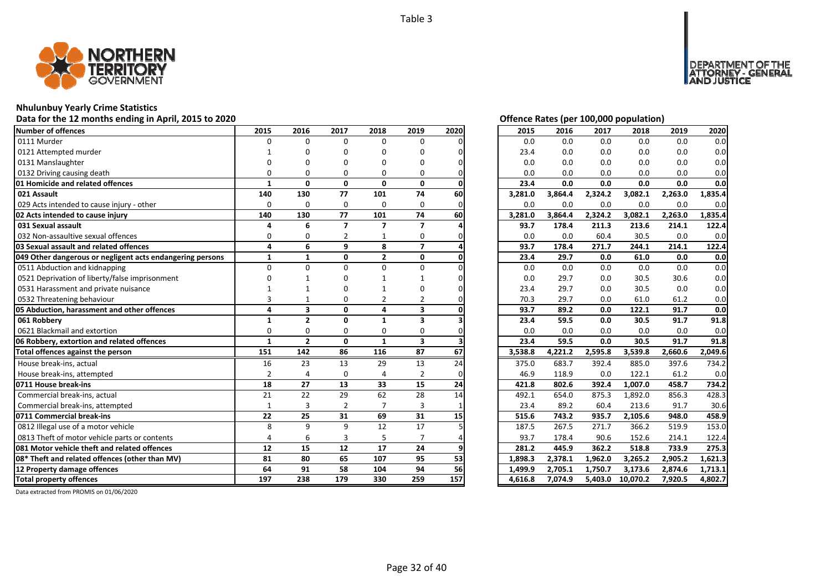

#### **Nhulunbuy Yearly Crime Statistics**

#### **Data for the 12 months ending in April, 2015 to 2020 Offence Rates (per 100,000 population)**

| Number of offences                                        | 2015           | 2016                    | 2017                     | 2018           | 2019                    | 2020 | 2015    | 2016    | 2017    | 2018     | 2019    | 2020    |
|-----------------------------------------------------------|----------------|-------------------------|--------------------------|----------------|-------------------------|------|---------|---------|---------|----------|---------|---------|
| 0111 Murder                                               | $\Omega$       | $\Omega$                | $\Omega$                 | 0              | $\Omega$                |      | 0.0     | 0.0     | 0.0     | 0.0      | 0.0     | 0.0     |
| 0121 Attempted murder                                     |                |                         | n                        | O              | n                       |      | 23.4    | 0.0     | 0.0     | 0.0      | 0.0     | 0.0     |
| 0131 Manslaughter                                         |                |                         |                          |                | n                       |      | 0.0     | 0.0     | 0.0     | 0.0      | 0.0     | 0.0     |
| 0132 Driving causing death                                |                |                         | O                        | $\Omega$       | O                       |      | 0.0     | 0.0     | 0.0     | 0.0      | 0.0     | 0.0     |
| 01 Homicide and related offences                          | 1              | $\mathbf{0}$            | $\mathbf{0}$             | 0              | 0                       |      | 23.4    | 0.0     | 0.0     | 0.0      | 0.0     | 0.0     |
| 021 Assault                                               | 140            | 130                     | 77                       | 101            | 74                      | 60   | 3,281.0 | 3,864.4 | 2,324.2 | 3,082.1  | 2,263.0 | 1,835.4 |
| 029 Acts intended to cause injury - other                 | $\Omega$       | $\Omega$                | $\mathbf 0$              | 0              | $\Omega$                | ი    | 0.0     | 0.0     | 0.0     | 0.0      | 0.0     | 0.0     |
| 02 Acts intended to cause injury                          | 140            | 130                     | 77                       | 101            | 74                      | 60   | 3,281.0 | 3,864.4 | 2,324.2 | 3,082.1  | 2,263.0 | 1,835.4 |
| 031 Sexual assault                                        |                | 6                       | $\overline{\phantom{a}}$ | 7              | $\overline{ }$          |      | 93.7    | 178.4   | 211.3   | 213.6    | 214.1   | 122.4   |
| 032 Non-assaultive sexual offences                        | $\Omega$       | O                       |                          |                | 0                       |      | 0.0     | 0.0     | 60.4    | 30.5     | 0.0     | 0.0     |
| 03 Sexual assault and related offences                    | 4              | 6                       | 9                        | 8              | $\overline{7}$          |      | 93.7    | 178.4   | 271.7   | 244.1    | 214.1   | 122.4   |
| 049 Other dangerous or negligent acts endangering persons | $\mathbf{1}$   | $\mathbf{1}$            | 0                        | $\overline{2}$ | 0                       |      | 23.4    | 29.7    | 0.0     | 61.0     | 0.0     | 0.0     |
| 0511 Abduction and kidnapping                             | $\Omega$       | $\Omega$                | U                        | $\Omega$       | $\Omega$                |      | 0.0     | 0.0     | 0.0     | 0.0      | 0.0     | 0.0     |
| 0521 Deprivation of liberty/false imprisonment            |                |                         |                          |                |                         |      | 0.0     | 29.7    | 0.0     | 30.5     | 30.6    | 0.0     |
| 0531 Harassment and private nuisance                      |                |                         |                          |                |                         |      | 23.4    | 29.7    | 0.0     | 30.5     | 0.0     | 0.0     |
| 0532 Threatening behaviour                                |                |                         | O                        | 2              | 2                       |      | 70.3    | 29.7    | 0.0     | 61.0     | 61.2    | 0.0     |
| 05 Abduction, harassment and other offences               | 4              | $\overline{\mathbf{3}}$ | $\mathbf{0}$             | 4              | 3                       |      | 93.7    | 89.2    | 0.0     | 122.1    | 91.7    | 0.0     |
| 061 Robberv                                               | 1              | $\overline{2}$          | $\Omega$                 | $\mathbf{1}$   | 3                       |      | 23.4    | 59.5    | 0.0     | 30.5     | 91.7    | 91.8    |
| 0621 Blackmail and extortion                              | $\Omega$       | $\Omega$                | $\Omega$                 | $\Omega$       | $\Omega$                |      | 0.0     | 0.0     | 0.0     | 0.0      | 0.0     | 0.0     |
| 06 Robbery, extortion and related offences                | $\mathbf{1}$   | $\overline{2}$          | $\mathbf{0}$             | $\mathbf{1}$   | $\overline{\mathbf{3}}$ |      | 23.4    | 59.5    | 0.0     | 30.5     | 91.7    | 91.8    |
| Total offences against the person                         | 151            | 142                     | 86                       | 116            | 87                      | 67   | 3,538.8 | 4,221.2 | 2,595.8 | 3,539.8  | 2,660.6 | 2,049.6 |
| House break-ins, actual                                   | 16             | 23                      | 13                       | 29             | 13                      | 24   | 375.0   | 683.7   | 392.4   | 885.0    | 397.6   | 734.2   |
| House break-ins, attempted                                | $\overline{2}$ |                         | $\Omega$                 | $\Delta$       | $\overline{2}$          |      | 46.9    | 118.9   | 0.0     | 122.1    | 61.2    | 0.0     |
| 0711 House break-ins                                      | 18             | 27                      | 13                       | 33             | 15                      | 24   | 421.8   | 802.6   | 392.4   | 1,007.0  | 458.7   | 734.2   |
| Commercial break-ins, actual                              | 21             | 22                      | 29                       | 62             | 28                      | 14   | 492.1   | 654.0   | 875.3   | 1,892.0  | 856.3   | 428.3   |
| Commercial break-ins, attempted                           | $\mathbf{1}$   | 3                       | 2                        | $\overline{7}$ | 3                       |      | 23.4    | 89.2    | 60.4    | 213.6    | 91.7    | 30.6    |
| 0711 Commercial break-ins                                 | 22             | 25                      | 31                       | 69             | 31                      | 15   | 515.6   | 743.2   | 935.7   | 2,105.6  | 948.0   | 458.9   |
| 0812 Illegal use of a motor vehicle                       | 8              | q                       | $\mathbf{q}$             | 12             | 17                      |      | 187.5   | 267.5   | 271.7   | 366.2    | 519.9   | 153.0   |
| 0813 Theft of motor vehicle parts or contents             | $\Delta$       | 6                       | 3                        | 5              |                         |      | 93.7    | 178.4   | 90.6    | 152.6    | 214.1   | 122.4   |
| 081 Motor vehicle theft and related offences              | 12             | 15                      | 12                       | 17             | 24                      |      | 281.2   | 445.9   | 362.2   | 518.8    | 733.9   | 275.3   |
| 08* Theft and related offences (other than MV)            | 81             | 80                      | 65                       | 107            | 95                      | 53   | 1.898.3 | 2,378.1 | 1,962.0 | 3,265.2  | 2,905.2 | 1,621.3 |
| 12 Property damage offences                               | 64             | 91                      | 58                       | 104            | 94                      | 56   | 1,499.9 | 2,705.1 | 1,750.7 | 3,173.6  | 2,874.6 | 1,713.1 |
| <b>Total property offences</b>                            | 197            | 238                     | 179                      | 330            | 259                     | 157  | 4,616.8 | 7,074.9 | 5,403.0 | 10,070.2 | 7,920.5 | 4,802.7 |

DEPARTMENT OF THE<br>ATTORNEY - GENERAL<br>AND JUSTICE

| 2015    | 2016    | 2017    | 2018     | 2019    | 2020    |
|---------|---------|---------|----------|---------|---------|
| 0.0     | 0.0     | 0.0     | 0.0      | 0.0     | 0.0     |
| 23.4    | 0.0     | 0.0     | 0.0      | 0.0     | 0.0     |
| 0.0     | 0.0     | 0.0     | 0.0      | 0.0     | 0.0     |
| 0.0     | 0.0     | 0.0     | 0.0      | 0.0     | 0.0     |
| 23.4    | 0.0     | 0.0     | 0.0      | 0.0     | 0.0     |
| 3,281.0 | 3,864.4 | 2,324.2 | 3,082.1  | 2,263.0 | 1,835.4 |
| 0.0     | 0.0     | 0.0     | 0.0      | 0.0     | 0.0     |
| 3,281.0 | 3,864.4 | 2,324.2 | 3,082.1  | 2,263.0 | 1,835.4 |
| 93.7    | 178.4   | 211.3   | 213.6    | 214.1   | 122.4   |
| 0.0     | 0.0     | 60.4    | 30.5     | 0.0     | 0.0     |
| 93.7    | 178.4   | 271.7   | 244.1    | 214.1   | 122.4   |
| 23.4    | 29.7    | 0.0     | 61.0     | 0.0     | 0.0     |
| 0.0     | 0.0     | 0.0     | 0.0      | 0.0     | 0.0     |
| 0.0     | 29.7    | 0.0     | 30.5     | 30.6    | 0.0     |
| 23.4    | 29.7    | 0.0     | 30.5     | 0.0     | 0.0     |
| 70.3    | 29.7    | 0.0     | 61.0     | 61.2    | 0.0     |
| 93.7    | 89.2    | 0.0     | 122.1    | 91.7    | 0.0     |
| 23.4    | 59.5    | 0.0     | 30.5     | 91.7    | 91.8    |
| 0.0     | 0.0     | 0.0     | 0.0      | 0.0     | 0.0     |
| 23.4    | 59.5    | 0.0     | 30.5     | 91.7    | 91.8    |
| 3,538.8 | 4,221.2 | 2,595.8 | 3,539.8  | 2,660.6 | 2,049.6 |
| 375.0   | 683.7   | 392.4   | 885.0    | 397.6   | 734.2   |
| 46.9    | 118.9   | 0.0     | 122.1    | 61.2    | 0.0     |
| 421.8   | 802.6   | 392.4   | 1,007.0  | 458.7   | 734.2   |
| 492.1   | 654.0   | 875.3   | 1,892.0  | 856.3   | 428.3   |
| 23.4    | 89.2    | 60.4    | 213.6    | 91.7    | 30.6    |
| 515.6   | 743.2   | 935.7   | 2,105.6  | 948.0   | 458.9   |
| 187.5   | 267.5   | 271.7   | 366.2    | 519.9   | 153.0   |
| 93.7    | 178.4   | 90.6    | 152.6    | 214.1   | 122.4   |
| 281.2   | 445.9   | 362.2   | 518.8    | 733.9   | 275.3   |
| 1,898.3 | 2,378.1 | 1,962.0 | 3,265.2  | 2,905.2 | 1,621.3 |
| 1,499.9 | 2,705.1 | 1,750.7 | 3,173.6  | 2,874.6 | 1,713.1 |
| 4,616.8 | 7,074.9 | 5,403.0 | 10,070.2 | 7,920.5 | 4,802.7 |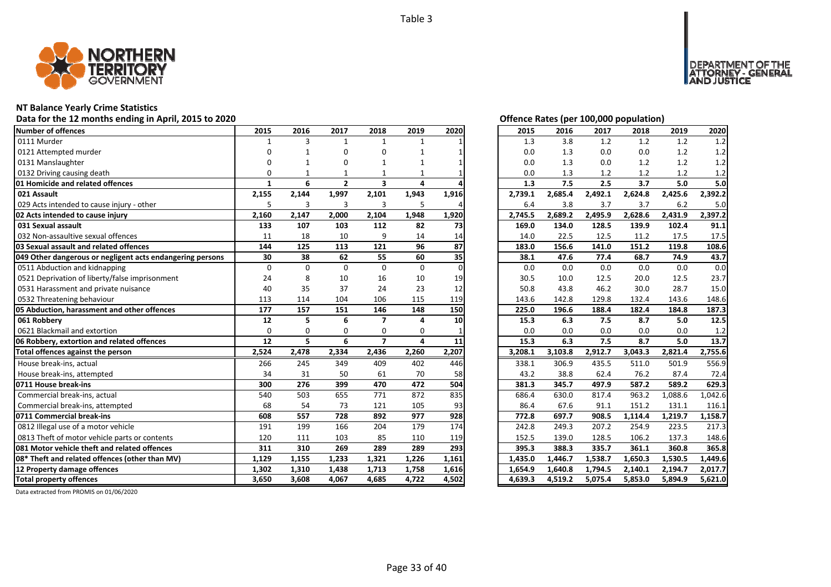

## **NT Balance Yearly Crime Statistics**

## Data for the 12 months ending in April, 2015 to 2020 *Data for the 12 months ending in April, 2015 to 2020 Offence Rates (per 100,000 population)*

| Number of offences                                        | 2015     | 2016     | 2017         | 2018                    | 2019         | 2020     | 2015    | 2016    | 2017    | 2018    | 2019    | 2020    |
|-----------------------------------------------------------|----------|----------|--------------|-------------------------|--------------|----------|---------|---------|---------|---------|---------|---------|
| 0111 Murder                                               |          | 3        | $\mathbf{1}$ | $\mathbf{1}$            | $\mathbf{1}$ |          | 1.3     | 3.8     | 1.2     | 1.2     | 1.2     | 1.2     |
| 0121 Attempted murder                                     | n        |          | n            | U                       |              |          | 0.0     | 1.3     | 0.0     | 0.0     | 1.2     | 1.2     |
| 0131 Manslaughter                                         |          |          | n            |                         |              |          | 0.0     | 1.3     | 0.0     | 1.2     | $1.2\,$ | 1.2     |
| 0132 Driving causing death                                | 0        |          |              |                         |              |          | 0.0     | 1.3     | 1.2     | 1.2     | 1.2     | 1.2     |
| 01 Homicide and related offences                          | 1        | 6        | $\mathbf{2}$ | $\overline{\mathbf{3}}$ | 4            |          | 1.3     | 7.5     | 2.5     | 3.7     | 5.0     | 5.0     |
| 021 Assault                                               | 2,155    | 2,144    | 1,997        | 2,101                   | 1,943        | 1,916    | 2,739.1 | 2,685.4 | 2,492.1 | 2,624.8 | 2,425.6 | 2,392.2 |
| 029 Acts intended to cause injury - other                 | 5        | 3        | 3            | 3                       | 5            |          | 6.4     | 3.8     | 3.7     | 3.7     | 6.2     | 5.0     |
| 02 Acts intended to cause injury                          | 2,160    | 2,147    | 2,000        | 2,104                   | 1,948        | 1,920    | 2,745.5 | 2,689.2 | 2,495.9 | 2,628.6 | 2,431.9 | 2,397.2 |
| 031 Sexual assault                                        | 133      | 107      | 103          | 112                     | 82           | 73       | 169.0   | 134.0   | 128.5   | 139.9   | 102.4   | 91.1    |
| 032 Non-assaultive sexual offences                        | 11       | 18       | 10           | 9                       | 14           | 14       | 14.0    | 22.5    | 12.5    | 11.2    | 17.5    | 17.5    |
| 03 Sexual assault and related offences                    | 144      | 125      | 113          | 121                     | 96           | 87       | 183.0   | 156.6   | 141.0   | 151.2   | 119.8   | 108.6   |
| 049 Other dangerous or negligent acts endangering persons | 30       | 38       | 62           | 55                      | 60           | 35       | 38.1    | 47.6    | 77.4    | 68.7    | 74.9    | 43.7    |
| 0511 Abduction and kidnapping                             | $\Omega$ | $\Omega$ | $\Omega$     | $\Omega$                | $\mathbf{0}$ | $\Omega$ | 0.0     | 0.0     | 0.0     | 0.0     | 0.0     | 0.0     |
| 0521 Deprivation of liberty/false imprisonment            | 24       | 8        | 10           | 16                      | 10           | 19       | 30.5    | 10.0    | 12.5    | 20.0    | 12.5    | 23.7    |
| 0531 Harassment and private nuisance                      | 40       | 35       | 37           | 24                      | 23           | 12       | 50.8    | 43.8    | 46.2    | 30.0    | 28.7    | 15.0    |
| 0532 Threatening behaviour                                | 113      | 114      | 104          | 106                     | 115          | 119      | 143.6   | 142.8   | 129.8   | 132.4   | 143.6   | 148.6   |
| 05 Abduction, harassment and other offences               | 177      | 157      | 151          | 146                     | 148          | 150      | 225.0   | 196.6   | 188.4   | 182.4   | 184.8   | 187.3   |
| 061 Robberv                                               | 12       | 5        | 6            | $\overline{\mathbf{z}}$ | 4            | 10       | 15.3    | 6.3     | 7.5     | 8.7     | 5.0     | 12.5    |
| 0621 Blackmail and extortion                              | $\Omega$ | $\Omega$ | $\Omega$     | $\Omega$                | $\Omega$     |          | 0.0     | 0.0     | 0.0     | 0.0     | 0.0     | 1.2     |
| 06 Robbery, extortion and related offences                | 12       | 5        | 6            | $\overline{ }$          | 4            | 11       | 15.3    | 6.3     | 7.5     | 8.7     | 5.0     | 13.7    |
| Total offences against the person                         | 2,524    | 2,478    | 2,334        | 2,436                   | 2,260        | 2,207    | 3,208.1 | 3,103.8 | 2,912.7 | 3,043.3 | 2,821.4 | 2,755.6 |
| House break-ins, actual                                   | 266      | 245      | 349          | 409                     | 402          | 446      | 338.1   | 306.9   | 435.5   | 511.0   | 501.9   | 556.9   |
| House break-ins, attempted                                | 34       | 31       | 50           | 61                      | 70           | 58       | 43.2    | 38.8    | 62.4    | 76.2    | 87.4    | 72.4    |
| 0711 House break-ins                                      | 300      | 276      | 399          | 470                     | 472          | 504      | 381.3   | 345.7   | 497.9   | 587.2   | 589.2   | 629.3   |
| Commercial break-ins, actual                              | 540      | 503      | 655          | 771                     | 872          | 835      | 686.4   | 630.0   | 817.4   | 963.2   | 1,088.6 | 1,042.6 |
| Commercial break-ins, attempted                           | 68       | 54       | 73           | 121                     | 105          | 93       | 86.4    | 67.6    | 91.1    | 151.2   | 131.1   | 116.1   |
| 0711 Commercial break-ins                                 |          |          |              |                         |              |          |         |         |         |         | 1,219.7 | 1,158.7 |
|                                                           | 608      | 557      | 728          | 892                     | 977          | 928      | 772.8   | 697.7   | 908.5   | 1,114.4 |         |         |
| 0812 Illegal use of a motor vehicle                       | 191      | 199      | 166          | 204                     | 179          | 174      | 242.8   | 249.3   | 207.2   | 254.9   | 223.5   | 217.3   |
| 0813 Theft of motor vehicle parts or contents             | 120      | 111      | 103          | 85                      | 110          | 119      | 152.5   | 139.0   | 128.5   | 106.2   | 137.3   | 148.6   |
| 081 Motor vehicle theft and related offences              | 311      | 310      | 269          | 289                     | 289          | 293      | 395.3   | 388.3   | 335.7   | 361.1   | 360.8   | 365.8   |
| 08* Theft and related offences (other than MV)            | 1.129    | 1,155    | 1,233        | 1,321                   | 1,226        | 1,161    | 1,435.0 | 1,446.7 | 1,538.7 | 1,650.3 | 1,530.5 | 1,449.6 |
| 12 Property damage offences                               | 1,302    | 1,310    | 1,438        | 1,713                   | 1,758        | 1,616    | 1,654.9 | 1,640.8 | 1,794.5 | 2,140.1 | 2,194.7 | 2,017.7 |

DEPARTMENT OF THE<br>ATTORNEY - GENERAL<br>AND JUSTICE

| 2015    | 2016    | 2017    | 2018    | 2019    | 2020    |
|---------|---------|---------|---------|---------|---------|
| 1.3     | 3.8     | 1.2     | 1.2     | 1.2     | 1.2     |
| 0.0     | 1.3     | 0.0     | 0.0     | 1.2     | 1.2     |
| 0.0     | 1.3     | 0.0     | 1.2     | 1.2     | 1.2     |
| 0.0     | 1.3     | 1.2     | 1.2     | 1.2     | 1.2     |
| 1.3     | 7.5     | 2.5     | 3.7     | 5.0     | 5.0     |
| 2,739.1 | 2,685.4 | 2,492.1 | 2,624.8 | 2,425.6 | 2,392.2 |
| 6.4     | 3.8     | 3.7     | 3.7     | 6.2     | 5.0     |
| 2,745.5 | 2,689.2 | 2,495.9 | 2,628.6 | 2,431.9 | 2,397.2 |
| 169.0   | 134.0   | 128.5   | 139.9   | 102.4   | 91.1    |
| 14.0    | 22.5    | 12.5    | 11.2    | 17.5    | 17.5    |
| 183.0   | 156.6   | 141.0   | 151.2   | 119.8   | 108.6   |
| 38.1    | 47.6    | 77.4    | 68.7    | 74.9    | 43.7    |
| 0.0     | 0.0     | 0.0     | 0.0     | 0.0     | 0.0     |
| 30.5    | 10.0    | 12.5    | 20.0    | 12.5    | 23.7    |
| 50.8    | 43.8    | 46.2    | 30.0    | 28.7    | 15.0    |
| 143.6   | 142.8   | 129.8   | 132.4   | 143.6   | 148.6   |
|         |         |         |         |         |         |
| 225.0   | 196.6   | 188.4   | 182.4   | 184.8   | 187.3   |
| 15.3    | 6.3     | 7.5     | 8.7     | 5.0     | 12.5    |
| 0.0     | 0.0     | 0.0     | 0.0     | 0.0     | 1.2     |
| 15.3    | 6.3     | 7.5     | 8.7     | 5.0     | 13.7    |
| 3,208.1 | 3,103.8 | 2,912.7 | 3,043.3 | 2,821.4 | 2,755.6 |
| 338.1   | 306.9   | 435.5   | 511.0   | 501.9   | 556.9   |
| 43.2    | 38.8    | 62.4    | 76.2    | 87.4    | 72.4    |
| 381.3   | 345.7   | 497.9   | 587.2   | 589.2   | 629.3   |
| 686.4   | 630.0   | 817.4   | 963.2   | 1,088.6 | 1,042.6 |
| 86.4    | 67.6    | 91.1    | 151.2   | 131.1   | 116.1   |
| 772.8   | 697.7   | 908.5   | 1,114.4 | 1,219.7 | 1,158.7 |
| 242.8   | 249.3   | 207.2   | 254.9   | 223.5   | 217.3   |
| 152.5   | 139.0   | 128.5   | 106.2   | 137.3   | 148.6   |
| 395.3   | 388.3   | 335.7   | 361.1   | 360.8   | 365.8   |
| 1,435.0 | 1,446.7 | 1,538.7 | 1,650.3 | 1,530.5 | 1,449.6 |
| 1,654.9 | 1,640.8 | 1,794.5 | 2,140.1 | 2,194.7 | 2,017.7 |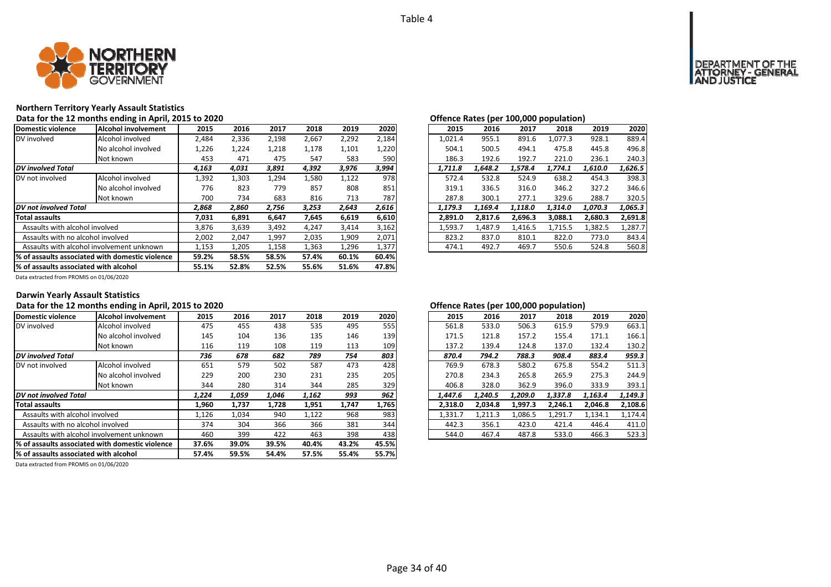

# **Northern Territory Yearly Assault Statistics**

| Data for the 12 months ending in April, 2015 to 2020 |
|------------------------------------------------------|
|------------------------------------------------------|

| Domestic violence                         | Alcohol involvement                              | 2015  | 2016  | 2017  | 2018  | 2019  | 2020  | 2015    | 2016    | 2017    | 2018    | 2019    | 2020    |
|-------------------------------------------|--------------------------------------------------|-------|-------|-------|-------|-------|-------|---------|---------|---------|---------|---------|---------|
| DV involved                               | Alcohol involved                                 | 2,484 | 2,336 | 2,198 | 2,667 | 2,292 | 2,184 | 1,021.4 | 955.1   | 891.6   | 1,077.3 | 928.1   | 889.4   |
|                                           | No alcohol involved                              | 1,226 | 1,224 | 1,218 | 1,178 | 1,101 | 1,220 | 504.1   | 500.5   | 494.1   | 475.8   | 445.8   | 496.8   |
|                                           | Not known                                        | 453   | 471   | 475   | 547   | 583   | 590   | 186.3   | 192.6   | 192.7   | 221.0   | 236.1   | 240.3   |
| <b>DV</b> involved Total                  |                                                  | 4,163 | 4,031 | 3,891 | 4,392 | 3,976 | 3,994 | 1,711.8 | 1,648.2 | 1,578.4 | 1,774.1 | 1,610.0 | 1,626.5 |
| DV not involved                           | Alcohol involved                                 | 1,392 | 1,303 | 1,294 | 1,580 | 1,122 | 978   | 572.4   | 532.8   | 524.9   | 638.2   | 454.3   | 398.3   |
|                                           | No alcohol involved                              | 776   | 823   | 779   | 857   | 808   | 851   | 319.1   | 336.5   | 316.0   | 346.2   | 327.2   | 346.6   |
|                                           | Not known                                        | 700   | 734   | 683   | 816   | 713   | 787   | 287.8   | 300.1   | 277.1   | 329.6   | 288.7   | 320.5   |
| DV not involved Total                     |                                                  | 2,868 | 2,860 | 2,756 | 3,253 | 2,643 | 2,616 | 1.179.3 | 1.169.4 | 1.118.0 | 1.314.0 | 1.070.3 | 1,065.3 |
| <b>Total assaults</b>                     |                                                  | 7,031 | 6,891 | 6,647 | 7,645 | 6,619 | 6,610 | 2,891.0 | 2,817.6 | 2,696.3 | 3,088.1 | 2,680.3 | 2,691.8 |
| Assaults with alcohol involved            |                                                  | 3,876 | 3,639 | 3,492 | 4.247 | 3,414 | 3,162 | 1,593.7 | 1,487.9 | 1,416.5 | 1,715.5 | 1,382.5 | 1,287.7 |
| Assaults with no alcohol involved         |                                                  | 2,002 | 2,047 | 1,997 | 2,035 | 1,909 | 2,071 | 823.2   | 837.0   | 810.1   | 822.0   | 773.0   | 843.4   |
| Assaults with alcohol involvement unknown |                                                  | 1,153 | 1,205 | 1,158 | 1,363 | 1,296 | 1,377 | 474.1   | 492.7   | 469.7   | 550.6   | 524.8   | 560.8   |
|                                           | 1% of assaults associated with domestic violence | 59.2% | 58.5% | 58.5% | 57.4% | 60.1% | 60.4% |         |         |         |         |         |         |
| % of assaults associated with alcohol     |                                                  | 55.1% | 52.8% | 52.5% | 55.6% | 51.6% | 47.8% |         |         |         |         |         |         |

| Offence Rates (per 100,000 population) |         |         |         |         |         |  |  |  |  |  |  |  |  |
|----------------------------------------|---------|---------|---------|---------|---------|--|--|--|--|--|--|--|--|
| 2015                                   | 2016    | 2017    | 2018    | 2019    | 2020    |  |  |  |  |  |  |  |  |
| 1,021.4                                | 955.1   | 891.6   | 1.077.3 | 928.1   | 889.4   |  |  |  |  |  |  |  |  |
| 504.1                                  | 500.5   | 494.1   | 475.8   | 445.8   | 496.8   |  |  |  |  |  |  |  |  |
| 186.3                                  | 192.6   | 192.7   | 221.0   | 236.1   | 240.3   |  |  |  |  |  |  |  |  |
| 1,711.8                                | 1.648.2 | 1,578.4 | 1,774.1 | 1,610.0 | 1,626.5 |  |  |  |  |  |  |  |  |
| 572.4                                  | 532.8   | 524.9   | 638.2   | 454.3   | 398.3   |  |  |  |  |  |  |  |  |
| 319.1                                  | 336.5   | 316.0   | 346.2   | 327.2   | 346.6   |  |  |  |  |  |  |  |  |
| 287.8                                  | 300.1   | 277.1   | 329.6   | 288.7   | 320.5   |  |  |  |  |  |  |  |  |
| 1,179.3                                | 1,169.4 | 1,118.0 | 1,314.0 | 1,070.3 | 1,065.3 |  |  |  |  |  |  |  |  |
| 2,891.0                                | 2.817.6 | 2,696.3 | 3,088.1 | 2,680.3 | 2,691.8 |  |  |  |  |  |  |  |  |
| 1,593.7                                | 1,487.9 | 1,416.5 | 1,715.5 | 1,382.5 | 1,287.7 |  |  |  |  |  |  |  |  |
| 823.2                                  | 837.0   | 810.1   | 822.0   | 773.0   | 843.4   |  |  |  |  |  |  |  |  |
| 474.1                                  | 492.7   | 469.7   | 550.6   | 524.8   | 560.8   |  |  |  |  |  |  |  |  |

Data extracted from PROMIS on 01/06/2020

### **Darwin Yearly Assault Statistics**

## Data for the 12 months ending in April, 2015 to 2020<br>**Data for the 12 months ending in April, 2015 to 2020 Contract to a set of the Contract of Contract of Contract of Contract of Contract of Contract of Contract of Cont**

| Domestic violence                         | Alcohol involvement                              | 2015  | 2016  | 2017  | 2018  | 2019  | 2020  | 2015    | 2016    | 2017    | 2018    | 2019    | 2020    |
|-------------------------------------------|--------------------------------------------------|-------|-------|-------|-------|-------|-------|---------|---------|---------|---------|---------|---------|
| DV involved                               | Alcohol involved                                 | 475   | 455   | 438   | 535   | 495   | 555   | 561.8   | 533.0   | 506.3   | 615.9   | 579.9   | 663.1   |
|                                           | No alcohol involved                              | 145   | 104   | 136   | 135   | 146   | 139   | 171.5   | 121.8   | 157.2   | 155.4   | 171.1   | 166.1   |
|                                           | Not known                                        | 116   | 119   | 108   | 119   | 113   | 109   | 137.2   | 139.4   | 124.8   | 137.0   | 132.4   | 130.2   |
| DV involved Total                         |                                                  | 736   | 678   | 682   | 789   | 754   | 803   | 870.4   | 794.2   | 788.3   | 908.4   | 883.4   | 959.3   |
| DV not involved                           | Alcohol involved                                 | 651   | 579   | 502   | 587   | 473   | 428   | 769.9   | 678.3   | 580.2   | 675.8   | 554.2   | 511.3   |
|                                           | No alcohol involved                              | 229   | 200   | 230   | 231   | 235   | 205   | 270.8   | 234.3   | 265.8   | 265.9   | 275.3   | 244.9   |
|                                           | Not known                                        | 344   | 280   | 314   | 344   | 285   | 329   | 406.8   | 328.0   | 362.9   | 396.0   | 333.9   | 393.1   |
| DV not involved Total                     |                                                  | 1,224 | 1,059 | 1,046 | 1,162 | 993   | 962   | 1,447.6 | 1.240.5 | 1,209.0 | 1,337.8 | 1,163.4 | 1,149.3 |
| <b>Total assaults</b>                     |                                                  | 1,960 | 1,737 | 1.728 | 1,951 | 1,747 | 1,765 | 2.318.0 | 2.034.8 | 1,997.3 | 2,246.1 | 2.046.8 | 2,108.6 |
| Assaults with alcohol involved            |                                                  | 1,126 | 1,034 | 940   | 1,122 | 968   | 983   | 1,331.7 | 1,211.3 | 1,086.5 | 1,291.7 | 1,134.1 | 1.174.4 |
| Assaults with no alcohol involved         |                                                  | 374   | 304   | 366   | 366   | 381   | 344   | 442.3   | 356.1   | 423.0   | 421.4   | 446.4   | 411.0   |
| Assaults with alcohol involvement unknown |                                                  | 460   | 399   | 422   | 463   | 398   | 438   | 544.0   | 467.4   | 487.8   | 533.0   | 466.3   | 523.3   |
|                                           | 1% of assaults associated with domestic violence | 37.6% | 39.0% | 39.5% | 40.4% | 43.2% | 45.5% |         |         |         |         |         |         |
| % of assaults associated with alcohol     |                                                  | 57.4% | 59.5% | 54.4% | 57.5% | 55.4% | 55.7% |         |         |         |         |         |         |
|                                           |                                                  |       |       |       |       |       |       |         |         |         |         |         |         |

| .5             | 2016  | 2017  | 2018  | 2019  | 2020  | 2015    | 2016    | 2017    | 2018    | 2019    | 2020    |
|----------------|-------|-------|-------|-------|-------|---------|---------|---------|---------|---------|---------|
| '5             | 455   | 438   | 535   | 495   | 555   | 561.8   | 533.0   | 506.3   | 615.9   | 579.9   | 663.1   |
| ١5             | 104   | 136   | 135   | 146   | 139   | 171.5   | 121.8   | 157.2   | 155.4   | 171.1   | 166.1   |
| .6             | 119   | 108   | 119   | 113   | 109   | 137.2   | 139.4   | 124.8   | 137.0   | 132.4   | 130.2   |
| 6              | 678   | 682   | 789   | 754   | 803   | 870.4   | 794.2   | 788.3   | 908.4   | 883.4   | 959.3   |
| $\overline{1}$ | 579   | 502   | 587   | 473   | 428   | 769.9   | 678.3   | 580.2   | 675.8   | 554.2   | 511.3   |
| و.             | 200   | 230   | 231   | 235   | 205   | 270.8   | 234.3   | 265.8   | 265.9   | 275.3   | 244.9   |
| 14             | 280   | 314   | 344   | 285   | 329   | 406.8   | 328.0   | 362.9   | 396.0   | 333.9   | 393.1   |
| 4              | 1,059 | 1.046 | 1,162 | 993   | 962   | 1.447.6 | 1.240.5 | 1,209.0 | 1,337.8 | 1,163.4 | 1,149.3 |
| ١O             | 1.737 | 1.728 | 1.951 | 1.747 | 1.765 | 2.318.0 | 2.034.8 | 1.997.3 | 2.246.1 | 2.046.8 | 2,108.6 |
| :6             | 1.034 | 940   | 1,122 | 968   | 983   | 1.331.7 | 1.211.3 | 1.086.5 | 1.291.7 | 1.134.1 | 1.174.4 |
| 14             | 304   | 366   | 366   | 381   | 344   | 442.3   | 356.1   | 423.0   | 421.4   | 446.4   | 411.0   |
| δŌ             | 399   | 422   | 463   | 398   | 438   | 544.0   | 467.4   | 487.8   | 533.0   | 466.3   | 523.3   |
|                |       |       |       |       |       |         |         |         |         |         |         |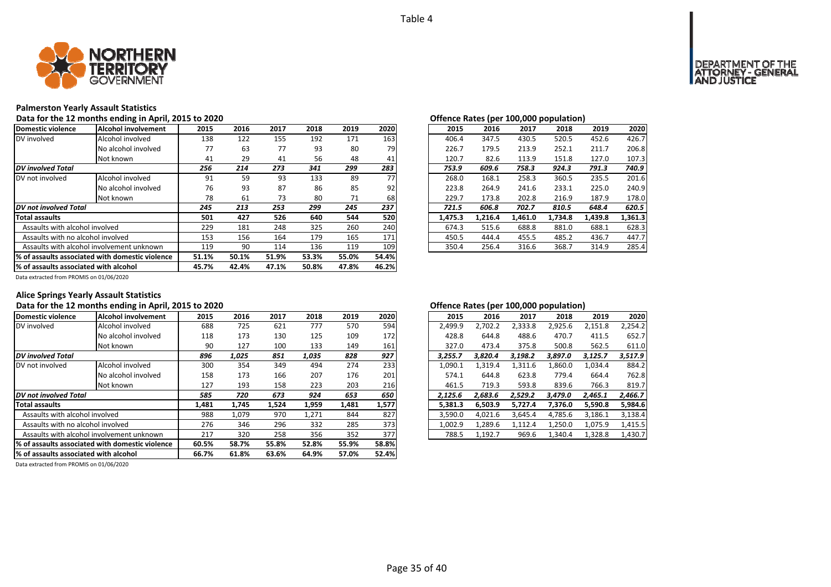

### **Palmerston Yearly Assault Statistics**

### Data for the 12 months ending in April, 2015 to 2020 *Data for the 12 months ending in April, 2015 to 2020 Degree Rates (per 100,000 population)*

| Domestic violence                     | Alcohol involvement                              | 2015  | 2016  | 2017  | 2018  | 2019  | 2020  | 2015    | 2016    | 2017    | 2018    | 2019    | 2020    |
|---------------------------------------|--------------------------------------------------|-------|-------|-------|-------|-------|-------|---------|---------|---------|---------|---------|---------|
| DV involved                           | Alcohol involved                                 | 138   | 122   | 155   | 192   | 171   | 163   | 406.4   | 347.5   | 430.5   | 520.5   | 452.6   | 426.7   |
|                                       | No alcohol involved                              | 77    | 63    | 77    | 93    | 80    | 79    | 226.7   | 179.5   | 213.9   | 252.1   | 211.7   | 206.8   |
|                                       | Not known                                        | 41    | 29    | 41    | 56    | 48    | 41    | 120.7   | 82.6    | 113.9   | 151.8   | 127.0   | 107.3   |
| <b>DV</b> involved Total              |                                                  | 256   | 214   | 273   | 341   | 299   | 283   | 753.9   | 609.6   | 758.3   | 924.3   | 791.3   | 740.9   |
| DV not involved                       | Alcohol involved                                 | 91    | 59    | 93    | 133   | 89    | 77    | 268.0   | 168.1   | 258.3   | 360.5   | 235.5   | 201.6   |
|                                       | No alcohol involved                              | 76    | 93    | 87    | 86    | 85    | 92    | 223.8   | 264.9   | 241.6   | 233.1   | 225.0   | 240.9   |
|                                       | Not known                                        | 78    | 61    | 73    | 80    | 71    | 68    | 229.7   | 173.8   | 202.8   | 216.9   | 187.9   | 178.0   |
| <b>DV</b> not involved Total          |                                                  | 245   | 213   | 253   | 299   | 245   | 237   | 721.5   | 606.8   | 702.7   | 810.5   | 648.4   | 620.5   |
| <b>Total assaults</b>                 |                                                  | 501   | 427   | 526   | 640   | 544   | 520   | 1.475.3 | 1.216.4 | 1.461.0 | 1.734.8 | 1.439.8 | 1,361.3 |
| Assaults with alcohol involved        |                                                  | 229   | 181   | 248   | 325   | 260   | 240   | 674.3   | 515.6   | 688.8   | 881.0   | 688.1   | 628.3   |
| Assaults with no alcohol involved     |                                                  | 153   | 156   | 164   | 179   | 165   | 171   | 450.5   | 444.4   | 455.5   | 485.2   | 436.7   | 447.7   |
|                                       | Assaults with alcohol involvement unknown        |       | 90    | 114   | 136   | 119   | 109   | 350.4   | 256.4   | 316.6   | 368.7   | 314.9   | 285.4   |
|                                       | 1% of assaults associated with domestic violence | 51.1% | 50.1% | 51.9% | 53.3% | 55.0% | 54.4% |         |         |         |         |         |         |
| % of assaults associated with alcohol |                                                  | 45.7% | 42.4% | 47.1% | 50.8% | 47.8% | 46.2% |         |         |         |         |         |         |

|    |      |      |      |      |      |         |         |         | . .     |         |         |
|----|------|------|------|------|------|---------|---------|---------|---------|---------|---------|
| .5 | 2016 | 2017 | 2018 | 2019 | 2020 | 2015    | 2016    | 2017    | 2018    | 2019    | 2020    |
| 18 | 122  | 155  | 192  | 171  | 163  | 406.4   | 347.5   | 430.5   | 520.5   | 452.6   | 426.7   |
| 7  | 63   | 77   | 93   | 80   | 79   | 226.7   | 179.5   | 213.9   | 252.1   | 211.7   | 206.8   |
| ۱1 | 29   | 41   | 56   | 48   | 41   | 120.7   | 82.6    | 113.9   | 151.8   | 127.0   | 107.3   |
| 6  | 214  | 273  | 341  | 299  | 283  | 753.9   | 609.6   | 758.3   | 924.3   | 791.3   | 740.9   |
| 1  | 59   | 93   | 133  | 89   | 77   | 268.0   | 168.1   | 258.3   | 360.5   | 235.5   | 201.6   |
| 76 | 93   | 87   | 86   | 85   | 92   | 223.8   | 264.9   | 241.6   | 233.1   | 225.0   | 240.9   |
| '8 | 61   | 73   | 80   | 71   | 68   | 229.7   | 173.8   | 202.8   | 216.9   | 187.9   | 178.0   |
| 5  | 213  | 253  | 299  | 245  | 237  | 721.5   | 606.8   | 702.7   | 810.5   | 648.4   | 620.5   |
| ۱1 | 427  | 526  | 640  | 544  | 520  | 1.475.3 | 1.216.4 | 1.461.0 | 1.734.8 | 1.439.8 | 1,361.3 |
| و. | 181  | 248  | 325  | 260  | 240  | 674.3   | 515.6   | 688.8   | 881.0   | 688.1   | 628.3   |
| 53 | 156  | 164  | 179  | 165  | 171  | 450.5   | 444.4   | 455.5   | 485.2   | 436.7   | 447.7   |
| .9 | 90   | 114  | 136  | 119  | 109  | 350.4   | 256.4   | 316.6   | 368.7   | 314.9   | 285.4   |

Data extracted from PROMIS on 01/06/2020

### **Alice Springs Yearly Assault Statistics**

## Data for the 12 months ending in April, 2015 to 2020<br>**Data for the 12 months ending in April, 2015 to 2020**

| Domestic violence                         | Alcohol involvement                              | 2015  | 2016  | 2017  | 2018  | 2019  | 2020  | 2015    | 2016    | 2017    | 2018    | 2019    | 2020    |
|-------------------------------------------|--------------------------------------------------|-------|-------|-------|-------|-------|-------|---------|---------|---------|---------|---------|---------|
| DV involved                               | Alcohol involved                                 | 688   | 725   | 621   | 777   | 570   | 594   | 2,499.9 | 2,702.2 | 2,333.8 | 2,925.6 | 2,151.8 | 2,254.2 |
|                                           | No alcohol involved                              | 118   | 173   | 130   | 125   | 109   | 172   | 428.8   | 644.8   | 488.6   | 470.7   | 411.5   | 652.7   |
|                                           | Not known                                        | 90    | 127   | 100   | 133   | 149   | 161   | 327.0   | 473.4   | 375.8   | 500.8   | 562.5   | 611.0   |
| <b>DV</b> involved Total                  |                                                  | 896   | 1.025 | 851   | 1,035 | 828   | 927   | 3.255.7 | 3.820.4 | 3.198.2 | 3,897.0 | 3.125.7 | 3,517.9 |
| DV not involved                           | Alcohol involved                                 | 300   | 354   | 349   | 494   | 274   | 233   | 1,090.1 | 1,319.4 | 1,311.6 | 1,860.0 | 1,034.4 | 884.2   |
|                                           | No alcohol involved                              | 158   | 173   | 166   | 207   | 176   | 201   | 574.1   | 644.8   | 623.8   | 779.4   | 664.4   | 762.8   |
|                                           | Not known                                        | 127   | 193   | 158   | 223   | 203   | 216   | 461.5   | 719.3   | 593.8   | 839.6   | 766.3   | 819.7   |
| DV not involved Total                     |                                                  | 585   | 720   | 673   | 924   | 653   | 650   | 2.125.6 | 2.683.6 | 2.529.2 | 3.479.0 | 2,465.1 | 2.466.7 |
| <b>Total assaults</b>                     |                                                  | 1,481 | 1,745 | 1,524 | 1,959 | 1,481 | 1,577 | 5,381.3 | 6.503.9 | 5.727.4 | 7,376.0 | 5,590.8 | 5,984.6 |
| Assaults with alcohol involved            |                                                  | 988   | 1,079 | 970   | 1,271 | 844   | 827   | 3,590.0 | 4,021.6 | 3,645.4 | 4,785.6 | 3,186.1 | 3,138.4 |
| Assaults with no alcohol involved         |                                                  | 276   | 346   | 296   | 332   | 285   | 373   | 1,002.9 | 1,289.6 | 1,112.4 | 1,250.0 | 1,075.9 | 1,415.5 |
| Assaults with alcohol involvement unknown |                                                  | 217   | 320   | 258   | 356   | 352   | 377   | 788.5   | 1,192.7 | 969.6   | 1,340.4 | 1,328.8 | 1,430.7 |
|                                           | 1% of assaults associated with domestic violence | 60.5% | 58.7% | 55.8% | 52.8% | 55.9% | 58.8% |         |         |         |         |         |         |
| % of assaults associated with alcohol     |                                                  | 66.7% | 61.8% | 63.6% | 64.9% | 57.0% | 52.4% |         |         |         |         |         |         |

| 5  | 2016  | 2017  | 2018  | 2019  | 2020  | 2015    | 2016    | 2017    | 2018    | 2019    | 2020    |
|----|-------|-------|-------|-------|-------|---------|---------|---------|---------|---------|---------|
| 88 | 725   | 621   | 777   | 570   | 594   | 2.499.9 | 2.702.2 | 2,333.8 | 2,925.6 | 2,151.8 | 2,254.2 |
| .8 | 173   | 130   | 125   | 109   | 172   | 428.8   | 644.8   | 488.6   | 470.7   | 411.5   | 652.7   |
| Ю  | 127   | 100   | 133   | 149   | 161   | 327.0   | 473.4   | 375.8   | 500.8   | 562.5   | 611.0   |
| 6  | 1,025 | 851   | 1,035 | 828   | 927   | 3.255.7 | 3.820.4 | 3,198.2 | 3.897.0 | 3,125.7 | 3,517.9 |
| )0 | 354   | 349   | 494   | 274   | 233   | 1.090.1 | 1.319.4 | 1,311.6 | 1,860.0 | 1,034.4 | 884.2   |
| 58 | 173   | 166   | 207   | 176   | 201   | 574.1   | 644.8   | 623.8   | 779.4   | 664.4   | 762.8   |
| :7 | 193   | 158   | 223   | 203   | 216   | 461.5   | 719.3   | 593.8   | 839.6   | 766.3   | 819.7   |
| 5  | 720   | 673   | 924   | 653   | 650   | 2.125.6 | 2.683.6 | 2.529.2 | 3.479.0 | 2.465.1 | 2.466.7 |
| 11 | 1.745 | 1.524 | 1,959 | 1,481 | 1,577 | 5.381.3 | 6.503.9 | 5,727.4 | 7.376.0 | 5,590.8 | 5,984.6 |
| 88 | 1.079 | 970   | 1.271 | 844   | 827   | 3.590.0 | 4.021.6 | 3.645.4 | 4.785.6 | 3.186.1 | 3,138.4 |
| 6' | 346   | 296   | 332   | 285   | 373   | 1.002.9 | 1.289.6 | 1.112.4 | 1.250.0 | 1.075.9 | 1,415.5 |
|    | 320   | 258   | 356   | 352   | 377   | 788.5   | 1,192.7 | 969.6   | 1,340.4 | 1,328.8 | 1,430.7 |
|    |       |       |       |       |       |         |         |         |         |         |         |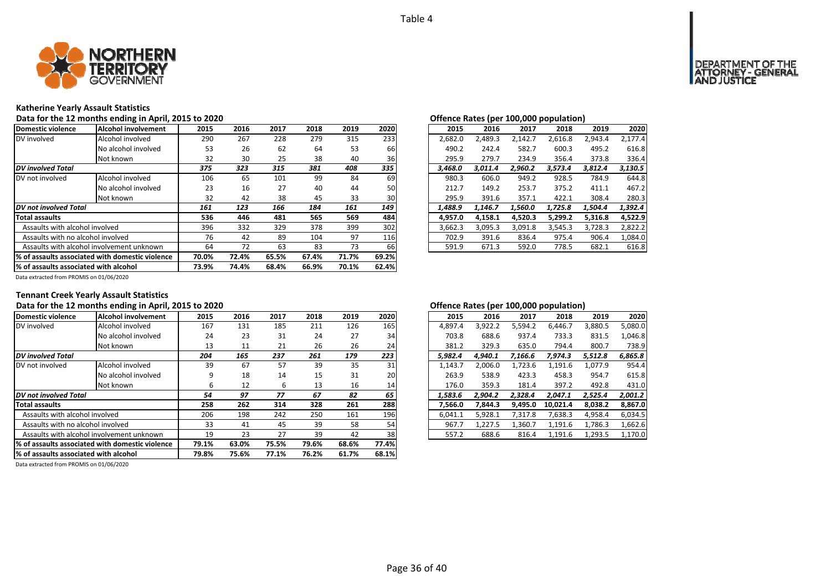

### **Katherine Yearly Assault Statistics**

#### **Data for the 12 months ending in April, 2015 to 2020 Offence Rates (per 100,000 population)**

| Domestic violence                         | <b>Alcohol involvement</b>                       | 2015  | 2016  | 2017  | 2018  | 2019  | 2020  | 2015    | 2016    | 2017    | 2018    | 2019    | 2020    |
|-------------------------------------------|--------------------------------------------------|-------|-------|-------|-------|-------|-------|---------|---------|---------|---------|---------|---------|
| DV involved                               | Alcohol involved                                 | 290   | 267   | 228   | 279   | 315   | 233   | 2,682.0 | 2.489.3 | 2.142.7 | 2,616.8 | 2,943.4 | 2.177.4 |
|                                           | No alcohol involved                              | 53    | 26    | 62    | 64    | 53    | 66    | 490.2   | 242.4   | 582.7   | 600.3   | 495.2   | 616.8   |
|                                           | Not known                                        | 32    | 30    | 25    | 38    | 40    | 36    | 295.9   | 279.7   | 234.9   | 356.4   | 373.8   | 336.4   |
| <b>DV</b> involved Total                  |                                                  | 375   | 323   | 315   | 381   | 408   | 335   | 3.468.0 | 3.011.4 | 2.960.2 | 3.573.4 | 3.812.4 | 3,130.5 |
| DV not involved                           | Alcohol involved                                 | 106   | 65    | 101   | 99    | 84    | 69    | 980.3   | 606.0   | 949.2   | 928.5   | 784.9   | 644.8   |
|                                           | No alcohol involved                              | 23    | 16    | 27    | 40    | 44    | 50    | 212.7   | 149.2   | 253.7   | 375.2   | 411.1   | 467.2   |
|                                           | Not known                                        | 32    | 42    | 38    | 45    | 33    | 30    | 295.9   | 391.6   | 357.1   | 422.1   | 308.4   | 280.3   |
| DV not involved Total                     |                                                  | 161   | 123   | 166   | 184   | 161   | 149   | 1.488.9 | 1.146.7 | 1.560.0 | 1.725.8 | 1,504.4 | 1,392.4 |
| Total assaults                            |                                                  | 536   | 446   | 481   | 565   | 569   | 484   | 4.957.0 | 4.158.1 | 4.520.3 | 5,299.2 | 5.316.8 | 4,522.9 |
| Assaults with alcohol involved            |                                                  | 396   | 332   | 329   | 378   | 399   | 302   | 3,662.3 | 3,095.3 | 3,091.8 | 3,545.3 | 3,728.3 | 2,822.2 |
| Assaults with no alcohol involved         |                                                  | 76    | 42    | 89    | 104   | 97    | 116   | 702.9   | 391.6   | 836.4   | 975.4   | 906.4   | 1,084.0 |
| Assaults with alcohol involvement unknown |                                                  | 64    | 72    | 63    | 83    | 73    | 66    | 591.9   | 671.3   | 592.0   | 778.5   | 682.1   | 616.8   |
|                                           | 1% of assaults associated with domestic violence | 70.0% | 72.4% | 65.5% | 67.4% | 71.7% | 69.2% |         |         |         |         |         |         |
| % of assaults associated with alcohol     |                                                  | 73.9% | 74.4% | 68.4% | 66.9% | 70.1% | 62.4% |         |         |         |         |         |         |

Data extracted from PROMIS on 01/06/2020

## **Tennant Creek Yearly Assault Statistics**

#### **Data for the 12 months ending in April, 2015 to 2020 Offence Rates (per 100,000 population)**

| Domestic violence                         | Alcohol involvement                              | 2015  | 2016  | 2017  | 2018  | 2019  | 2020  | 2015    | 2016    | 2017    | 2018     | 2019    | 2020    |
|-------------------------------------------|--------------------------------------------------|-------|-------|-------|-------|-------|-------|---------|---------|---------|----------|---------|---------|
| DV involved                               | Alcohol involved                                 | 167   | 131   | 185   | 211   | 126   | 165   | 4,897.4 | 3,922.2 | 5,594.2 | 6,446.7  | 3,880.5 | 5,080.0 |
|                                           | No alcohol involved                              | 24    | 23    | 31    | 24    | 27    | 34    | 703.8   | 688.6   | 937.4   | 733.3    | 831.5   | 1.046.8 |
|                                           | Not known                                        | 13    | 11    | 21    | 26    | 26    | 24    | 381.2   | 329.3   | 635.0   | 794.4    | 800.7   | 738.9   |
| <b>DV</b> involved Total                  |                                                  | 204   | 165   | 237   | 261   | 179   | 223   | 5,982.4 | 4.940.1 | 7,166.6 | 7,974.3  | 5,512.8 | 6,865.8 |
| DV not involved                           | Alcohol involved                                 | 39    | 67    | 57    | 39    | 35    | 31    | 1,143.7 | 2,006.0 | 1,723.6 | 1,191.6  | 1,077.9 | 954.4   |
|                                           | No alcohol involved                              | 9     | 18    | 14    | 15    | 31    | 20    | 263.9   | 538.9   | 423.3   | 458.3    | 954.7   | 615.8   |
|                                           | Not known                                        | ь     | 12    | ь     | 13    | 16    | 14    | 176.0   | 359.3   | 181.4   | 397.2    | 492.8   | 431.0   |
| DV not involved Total                     |                                                  | 54    | 97    | 77    | 67    | 82    | 65    | 1,583.6 | 2.904.2 | 2.328.4 | 2,047.1  | 2,525.4 | 2,001.2 |
| <b>Total assaults</b>                     |                                                  | 258   | 262   | 314   | 328   | 261   | 288   | 7,566.0 | 7,844.3 | 9,495.0 | 10,021.4 | 8,038.2 | 8,867.0 |
| Assaults with alcohol involved            |                                                  | 206   | 198   | 242   | 250   | 161   | 196   | 6,041.1 | 5,928.1 | 7,317.8 | 7,638.3  | 4,958.4 | 6,034.5 |
| Assaults with no alcohol involved         |                                                  | 33    | 41    | 45    | 39    | 58    | 54    | 967.7   | 1,227.5 | 1,360.7 | 1,191.6  | 1,786.3 | 1,662.6 |
| Assaults with alcohol involvement unknown |                                                  | 19    | 23    | 27    | 39    | 42    | 38    | 557.2   | 688.6   | 816.4   | 1,191.6  | 1,293.5 | 1,170.0 |
|                                           | 1% of assaults associated with domestic violence | 79.1% | 63.0% | 75.5% | 79.6% | 68.6% | 77.4% |         |         |         |          |         |         |
| % of assaults associated with alcohol     |                                                  | 79.8% | 75.6% | 77.1% | 76.2% | 61.7% | 68.1% |         |         |         |          |         |         |

| 2015    | 2016    | 2017    | 2018     | 2019    | 2020    |
|---------|---------|---------|----------|---------|---------|
| 4,897.4 | 3,922.2 | 5,594.2 | 6,446.7  | 3,880.5 | 5,080.0 |
| 703.8   | 688.6   | 937.4   | 733.3    | 831.5   | 1,046.8 |
| 381.2   | 329.3   | 635.0   | 794.4    | 800.7   | 738.9   |
| 5,982.4 | 4.940.1 | 7,166.6 | 7.974.3  | 5,512.8 | 6,865.8 |
| 1,143.7 | 2,006.0 | 1,723.6 | 1,191.6  | 1,077.9 | 954.4   |
| 263.9   | 538.9   | 423.3   | 458.3    | 954.7   | 615.8   |
| 176.0   | 359.3   | 181.4   | 397.2    | 492.8   | 431.0   |
| 1,583.6 | 2,904.2 | 2,328.4 | 2,047.1  | 2,525.4 | 2,001.2 |
| 7,566.0 | 7.844.3 | 9.495.0 | 10.021.4 | 8,038.2 | 8,867.0 |
| 6,041.1 | 5,928.1 | 7,317.8 | 7,638.3  | 4,958.4 | 6,034.5 |
| 967.7   | 1,227.5 | 1,360.7 | 1,191.6  | 1,786.3 | 1,662.6 |
| 557.2   | 688.6   | 816.4   | 1,191.6  | 1,293.5 | 1,170.0 |
|         |         |         |          |         |         |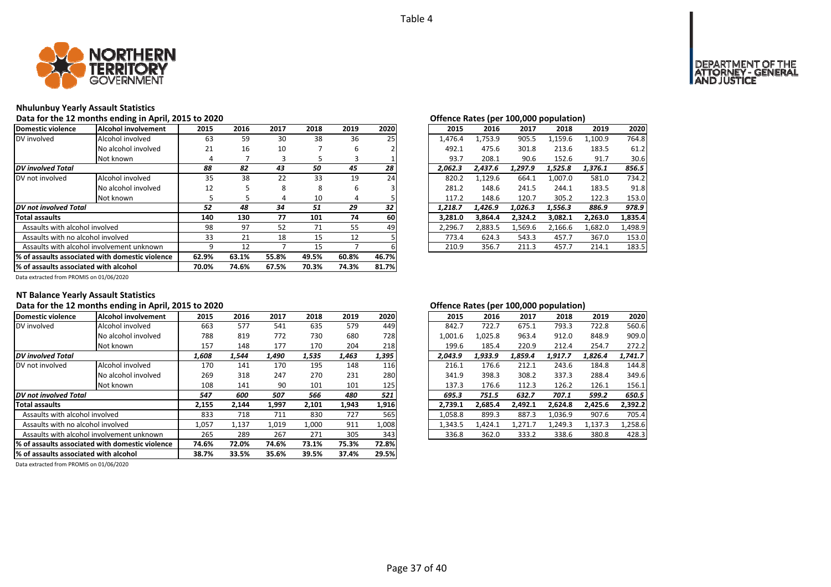

## **Nhulunbuy Yearly Assault Statistics**

### Data for the 12 months ending in April, 2015 to 2020<br> **Data for the 12 months ending in April, 2015 to 2020**

| Domestic violence                                | Alcohol involvement                       | 2015  | 2016  | 2017  | 2018  | 2019  | 2020  | 2015    | 2016    | 2017    | 2018    | 2019    | 2020    |
|--------------------------------------------------|-------------------------------------------|-------|-------|-------|-------|-------|-------|---------|---------|---------|---------|---------|---------|
| DV involved                                      | Alcohol involved                          | 63    | 59    | 30    | 38    | 36    | 25    | 1,476.4 | 1,753.9 | 905.5   | 1,159.6 | 1,100.9 | 764.8   |
|                                                  | No alcohol involved                       | 21    | 16    | 10    |       | 6     |       | 492.1   | 475.6   | 301.8   | 213.6   | 183.5   | 61.2    |
|                                                  | Not known                                 |       |       | 3     | Ы     | 3     |       | 93.7    | 208.1   | 90.6    | 152.6   | 91.7    | 30.6    |
| <b>DV</b> involved Total                         |                                           | 88    | 82    | 43    | 50    | 45    | 28    | 2.062.3 | 2.437.6 | 1.297.9 | 1.525.8 | 1,376.1 | 856.5   |
| DV not involved                                  | Alcohol involved                          | 35    | 38    | 22    | 33    | 19    | 24    | 820.2   | 1,129.6 | 664.1   | 1,007.0 | 581.0   | 734.2   |
|                                                  | No alcohol involved                       | 12    |       | 8     | 8     | 6     |       | 281.2   | 148.6   | 241.5   | 244.1   | 183.5   | 91.8    |
|                                                  | Not known                                 |       |       | 4     | 10    | 4     |       | 117.2   | 148.6   | 120.7   | 305.2   | 122.3   | 153.0   |
| <b>DV</b> not involved Total                     |                                           | 52    | 48    | 34    | 51    | 29    | 32    | 1.218.7 | 1.426.9 | 1,026.3 | 1,556.3 | 886.9   | 978.9   |
| Total assaults                                   |                                           | 140   | 130   | 77    | 101   | 74    | 60    | 3.281.0 | 3,864.4 | 2,324.2 | 3,082.1 | 2,263.0 | 1,835.4 |
| Assaults with alcohol involved                   |                                           | 98    | 97    | 52    | 71    | 55    | 49    | 2,296.7 | 2,883.5 | 1,569.6 | 2,166.6 | 1,682.0 | 1,498.9 |
| Assaults with no alcohol involved                |                                           | 33    | 21    | 18    | 15    | 12    |       | 773.4   | 624.3   | 543.3   | 457.7   | 367.0   | 153.0   |
|                                                  | Assaults with alcohol involvement unknown |       | 12    |       | 15    |       |       | 210.9   | 356.7   | 211.3   | 457.7   | 214.1   | 183.5   |
| 1% of assaults associated with domestic violence | 62.9%                                     | 63.1% | 55.8% | 49.5% | 60.8% | 46.7% |       |         |         |         |         |         |         |
| % of assaults associated with alcohol            |                                           | 70.0% | 74.6% | 67.5% | 70.3% | 74.3% | 81.7% |         |         |         |         |         |         |

| .5 | 2016 | 2017 | 2018 | 2019 | 2020 | 2015    | 2016    | 2017    | 2018    | 2019    | 2020    |
|----|------|------|------|------|------|---------|---------|---------|---------|---------|---------|
| jЗ | 59   | 30   | 38   | 36   | 25   | 1.476.4 | 1,753.9 | 905.5   | 1,159.6 | 1.100.9 | 764.8   |
| '1 | 16   | 10   |      | 6    |      | 492.1   | 475.6   | 301.8   | 213.6   | 183.5   | 61.2    |
| 4  |      | 3    | 5    | 3    |      | 93.7    | 208.1   | 90.6    | 152.6   | 91.7    | 30.6    |
| 8  | 82   | 43   | 50   | 45   | 28   | 2.062.3 | 2.437.6 | 1.297.9 | 1.525.8 | 1.376.1 | 856.5   |
| 15 | 38   | 22   | 33   | 19   | 24   | 820.2   | 1,129.6 | 664.1   | 1,007.0 | 581.0   | 734.2   |
| .2 | 5    | 8    | 8    | 6    |      | 281.2   | 148.6   | 241.5   | 244.1   | 183.5   | 91.8    |
| 5  | 5    | 4    | 10   | 4    |      | 117.2   | 148.6   | 120.7   | 305.2   | 122.3   | 153.0   |
| 2  | 48   | 34   | 51   | 29   | 32   | 1.218.7 | 1.426.9 | 1.026.3 | 1,556.3 | 886.9   | 978.9   |
| 10 | 130  | 77   | 101  | 74   | 60   | 3.281.0 | 3.864.4 | 2,324.2 | 3,082.1 | 2,263.0 | 1,835.4 |
| 18 | 97   | 52   | 71   | 55   | 49   | 2.296.7 | 2.883.5 | 1.569.6 | 2.166.6 | 1.682.0 | 1,498.9 |
| ١З | 21   | 18   | 15   | 12   |      | 773.4   | 624.3   | 543.3   | 457.7   | 367.0   | 153.0   |
| 9  | 12   |      | 15   |      | 6    | 210.9   | 356.7   | 211.3   | 457.7   | 214.1   | 183.5   |
|    |      |      |      |      |      |         |         |         |         |         |         |

Data extracted from PROMIS on 01/06/2020

### **NT Balance Yearly Assault Statistics**

## Data for the 12 months ending in April, 2015 to 2020<br> **Data for the 12 months ending in April, 2015 to 2020**

| Domestic violence                     | Alcohol involvement                             | 2015                                                                                | 2016  | 2017    | 2018    | 2019    | 2020  | 2015    | 2016    | 2017    | 2018    | 2019    | 2020    |
|---------------------------------------|-------------------------------------------------|-------------------------------------------------------------------------------------|-------|---------|---------|---------|-------|---------|---------|---------|---------|---------|---------|
| DV involved                           | Alcohol involved                                | 663                                                                                 | 577   | 541     | 635     | 579     | 449   | 842.7   | 722.7   | 675.1   | 793.3   | 722.8   | 560.6   |
|                                       | No alcohol involved                             | 788                                                                                 | 819   | 772     | 730     | 680     | 728   | 1,001.6 | 1.025.8 | 963.4   | 912.0   | 848.9   | 909.0   |
|                                       | Not known                                       | 157                                                                                 | 148   | 177     | 170     | 204     | 218   | 199.6   | 185.4   | 220.9   | 212.4   | 254.7   | 272.2   |
| <b>DV</b> involved Total              |                                                 | 1.463<br>1,535<br>1,395<br>2,043.9<br>1.933.9<br>1.859.4<br>1.608<br>1,544<br>1.490 |       | 1.917.7 | 1.826.4 | 1.741.7 |       |         |         |         |         |         |         |
| DV not involved                       | Alcohol involved                                | 170                                                                                 | 141   | 170     | 195     | 148     | 116   | 216.1   | 176.6   | 212.1   | 243.6   | 184.8   | 144.8   |
|                                       | No alcohol involved                             | 269                                                                                 | 318   | 247     | 270     | 231     | 280   | 341.9   | 398.3   | 308.2   | 337.3   | 288.4   | 349.6   |
|                                       | Not known                                       | 108                                                                                 | 141   | 90      | 101     | 101     | 125   | 137.3   | 176.6   | 112.3   | 126.2   | 126.1   | 156.1   |
| DV not involved Total                 |                                                 |                                                                                     | 600   | 507     | 566     | 480     | 521   | 695.3   | 751.5   | 632.7   | 707.1   | 599.2   | 650.5   |
| <b>Total assaults</b>                 |                                                 | 2,155                                                                               | 2,144 | 1,997   | 2,101   | 1,943   | 1,916 | 2.739.1 | 2,685.4 | 2.492.1 | 2,624.8 | 2.425.6 | 2,392.2 |
| Assaults with alcohol involved        |                                                 | 833                                                                                 | 718   | 711     | 830     | 727     | 565   | 1,058.8 | 899.3   | 887.3   | 1,036.9 | 907.6   | 705.4   |
| Assaults with no alcohol involved     |                                                 | 1,057                                                                               | 1,137 | 1,019   | 1,000   | 911     | 1,008 | 1,343.5 | 1,424.1 | 1,271.7 | 1,249.3 | 1,137.3 | 1,258.6 |
|                                       | Assaults with alcohol involvement unknown       | 265                                                                                 | 289   | 267     | 271     | 305     | 343   | 336.8   | 362.0   | 333.2   | 338.6   | 380.8   | 428.3   |
|                                       | % of assaults associated with domestic violence |                                                                                     |       | 74.6%   | 73.1%   | 75.3%   | 72.8% |         |         |         |         |         |         |
| % of assaults associated with alcohol |                                                 | 38.7%                                                                               | 33.5% | 35.6%   | 39.5%   | 37.4%   | 29.5% |         |         |         |         |         |         |

|    |       |       |       |       |       |         |         |         | . .     |         |         |
|----|-------|-------|-------|-------|-------|---------|---------|---------|---------|---------|---------|
| .5 | 2016  | 2017  | 2018  | 2019  | 2020  | 2015    | 2016    | 2017    | 2018    | 2019    | 2020    |
| jЗ | 577   | 541   | 635   | 579   | 449   | 842.7   | 722.7   | 675.1   | 793.3   | 722.8   | 560.6   |
| 38 | 819   | 772   | 730   | 680   | 728   | 1.001.6 | 1.025.8 | 963.4   | 912.0   | 848.9   | 909.0   |
|    | 148   | 177   | 170   | 204   | 218   | 199.6   | 185.4   | 220.9   | 212.4   | 254.7   | 272.2   |
| 8  | 1.544 | 1,490 | 1,535 | 1,463 | 1,395 | 2.043.9 | 1,933.9 | 1.859.4 | 1.917.7 | 1,826.4 | 1.741.7 |
| O' | 141   | 170   | 195   | 148   | 116   | 216.1   | 176.6   | 212.1   | 243.6   | 184.8   | 144.8   |
| 59 | 318   | 247   | 270   | 231   | 280   | 341.9   | 398.3   | 308.2   | 337.3   | 288.4   | 349.6   |
| 18 | 141   | 90    | 101   | 101   | 125   | 137.3   | 176.6   | 112.3   | 126.2   | 126.1   | 156.1   |
| 7  | 600   | 507   | 566   | 480   | 521   | 695.3   | 751.5   | 632.7   | 707.1   | 599.2   | 650.5   |
| 5  | 2,144 | 1,997 | 2,101 | 1,943 | 1,916 | 2.739.1 | 2.685.4 | 2.492.1 | 2.624.8 | 2,425.6 | 2,392.2 |
| 13 | 718   | 711   | 830   | 727   | 565   | 1.058.8 | 899.3   | 887.3   | 1.036.9 | 907.6   | 705.4   |
| 57 | 1,137 | 1,019 | 1,000 | 911   | 1,008 | 1,343.5 | 1.424.1 | 1,271.7 | 1,249.3 | 1,137.3 | 1,258.6 |
| j5 | 289   | 267   | 271   | 305   | 343   | 336.8   | 362.0   | 333.2   | 338.6   | 380.8   | 428.3   |
|    |       |       |       |       |       |         |         |         |         |         |         |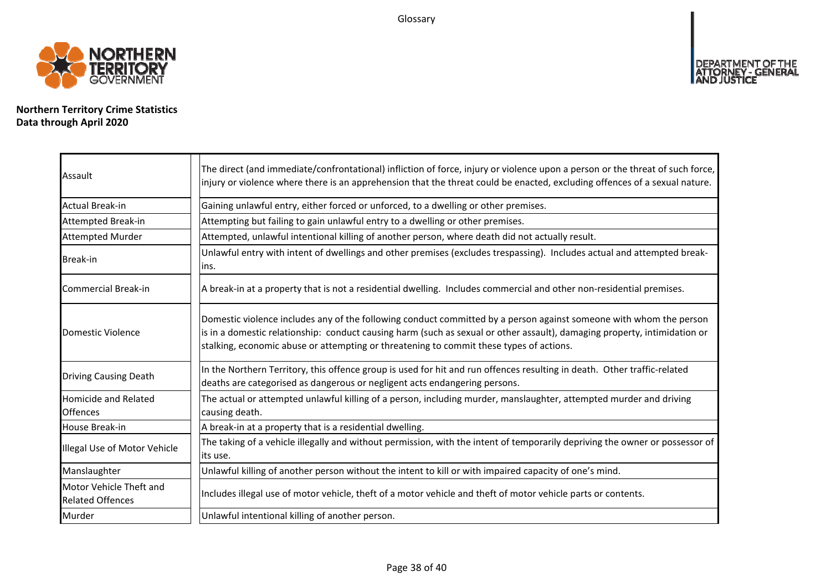Glossary



**Northern Territory Crime Statistics Data through April 2020**

| Assault                                            | The direct (and immediate/confrontational) infliction of force, injury or violence upon a person or the threat of such force,<br>injury or violence where there is an apprehension that the threat could be enacted, excluding offences of a sexual nature.                                                                                |
|----------------------------------------------------|--------------------------------------------------------------------------------------------------------------------------------------------------------------------------------------------------------------------------------------------------------------------------------------------------------------------------------------------|
| <b>Actual Break-in</b>                             | Gaining unlawful entry, either forced or unforced, to a dwelling or other premises.                                                                                                                                                                                                                                                        |
| Attempted Break-in                                 | Attempting but failing to gain unlawful entry to a dwelling or other premises.                                                                                                                                                                                                                                                             |
| <b>Attempted Murder</b>                            | Attempted, unlawful intentional killing of another person, where death did not actually result.                                                                                                                                                                                                                                            |
| Break-in                                           | Unlawful entry with intent of dwellings and other premises (excludes trespassing). Includes actual and attempted break-<br>lins.                                                                                                                                                                                                           |
| Commercial Break-in                                | A break-in at a property that is not a residential dwelling. Includes commercial and other non-residential premises.                                                                                                                                                                                                                       |
| Domestic Violence                                  | Domestic violence includes any of the following conduct committed by a person against someone with whom the person<br>is in a domestic relationship: conduct causing harm (such as sexual or other assault), damaging property, intimidation or<br>stalking, economic abuse or attempting or threatening to commit these types of actions. |
| <b>Driving Causing Death</b>                       | In the Northern Territory, this offence group is used for hit and run offences resulting in death. Other traffic-related<br>deaths are categorised as dangerous or negligent acts endangering persons.                                                                                                                                     |
| <b>Homicide and Related</b><br><b>Offences</b>     | The actual or attempted unlawful killing of a person, including murder, manslaughter, attempted murder and driving<br>causing death.                                                                                                                                                                                                       |
| House Break-in                                     | A break-in at a property that is a residential dwelling.                                                                                                                                                                                                                                                                                   |
| Illegal Use of Motor Vehicle                       | The taking of a vehicle illegally and without permission, with the intent of temporarily depriving the owner or possessor of<br>lits use.                                                                                                                                                                                                  |
| Manslaughter                                       | Unlawful killing of another person without the intent to kill or with impaired capacity of one's mind.                                                                                                                                                                                                                                     |
| Motor Vehicle Theft and<br><b>Related Offences</b> | Includes illegal use of motor vehicle, theft of a motor vehicle and theft of motor vehicle parts or contents.                                                                                                                                                                                                                              |
| Murder                                             | Unlawful intentional killing of another person.                                                                                                                                                                                                                                                                                            |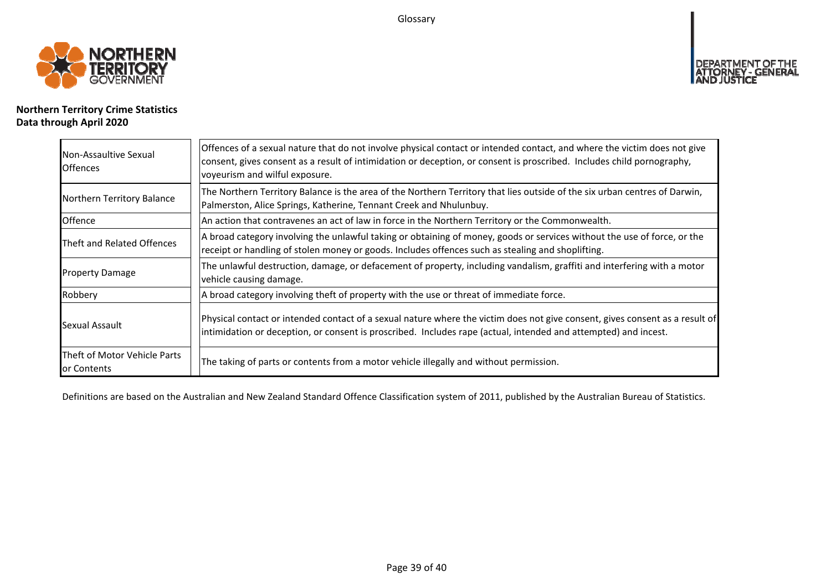Glossary



## **Northern Territory Crime Statistics Data through April 2020**

| Non-Assaultive Sexual<br><b>Offences</b>    | Offences of a sexual nature that do not involve physical contact or intended contact, and where the victim does not give<br>consent, gives consent as a result of intimidation or deception, or consent is proscribed. Includes child pornography,<br>voyeurism and wilful exposure. |
|---------------------------------------------|--------------------------------------------------------------------------------------------------------------------------------------------------------------------------------------------------------------------------------------------------------------------------------------|
| Northern Territory Balance                  | The Northern Territory Balance is the area of the Northern Territory that lies outside of the six urban centres of Darwin,<br>Palmerston, Alice Springs, Katherine, Tennant Creek and Nhulunbuy.                                                                                     |
| Offence                                     | An action that contravenes an act of law in force in the Northern Territory or the Commonwealth.                                                                                                                                                                                     |
| Theft and Related Offences                  | A broad category involving the unlawful taking or obtaining of money, goods or services without the use of force, or the<br>receipt or handling of stolen money or goods. Includes offences such as stealing and shoplifting.                                                        |
| <b>Property Damage</b>                      | The unlawful destruction, damage, or defacement of property, including vandalism, graffiti and interfering with a motor<br>vehicle causing damage.                                                                                                                                   |
| Robbery                                     | A broad category involving theft of property with the use or threat of immediate force.                                                                                                                                                                                              |
| Sexual Assault                              | Physical contact or intended contact of a sexual nature where the victim does not give consent, gives consent as a result of<br>intimidation or deception, or consent is proscribed. Includes rape (actual, intended and attempted) and incest.                                      |
| Theft of Motor Vehicle Parts<br>or Contents | The taking of parts or contents from a motor vehicle illegally and without permission.                                                                                                                                                                                               |

Definitions are based on the Australian and New Zealand Standard Offence Classification system of 2011, published by the Australian Bureau of Statistics.